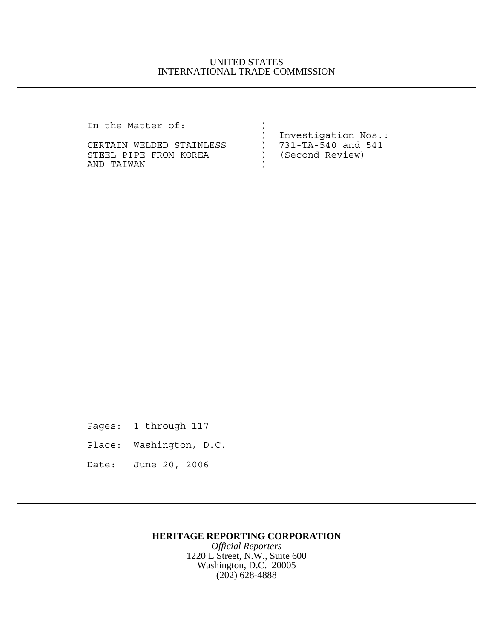## UNITED STATES INTERNATIONAL TRADE COMMISSION

In the Matter of:  $)$ 

CERTAIN WELDED STAINLESS  $\qquad$ STEEL PIPE FROM KOREA (Second Review) AND TAIWAN )

) Investigation Nos.:<br>) 731-TA-540 and 541

Pages: 1 through 117 Place: Washington, D.C. Date: June 20, 2006

## **HERITAGE REPORTING CORPORATION**

*Official Reporters* 1220 L Street, N.W., Suite 600 Washington, D.C. 20005 (202) 628-4888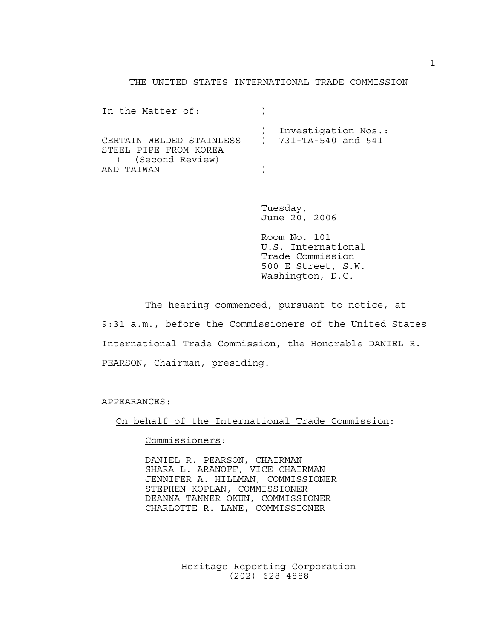## THE UNITED STATES INTERNATIONAL TRADE COMMISSION

| In the Matter of:                                                                                         |                       |
|-----------------------------------------------------------------------------------------------------------|-----------------------|
| CERTAIN WELDED STAINLESS ) 731-TA-540 and 541<br>STEEL PIPE FROM KOREA<br>) (Second Review)<br>AND TAIWAN | ) Investigation Nos.: |

Tuesday, June 20, 2006

Room No. 101 U.S. International Trade Commission 500 E Street, S.W. Washington, D.C.

The hearing commenced, pursuant to notice, at 9:31 a.m., before the Commissioners of the United States International Trade Commission, the Honorable DANIEL R. PEARSON, Chairman, presiding.

APPEARANCES:

On behalf of the International Trade Commission:

Commissioners:

DANIEL R. PEARSON, CHAIRMAN SHARA L. ARANOFF, VICE CHAIRMAN JENNIFER A. HILLMAN, COMMISSIONER STEPHEN KOPLAN, COMMISSIONER DEANNA TANNER OKUN, COMMISSIONER CHARLOTTE R. LANE, COMMISSIONER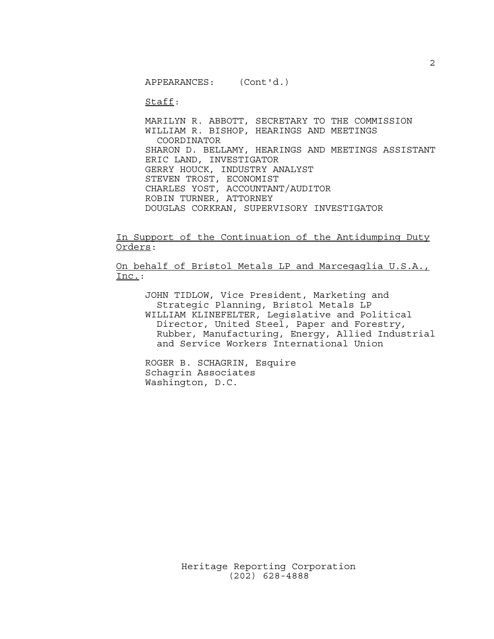APPEARANCES: (Cont'd.)

Staff:

MARILYN R. ABBOTT, SECRETARY TO THE COMMISSION WILLIAM R. BISHOP, HEARINGS AND MEETINGS COORDINATOR SHARON D. BELLAMY, HEARINGS AND MEETINGS ASSISTANT ERIC LAND, INVESTIGATOR GERRY HOUCK, INDUSTRY ANALYST STEVEN TROST, ECONOMIST CHARLES YOST, ACCOUNTANT/AUDITOR ROBIN TURNER, ATTORNEY DOUGLAS CORKRAN, SUPERVISORY INVESTIGATOR

In Support of the Continuation of the Antidumping Duty Orders:

On behalf of Bristol Metals LP and Marcegaglia U.S.A., Inc.:

JOHN TIDLOW, Vice President, Marketing and Strategic Planning, Bristol Metals LP WILLIAM KLINEFELTER, Legislative and Political Director, United Steel, Paper and Forestry, Rubber, Manufacturing, Energy, Allied Industrial and Service Workers International Union

ROGER B. SCHAGRIN, Esquire Schagrin Associates Washington, D.C.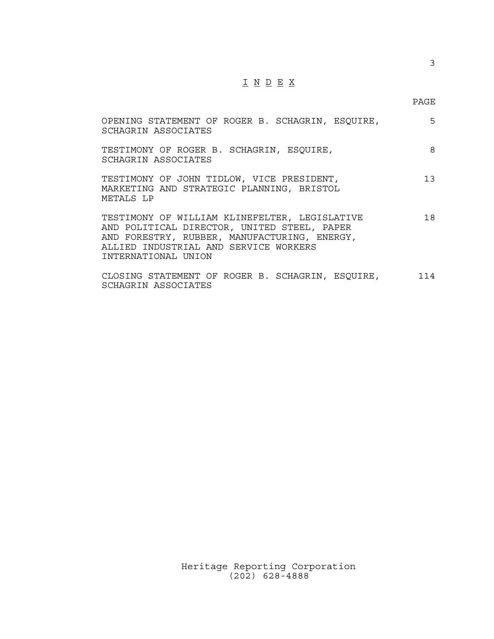## I N D E X

3

| OPENING STATEMENT OF ROGER B. SCHAGRIN, ESQUIRE,<br>SCHAGRIN ASSOCIATES                                                                                                                                      | 5   |
|--------------------------------------------------------------------------------------------------------------------------------------------------------------------------------------------------------------|-----|
| TESTIMONY OF ROGER B. SCHAGRIN, ESQUIRE,<br>SCHAGRIN ASSOCIATES                                                                                                                                              | 8   |
| TESTIMONY OF JOHN TIDLOW, VICE PRESIDENT,<br>MARKETING AND STRATEGIC PLANNING, BRISTOL<br>METALS LP                                                                                                          | 13  |
| TESTIMONY OF WILLIAM KLINEFELTER, LEGISLATIVE<br>AND POLITICAL DIRECTOR, UNITED STEEL, PAPER<br>AND FORESTRY, RUBBER, MANUFACTURING, ENERGY,<br>ALLIED INDUSTRIAL AND SERVICE WORKERS<br>INTERNATIONAL UNION | 18  |
| CLOSING STATEMENT OF ROGER B. SCHAGRIN, ESQUIRE,                                                                                                                                                             | 114 |

| SCHAGRIN ASSOCIATES |  |  |
|---------------------|--|--|
|---------------------|--|--|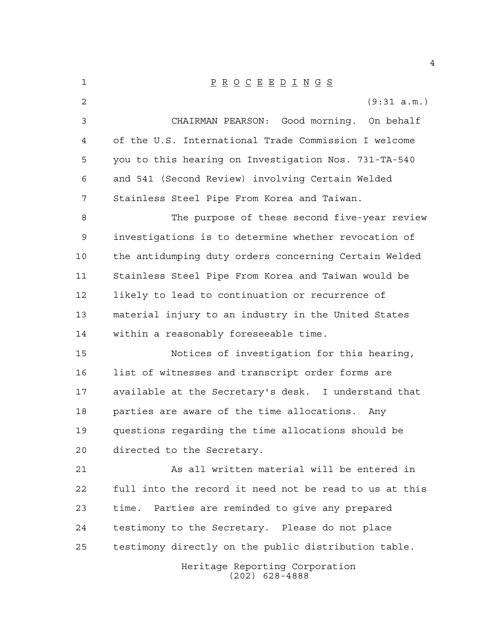| 1               | $\underline{P} \underline{R} \underline{O} \underline{C} \underline{E} \underline{E} \underline{D} \underline{I} \underline{N} \underline{G} \underline{S}$ |
|-----------------|-------------------------------------------------------------------------------------------------------------------------------------------------------------|
| 2               | (9:31 a.m.)                                                                                                                                                 |
| 3               | CHAIRMAN PEARSON: Good morning. On behalf                                                                                                                   |
| 4               | of the U.S. International Trade Commission I welcome                                                                                                        |
| 5               | you to this hearing on Investigation Nos. 731-TA-540                                                                                                        |
| 6               | and 541 (Second Review) involving Certain Welded                                                                                                            |
| 7               | Stainless Steel Pipe From Korea and Taiwan.                                                                                                                 |
| 8               | The purpose of these second five-year review                                                                                                                |
| 9               | investigations is to determine whether revocation of                                                                                                        |
| 10              | the antidumping duty orders concerning Certain Welded                                                                                                       |
| 11              | Stainless Steel Pipe From Korea and Taiwan would be                                                                                                         |
| 12              | likely to lead to continuation or recurrence of                                                                                                             |
| 13              | material injury to an industry in the United States                                                                                                         |
| 14              | within a reasonably foreseeable time.                                                                                                                       |
| 15              | Notices of investigation for this hearing,                                                                                                                  |
| 16              | list of witnesses and transcript order forms are                                                                                                            |
| 17              | available at the Secretary's desk. I understand that                                                                                                        |
| 18              | parties are aware of the time allocations.<br>Anv                                                                                                           |
| 19              | questions regarding the time allocations should be                                                                                                          |
| 20 <sub>o</sub> | directed to the Secretary.                                                                                                                                  |
| 21              | As all written material will be entered in                                                                                                                  |
| 22              | full into the record it need not be read to us at this                                                                                                      |
| 23              | Parties are reminded to give any prepared<br>time.                                                                                                          |
| 24              | testimony to the Secretary. Please do not place                                                                                                             |
| 25              | testimony directly on the public distribution table.                                                                                                        |
|                 | Heritage Reporting Corporation<br>$(202)$ 628-4888                                                                                                          |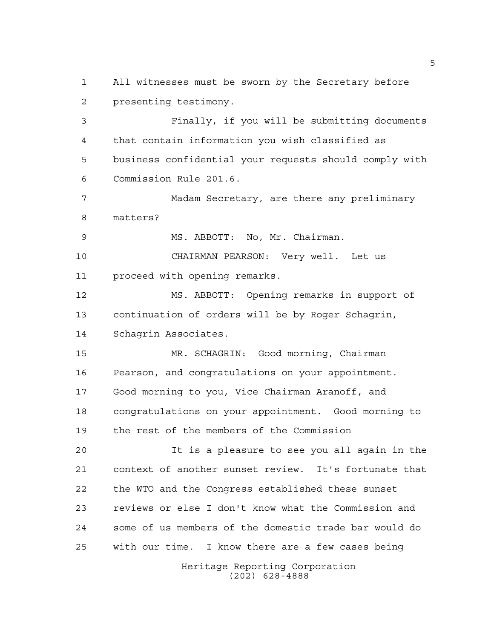All witnesses must be sworn by the Secretary before presenting testimony.

 Finally, if you will be submitting documents that contain information you wish classified as business confidential your requests should comply with Commission Rule 201.6.

 Madam Secretary, are there any preliminary matters?

MS. ABBOTT: No, Mr. Chairman.

 CHAIRMAN PEARSON: Very well. Let us proceed with opening remarks.

 MS. ABBOTT: Opening remarks in support of continuation of orders will be by Roger Schagrin, Schagrin Associates.

 MR. SCHAGRIN: Good morning, Chairman Pearson, and congratulations on your appointment. Good morning to you, Vice Chairman Aranoff, and congratulations on your appointment. Good morning to the rest of the members of the Commission

 It is a pleasure to see you all again in the context of another sunset review. It's fortunate that the WTO and the Congress established these sunset reviews or else I don't know what the Commission and some of us members of the domestic trade bar would do with our time. I know there are a few cases being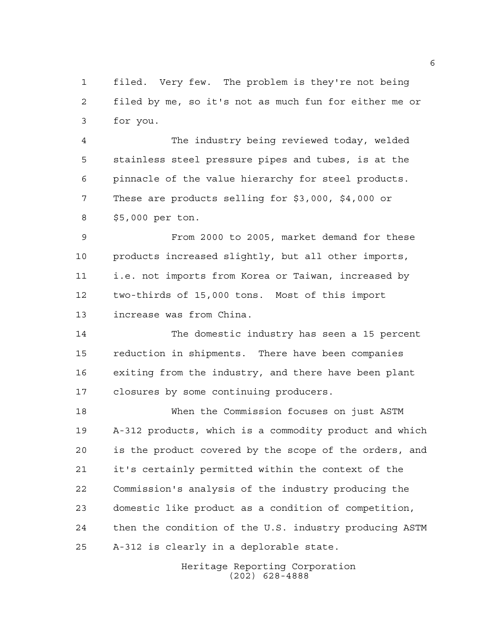filed. Very few. The problem is they're not being filed by me, so it's not as much fun for either me or for you.

 The industry being reviewed today, welded stainless steel pressure pipes and tubes, is at the pinnacle of the value hierarchy for steel products. These are products selling for \$3,000, \$4,000 or \$5,000 per ton.

 From 2000 to 2005, market demand for these products increased slightly, but all other imports, i.e. not imports from Korea or Taiwan, increased by two-thirds of 15,000 tons. Most of this import increase was from China.

 The domestic industry has seen a 15 percent reduction in shipments. There have been companies exiting from the industry, and there have been plant closures by some continuing producers.

 When the Commission focuses on just ASTM A-312 products, which is a commodity product and which is the product covered by the scope of the orders, and it's certainly permitted within the context of the Commission's analysis of the industry producing the domestic like product as a condition of competition, then the condition of the U.S. industry producing ASTM A-312 is clearly in a deplorable state.

> Heritage Reporting Corporation (202) 628-4888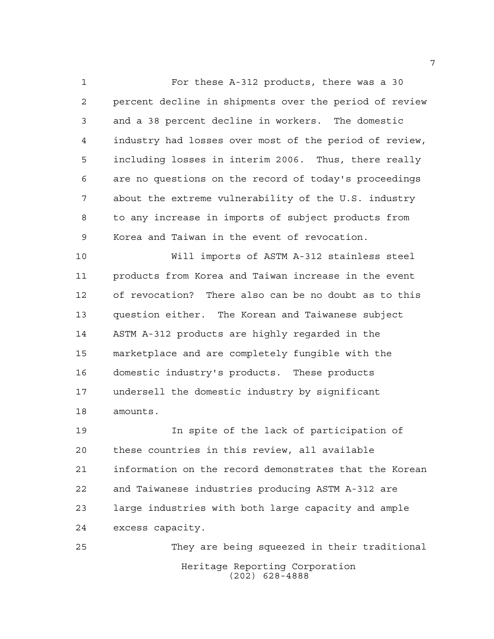For these A-312 products, there was a 30 percent decline in shipments over the period of review and a 38 percent decline in workers. The domestic industry had losses over most of the period of review, including losses in interim 2006. Thus, there really are no questions on the record of today's proceedings about the extreme vulnerability of the U.S. industry to any increase in imports of subject products from Korea and Taiwan in the event of revocation.

 Will imports of ASTM A-312 stainless steel products from Korea and Taiwan increase in the event of revocation? There also can be no doubt as to this question either. The Korean and Taiwanese subject ASTM A-312 products are highly regarded in the marketplace and are completely fungible with the domestic industry's products. These products undersell the domestic industry by significant amounts.

 In spite of the lack of participation of these countries in this review, all available information on the record demonstrates that the Korean and Taiwanese industries producing ASTM A-312 are large industries with both large capacity and ample excess capacity.

Heritage Reporting Corporation (202) 628-4888 They are being squeezed in their traditional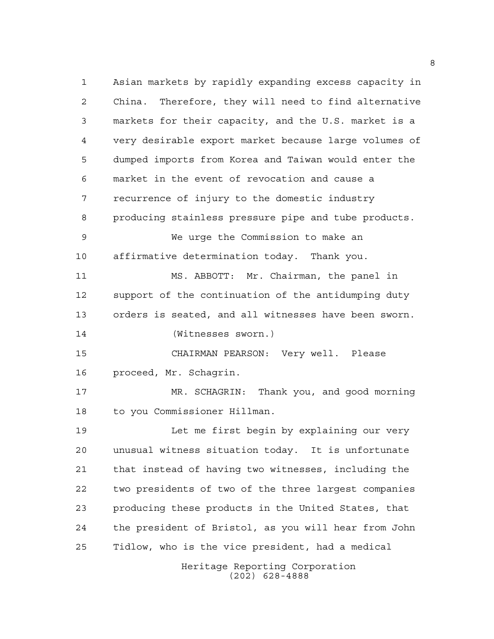Heritage Reporting Corporation Asian markets by rapidly expanding excess capacity in China. Therefore, they will need to find alternative markets for their capacity, and the U.S. market is a very desirable export market because large volumes of dumped imports from Korea and Taiwan would enter the market in the event of revocation and cause a recurrence of injury to the domestic industry producing stainless pressure pipe and tube products. We urge the Commission to make an affirmative determination today. Thank you. MS. ABBOTT: Mr. Chairman, the panel in support of the continuation of the antidumping duty orders is seated, and all witnesses have been sworn. (Witnesses sworn.) CHAIRMAN PEARSON: Very well. Please proceed, Mr. Schagrin. MR. SCHAGRIN: Thank you, and good morning to you Commissioner Hillman. Let me first begin by explaining our very unusual witness situation today. It is unfortunate that instead of having two witnesses, including the two presidents of two of the three largest companies producing these products in the United States, that the president of Bristol, as you will hear from John Tidlow, who is the vice president, had a medical

(202) 628-4888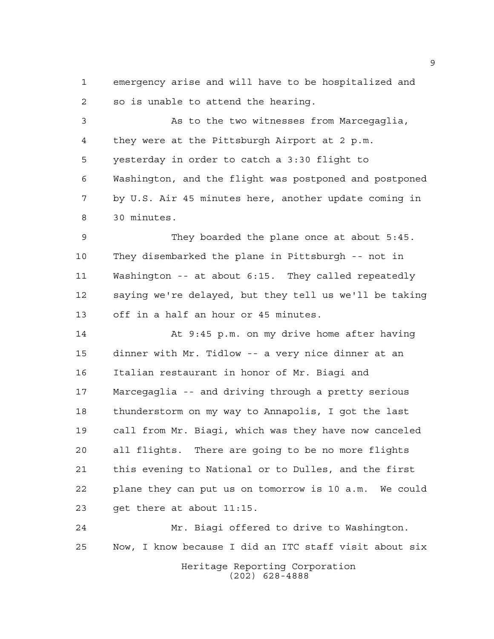emergency arise and will have to be hospitalized and so is unable to attend the hearing.

 As to the two witnesses from Marcegaglia, they were at the Pittsburgh Airport at 2 p.m. yesterday in order to catch a 3:30 flight to Washington, and the flight was postponed and postponed by U.S. Air 45 minutes here, another update coming in 30 minutes.

 They boarded the plane once at about 5:45. They disembarked the plane in Pittsburgh -- not in Washington -- at about 6:15. They called repeatedly saying we're delayed, but they tell us we'll be taking off in a half an hour or 45 minutes.

 At 9:45 p.m. on my drive home after having dinner with Mr. Tidlow -- a very nice dinner at an Italian restaurant in honor of Mr. Biagi and Marcegaglia -- and driving through a pretty serious thunderstorm on my way to Annapolis, I got the last call from Mr. Biagi, which was they have now canceled all flights. There are going to be no more flights this evening to National or to Dulles, and the first plane they can put us on tomorrow is 10 a.m. We could get there at about 11:15.

Heritage Reporting Corporation (202) 628-4888 Mr. Biagi offered to drive to Washington. Now, I know because I did an ITC staff visit about six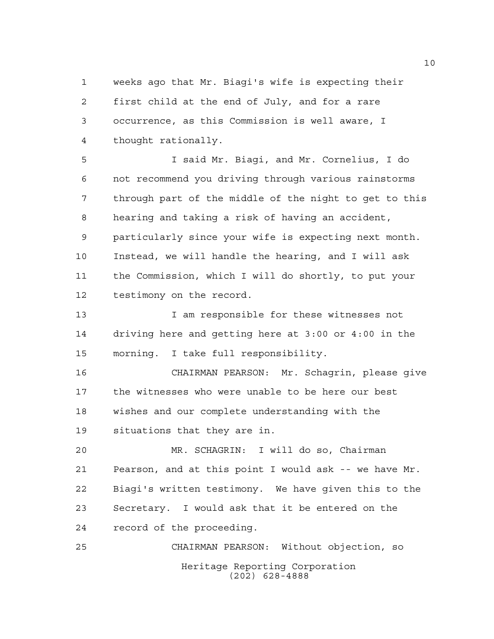weeks ago that Mr. Biagi's wife is expecting their first child at the end of July, and for a rare occurrence, as this Commission is well aware, I thought rationally.

 I said Mr. Biagi, and Mr. Cornelius, I do not recommend you driving through various rainstorms through part of the middle of the night to get to this hearing and taking a risk of having an accident, particularly since your wife is expecting next month. Instead, we will handle the hearing, and I will ask the Commission, which I will do shortly, to put your testimony on the record.

13 13 I am responsible for these witnesses not driving here and getting here at 3:00 or 4:00 in the morning. I take full responsibility.

 CHAIRMAN PEARSON: Mr. Schagrin, please give the witnesses who were unable to be here our best wishes and our complete understanding with the situations that they are in.

 MR. SCHAGRIN: I will do so, Chairman Pearson, and at this point I would ask -- we have Mr. Biagi's written testimony. We have given this to the Secretary. I would ask that it be entered on the record of the proceeding.

Heritage Reporting Corporation (202) 628-4888 CHAIRMAN PEARSON: Without objection, so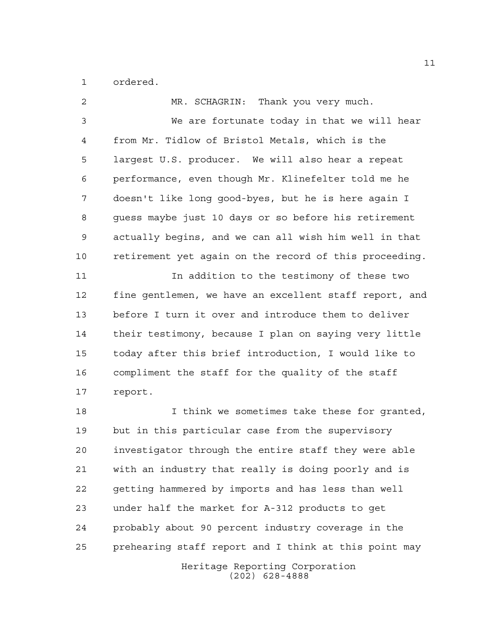ordered.

| 2  | MR. SCHAGRIN: Thank you very much.                     |
|----|--------------------------------------------------------|
| 3  | We are fortunate today in that we will hear            |
| 4  | from Mr. Tidlow of Bristol Metals, which is the        |
| 5  | largest U.S. producer. We will also hear a repeat      |
| 6  | performance, even though Mr. Klinefelter told me he    |
| 7  | doesn't like long good-byes, but he is here again I    |
| 8  | guess maybe just 10 days or so before his retirement   |
| 9  | actually begins, and we can all wish him well in that  |
| 10 | retirement yet again on the record of this proceeding. |
| 11 | In addition to the testimony of these two              |
| 12 | fine gentlemen, we have an excellent staff report, and |
| 13 | before I turn it over and introduce them to deliver    |
| 14 | their testimony, because I plan on saying very little  |
| 15 | today after this brief introduction, I would like to   |
| 16 | compliment the staff for the quality of the staff      |
| 17 | report.                                                |
| 18 | I think we sometimes take these for granted,           |
| 19 | but in this particular case from the supervisory       |
| 20 | investigator through the entire staff they were able   |
| 21 | with an industry that really is doing poorly and is    |
| 22 | getting hammered by imports and has less than well     |
| 23 | under half the market for A-312 products to get        |
| 24 | probably about 90 percent industry coverage in the     |
| 25 | prehearing staff report and I think at this point may  |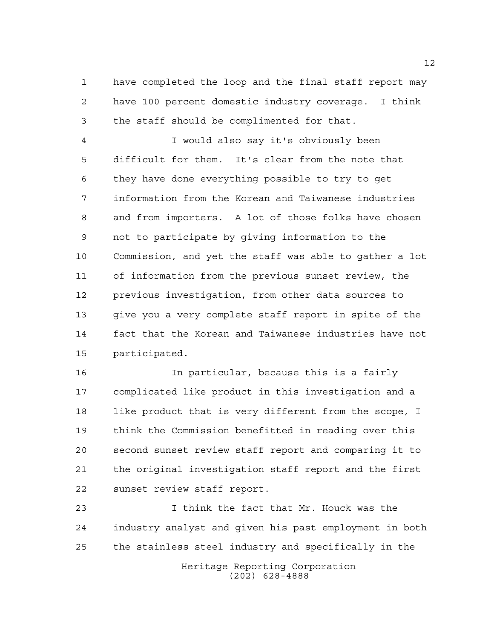have completed the loop and the final staff report may have 100 percent domestic industry coverage. I think the staff should be complimented for that.

 I would also say it's obviously been difficult for them. It's clear from the note that they have done everything possible to try to get information from the Korean and Taiwanese industries and from importers. A lot of those folks have chosen not to participate by giving information to the Commission, and yet the staff was able to gather a lot of information from the previous sunset review, the previous investigation, from other data sources to give you a very complete staff report in spite of the fact that the Korean and Taiwanese industries have not participated.

 In particular, because this is a fairly complicated like product in this investigation and a like product that is very different from the scope, I think the Commission benefitted in reading over this second sunset review staff report and comparing it to the original investigation staff report and the first sunset review staff report.

 I think the fact that Mr. Houck was the industry analyst and given his past employment in both the stainless steel industry and specifically in the

Heritage Reporting Corporation (202) 628-4888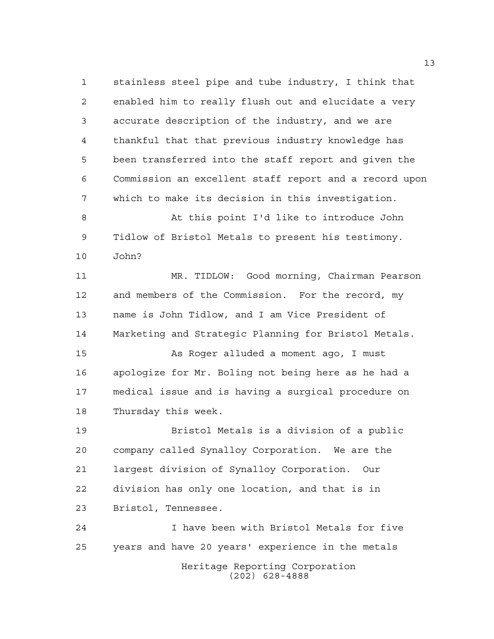stainless steel pipe and tube industry, I think that enabled him to really flush out and elucidate a very accurate description of the industry, and we are thankful that that previous industry knowledge has been transferred into the staff report and given the Commission an excellent staff report and a record upon which to make its decision in this investigation.

 At this point I'd like to introduce John Tidlow of Bristol Metals to present his testimony. John?

 MR. TIDLOW: Good morning, Chairman Pearson and members of the Commission. For the record, my name is John Tidlow, and I am Vice President of Marketing and Strategic Planning for Bristol Metals.

 As Roger alluded a moment ago, I must apologize for Mr. Boling not being here as he had a medical issue and is having a surgical procedure on Thursday this week.

 Bristol Metals is a division of a public company called Synalloy Corporation. We are the largest division of Synalloy Corporation. Our division has only one location, and that is in Bristol, Tennessee.

Heritage Reporting Corporation (202) 628-4888 I have been with Bristol Metals for five years and have 20 years' experience in the metals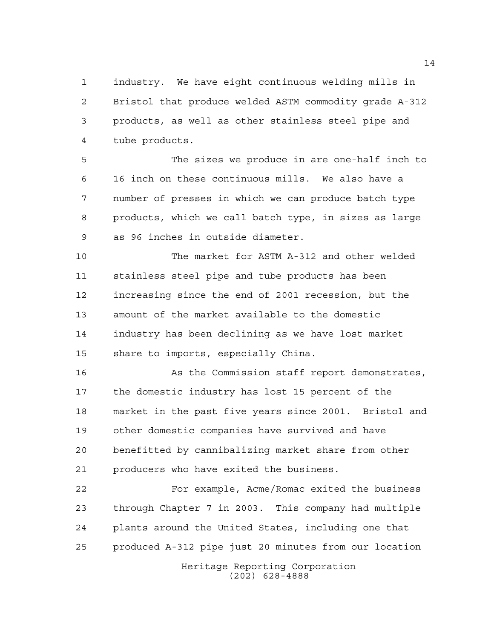industry. We have eight continuous welding mills in Bristol that produce welded ASTM commodity grade A-312 products, as well as other stainless steel pipe and tube products.

 The sizes we produce in are one-half inch to 16 inch on these continuous mills. We also have a number of presses in which we can produce batch type products, which we call batch type, in sizes as large as 96 inches in outside diameter.

 The market for ASTM A-312 and other welded stainless steel pipe and tube products has been increasing since the end of 2001 recession, but the amount of the market available to the domestic industry has been declining as we have lost market share to imports, especially China.

16 As the Commission staff report demonstrates, the domestic industry has lost 15 percent of the market in the past five years since 2001. Bristol and other domestic companies have survived and have benefitted by cannibalizing market share from other producers who have exited the business.

 For example, Acme/Romac exited the business through Chapter 7 in 2003. This company had multiple plants around the United States, including one that produced A-312 pipe just 20 minutes from our location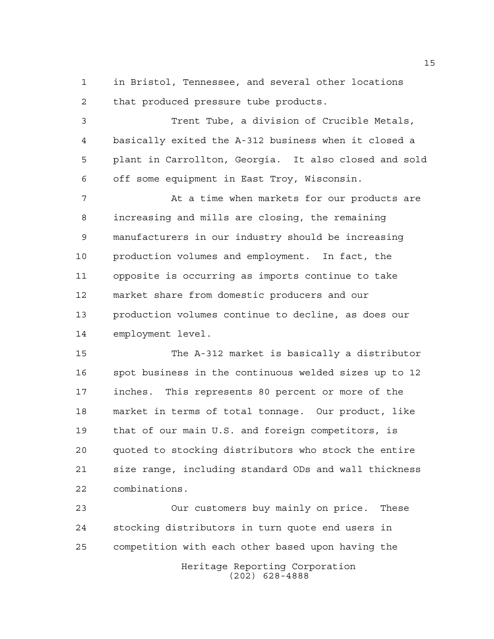in Bristol, Tennessee, and several other locations that produced pressure tube products.

 Trent Tube, a division of Crucible Metals, basically exited the A-312 business when it closed a plant in Carrollton, Georgia. It also closed and sold off some equipment in East Troy, Wisconsin.

7 At a time when markets for our products are increasing and mills are closing, the remaining manufacturers in our industry should be increasing production volumes and employment. In fact, the opposite is occurring as imports continue to take market share from domestic producers and our production volumes continue to decline, as does our employment level.

 The A-312 market is basically a distributor spot business in the continuous welded sizes up to 12 inches. This represents 80 percent or more of the market in terms of total tonnage. Our product, like that of our main U.S. and foreign competitors, is quoted to stocking distributors who stock the entire size range, including standard ODs and wall thickness combinations.

 Our customers buy mainly on price. These stocking distributors in turn quote end users in competition with each other based upon having the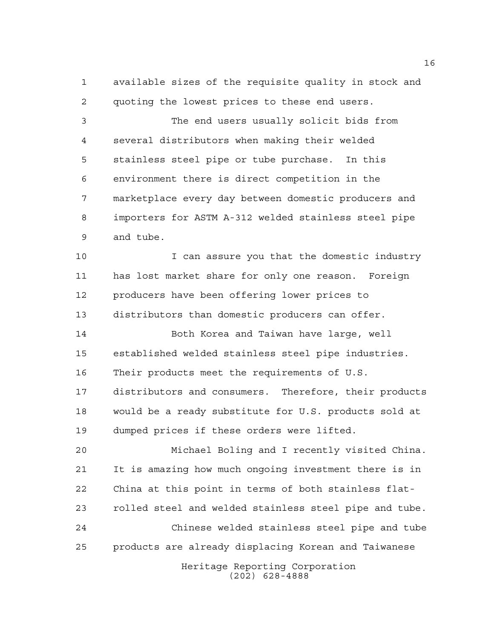available sizes of the requisite quality in stock and quoting the lowest prices to these end users.

 The end users usually solicit bids from several distributors when making their welded stainless steel pipe or tube purchase. In this environment there is direct competition in the marketplace every day between domestic producers and importers for ASTM A-312 welded stainless steel pipe and tube.

10 10 I can assure you that the domestic industry has lost market share for only one reason. Foreign producers have been offering lower prices to distributors than domestic producers can offer.

 Both Korea and Taiwan have large, well established welded stainless steel pipe industries. Their products meet the requirements of U.S. distributors and consumers. Therefore, their products would be a ready substitute for U.S. products sold at dumped prices if these orders were lifted.

 Michael Boling and I recently visited China. It is amazing how much ongoing investment there is in China at this point in terms of both stainless flat- rolled steel and welded stainless steel pipe and tube. Chinese welded stainless steel pipe and tube products are already displacing Korean and Taiwanese

Heritage Reporting Corporation (202) 628-4888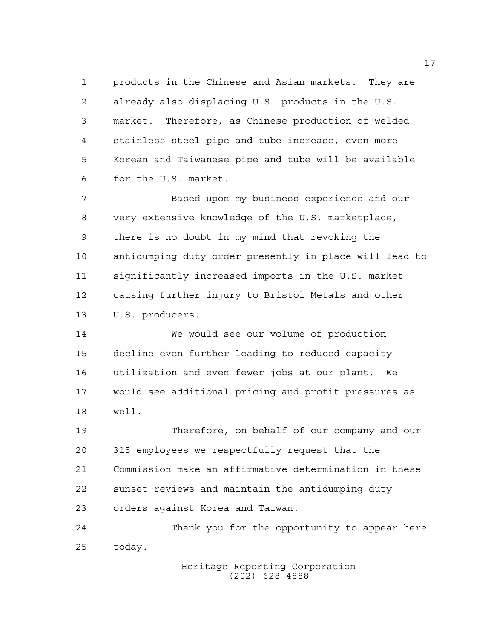products in the Chinese and Asian markets. They are already also displacing U.S. products in the U.S. market. Therefore, as Chinese production of welded stainless steel pipe and tube increase, even more Korean and Taiwanese pipe and tube will be available for the U.S. market.

 Based upon my business experience and our very extensive knowledge of the U.S. marketplace, there is no doubt in my mind that revoking the antidumping duty order presently in place will lead to significantly increased imports in the U.S. market causing further injury to Bristol Metals and other U.S. producers.

 We would see our volume of production decline even further leading to reduced capacity utilization and even fewer jobs at our plant. We would see additional pricing and profit pressures as well.

 Therefore, on behalf of our company and our 315 employees we respectfully request that the Commission make an affirmative determination in these sunset reviews and maintain the antidumping duty orders against Korea and Taiwan.

 Thank you for the opportunity to appear here today.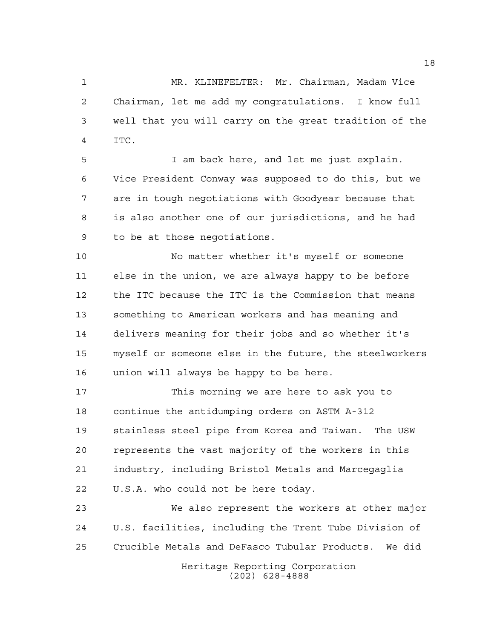MR. KLINEFELTER: Mr. Chairman, Madam Vice Chairman, let me add my congratulations. I know full well that you will carry on the great tradition of the ITC.

 I am back here, and let me just explain. Vice President Conway was supposed to do this, but we are in tough negotiations with Goodyear because that is also another one of our jurisdictions, and he had to be at those negotiations.

 No matter whether it's myself or someone else in the union, we are always happy to be before the ITC because the ITC is the Commission that means something to American workers and has meaning and delivers meaning for their jobs and so whether it's myself or someone else in the future, the steelworkers union will always be happy to be here.

 This morning we are here to ask you to continue the antidumping orders on ASTM A-312 stainless steel pipe from Korea and Taiwan. The USW represents the vast majority of the workers in this industry, including Bristol Metals and Marcegaglia U.S.A. who could not be here today.

 We also represent the workers at other major U.S. facilities, including the Trent Tube Division of Crucible Metals and DeFasco Tubular Products. We did

> Heritage Reporting Corporation (202) 628-4888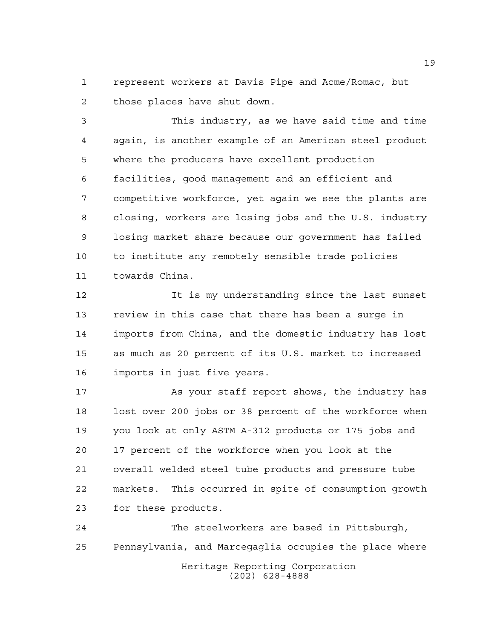represent workers at Davis Pipe and Acme/Romac, but those places have shut down.

 This industry, as we have said time and time again, is another example of an American steel product where the producers have excellent production facilities, good management and an efficient and competitive workforce, yet again we see the plants are closing, workers are losing jobs and the U.S. industry losing market share because our government has failed to institute any remotely sensible trade policies towards China.

 It is my understanding since the last sunset review in this case that there has been a surge in imports from China, and the domestic industry has lost as much as 20 percent of its U.S. market to increased imports in just five years.

 As your staff report shows, the industry has lost over 200 jobs or 38 percent of the workforce when you look at only ASTM A-312 products or 175 jobs and 17 percent of the workforce when you look at the overall welded steel tube products and pressure tube markets. This occurred in spite of consumption growth for these products.

Heritage Reporting Corporation (202) 628-4888 The steelworkers are based in Pittsburgh, Pennsylvania, and Marcegaglia occupies the place where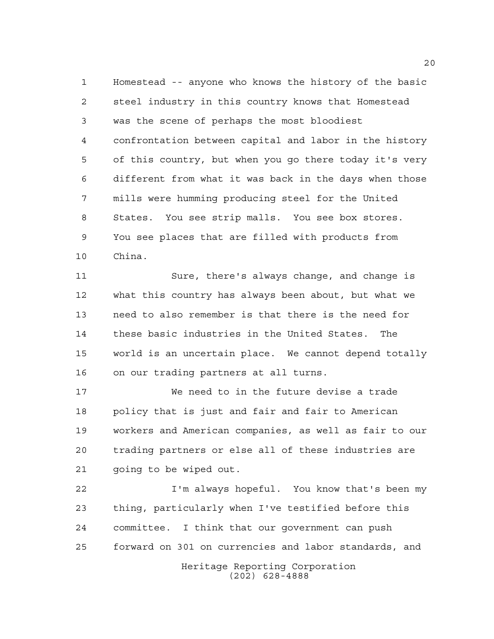Homestead -- anyone who knows the history of the basic steel industry in this country knows that Homestead was the scene of perhaps the most bloodiest confrontation between capital and labor in the history of this country, but when you go there today it's very different from what it was back in the days when those mills were humming producing steel for the United States. You see strip malls. You see box stores. You see places that are filled with products from China.

 Sure, there's always change, and change is what this country has always been about, but what we need to also remember is that there is the need for these basic industries in the United States. The world is an uncertain place. We cannot depend totally on our trading partners at all turns.

 We need to in the future devise a trade policy that is just and fair and fair to American workers and American companies, as well as fair to our trading partners or else all of these industries are going to be wiped out.

 I'm always hopeful. You know that's been my thing, particularly when I've testified before this committee. I think that our government can push forward on 301 on currencies and labor standards, and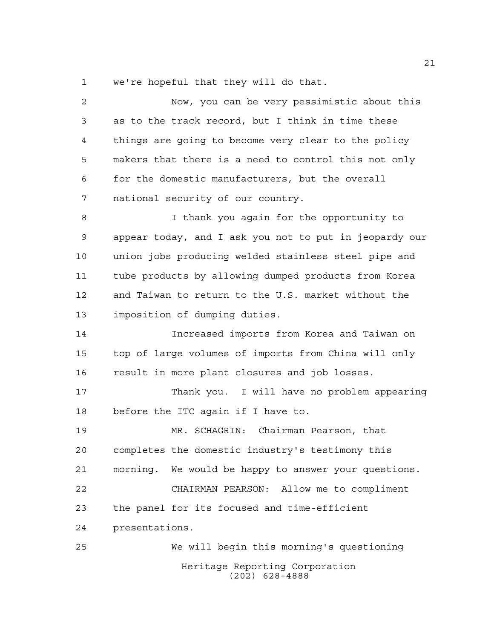we're hopeful that they will do that.

| $\overline{2}$ | Now, you can be very pessimistic about this            |
|----------------|--------------------------------------------------------|
| 3              | as to the track record, but I think in time these      |
| $\overline{4}$ | things are going to become very clear to the policy    |
| 5              | makers that there is a need to control this not only   |
| 6              | for the domestic manufacturers, but the overall        |
| 7              | national security of our country.                      |
| 8              | I thank you again for the opportunity to               |
| 9              | appear today, and I ask you not to put in jeopardy our |
| 10             | union jobs producing welded stainless steel pipe and   |
| 11             | tube products by allowing dumped products from Korea   |
| 12             | and Taiwan to return to the U.S. market without the    |
| 13             | imposition of dumping duties.                          |
| 14             | Increased imports from Korea and Taiwan on             |
| 15             | top of large volumes of imports from China will only   |
| 16             | result in more plant closures and job losses.          |
| 17             | Thank you. I will have no problem appearing            |
| 18             | before the ITC again if I have to.                     |
| 19             | MR. SCHAGRIN: Chairman Pearson, that                   |
| 20             | completes the domestic industry's testimony this       |
| 21             | morning. We would be happy to answer your questions.   |
| 22             | CHAIRMAN PEARSON: Allow me to compliment               |
| 23             | the panel for its focused and time-efficient           |
| 24             | presentations.                                         |
| 25             | We will begin this morning's questioning               |
|                | Heritage Reporting Corporation<br>$(202)$ 628-4888     |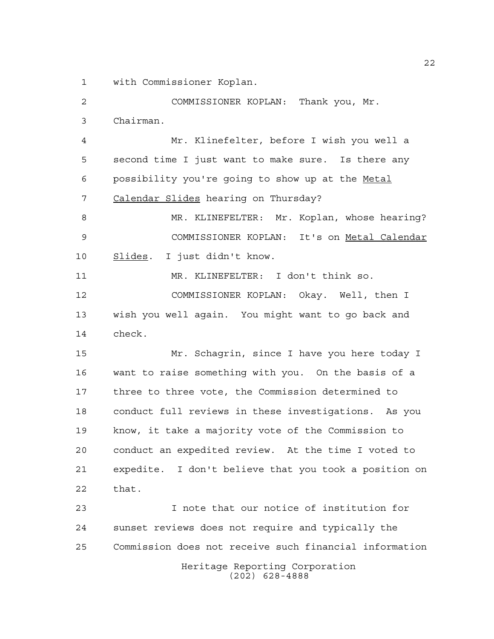with Commissioner Koplan.

 COMMISSIONER KOPLAN: Thank you, Mr. Chairman. Mr. Klinefelter, before I wish you well a second time I just want to make sure. Is there any possibility you're going to show up at the Metal 7 Calendar Slides hearing on Thursday? MR. KLINEFELTER: Mr. Koplan, whose hearing? COMMISSIONER KOPLAN: It's on Metal Calendar 10 Slides. I just didn't know. MR. KLINEFELTER: I don't think so. COMMISSIONER KOPLAN: Okay. Well, then I wish you well again. You might want to go back and check. Mr. Schagrin, since I have you here today I want to raise something with you. On the basis of a three to three vote, the Commission determined to conduct full reviews in these investigations. As you know, it take a majority vote of the Commission to conduct an expedited review. At the time I voted to expedite. I don't believe that you took a position on that. I note that our notice of institution for sunset reviews does not require and typically the Commission does not receive such financial information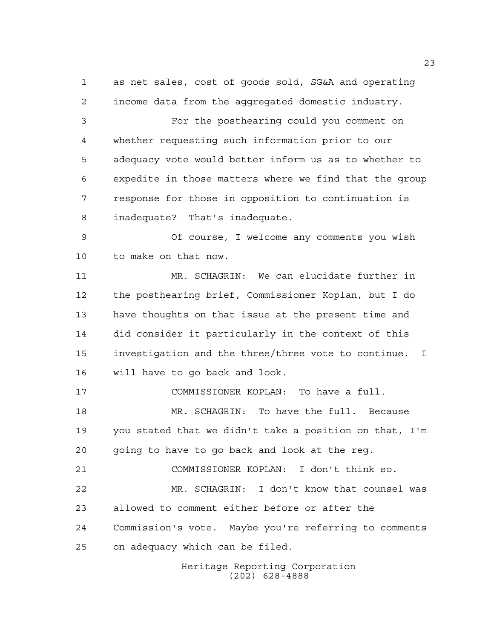as net sales, cost of goods sold, SG&A and operating income data from the aggregated domestic industry. For the posthearing could you comment on whether requesting such information prior to our adequacy vote would better inform us as to whether to expedite in those matters where we find that the group response for those in opposition to continuation is inadequate? That's inadequate. Of course, I welcome any comments you wish to make on that now. MR. SCHAGRIN: We can elucidate further in the posthearing brief, Commissioner Koplan, but I do have thoughts on that issue at the present time and did consider it particularly in the context of this investigation and the three/three vote to continue. I will have to go back and look. COMMISSIONER KOPLAN: To have a full. MR. SCHAGRIN: To have the full. Because you stated that we didn't take a position on that, I'm going to have to go back and look at the reg.

 MR. SCHAGRIN: I don't know that counsel was allowed to comment either before or after the Commission's vote. Maybe you're referring to comments on adequacy which can be filed.

COMMISSIONER KOPLAN: I don't think so.

Heritage Reporting Corporation (202) 628-4888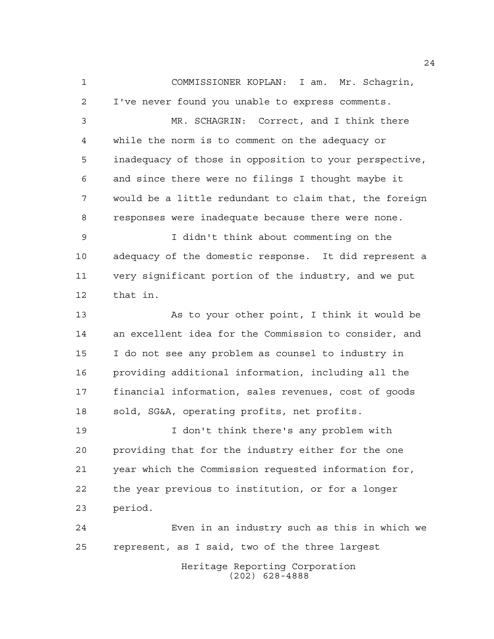COMMISSIONER KOPLAN: I am. Mr. Schagrin, I've never found you unable to express comments. MR. SCHAGRIN: Correct, and I think there while the norm is to comment on the adequacy or inadequacy of those in opposition to your perspective, and since there were no filings I thought maybe it would be a little redundant to claim that, the foreign responses were inadequate because there were none. I didn't think about commenting on the adequacy of the domestic response. It did represent a very significant portion of the industry, and we put that in. As to your other point, I think it would be an excellent idea for the Commission to consider, and I do not see any problem as counsel to industry in providing additional information, including all the financial information, sales revenues, cost of goods sold, SG&A, operating profits, net profits. I don't think there's any problem with providing that for the industry either for the one year which the Commission requested information for, the year previous to institution, or for a longer period.

 Even in an industry such as this in which we represent, as I said, two of the three largest

Heritage Reporting Corporation (202) 628-4888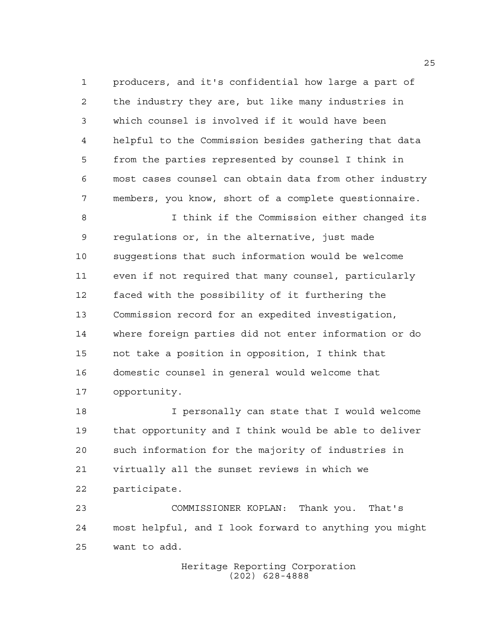producers, and it's confidential how large a part of the industry they are, but like many industries in which counsel is involved if it would have been helpful to the Commission besides gathering that data from the parties represented by counsel I think in most cases counsel can obtain data from other industry members, you know, short of a complete questionnaire.

 I think if the Commission either changed its regulations or, in the alternative, just made suggestions that such information would be welcome even if not required that many counsel, particularly faced with the possibility of it furthering the Commission record for an expedited investigation, where foreign parties did not enter information or do not take a position in opposition, I think that domestic counsel in general would welcome that opportunity.

 I personally can state that I would welcome that opportunity and I think would be able to deliver such information for the majority of industries in virtually all the sunset reviews in which we participate.

 COMMISSIONER KOPLAN: Thank you. That's most helpful, and I look forward to anything you might want to add.

> Heritage Reporting Corporation (202) 628-4888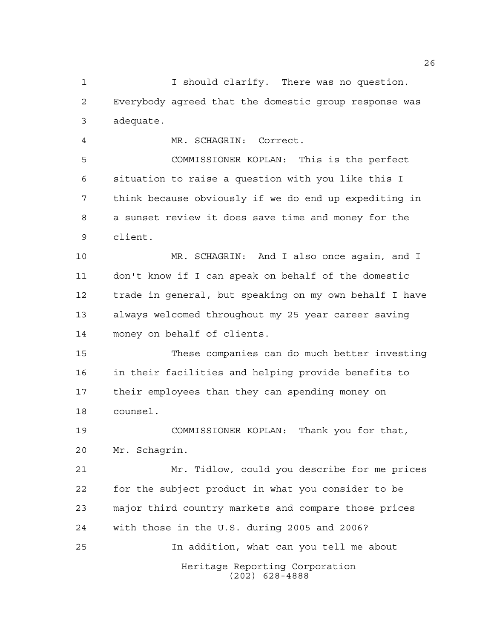I should clarify. There was no question. Everybody agreed that the domestic group response was adequate.

MR. SCHAGRIN: Correct.

 COMMISSIONER KOPLAN: This is the perfect situation to raise a question with you like this I think because obviously if we do end up expediting in a sunset review it does save time and money for the client.

 MR. SCHAGRIN: And I also once again, and I don't know if I can speak on behalf of the domestic trade in general, but speaking on my own behalf I have always welcomed throughout my 25 year career saving money on behalf of clients.

 These companies can do much better investing in their facilities and helping provide benefits to their employees than they can spending money on counsel.

 COMMISSIONER KOPLAN: Thank you for that, Mr. Schagrin.

 Mr. Tidlow, could you describe for me prices for the subject product in what you consider to be major third country markets and compare those prices with those in the U.S. during 2005 and 2006? In addition, what can you tell me about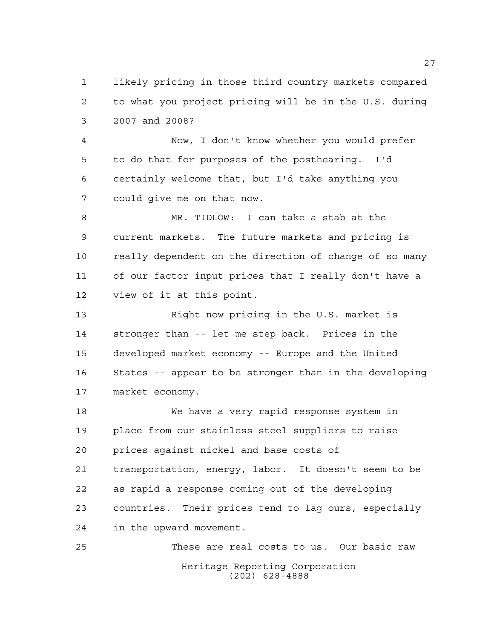likely pricing in those third country markets compared to what you project pricing will be in the U.S. during 2007 and 2008?

 Now, I don't know whether you would prefer to do that for purposes of the posthearing. I'd certainly welcome that, but I'd take anything you could give me on that now.

 MR. TIDLOW: I can take a stab at the current markets. The future markets and pricing is really dependent on the direction of change of so many of our factor input prices that I really don't have a view of it at this point.

13 Right now pricing in the U.S. market is stronger than -- let me step back. Prices in the developed market economy -- Europe and the United States -- appear to be stronger than in the developing market economy.

 We have a very rapid response system in place from our stainless steel suppliers to raise prices against nickel and base costs of transportation, energy, labor. It doesn't seem to be as rapid a response coming out of the developing countries. Their prices tend to lag ours, especially in the upward movement.

Heritage Reporting Corporation (202) 628-4888 These are real costs to us. Our basic raw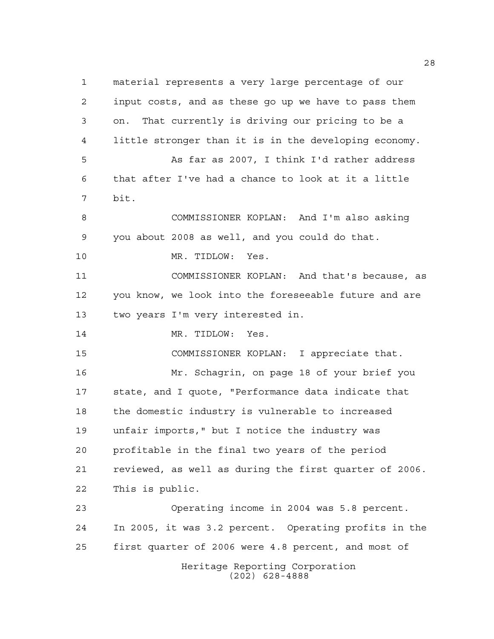Heritage Reporting Corporation (202) 628-4888 material represents a very large percentage of our input costs, and as these go up we have to pass them on. That currently is driving our pricing to be a little stronger than it is in the developing economy. As far as 2007, I think I'd rather address that after I've had a chance to look at it a little bit. COMMISSIONER KOPLAN: And I'm also asking you about 2008 as well, and you could do that. MR. TIDLOW: Yes. COMMISSIONER KOPLAN: And that's because, as you know, we look into the foreseeable future and are two years I'm very interested in. 14 MR. TIDLOW: Yes. COMMISSIONER KOPLAN: I appreciate that. Mr. Schagrin, on page 18 of your brief you state, and I quote, "Performance data indicate that the domestic industry is vulnerable to increased unfair imports," but I notice the industry was profitable in the final two years of the period reviewed, as well as during the first quarter of 2006. This is public. Operating income in 2004 was 5.8 percent. In 2005, it was 3.2 percent. Operating profits in the first quarter of 2006 were 4.8 percent, and most of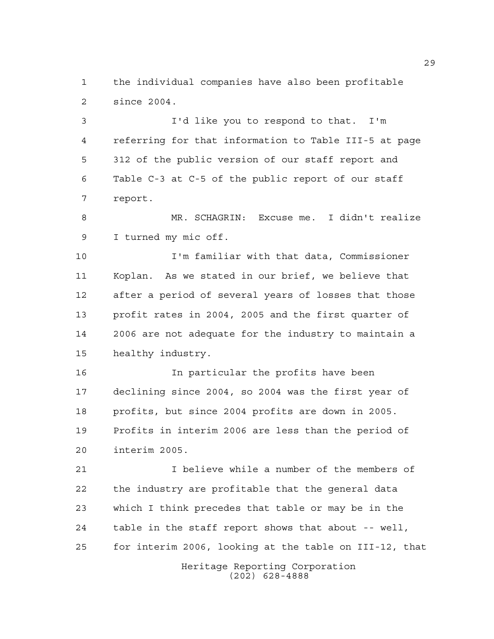the individual companies have also been profitable since 2004.

 I'd like you to respond to that. I'm referring for that information to Table III-5 at page 312 of the public version of our staff report and Table C-3 at C-5 of the public report of our staff report.

 MR. SCHAGRIN: Excuse me. I didn't realize I turned my mic off.

 I'm familiar with that data, Commissioner Koplan. As we stated in our brief, we believe that after a period of several years of losses that those profit rates in 2004, 2005 and the first quarter of 2006 are not adequate for the industry to maintain a healthy industry.

 In particular the profits have been declining since 2004, so 2004 was the first year of profits, but since 2004 profits are down in 2005. Profits in interim 2006 are less than the period of interim 2005.

 I believe while a number of the members of the industry are profitable that the general data which I think precedes that table or may be in the table in the staff report shows that about -- well, for interim 2006, looking at the table on III-12, that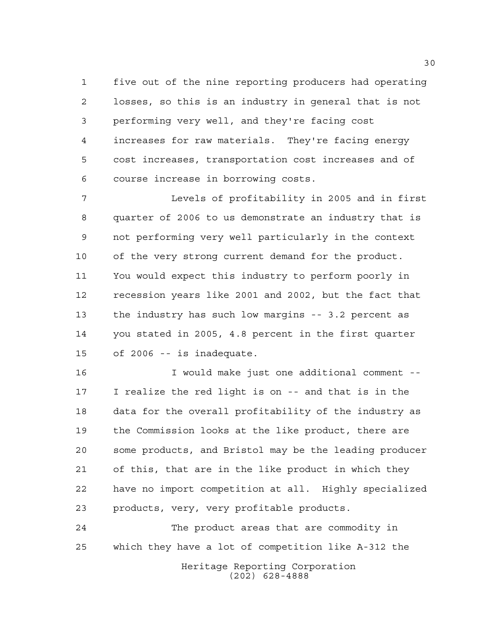five out of the nine reporting producers had operating losses, so this is an industry in general that is not performing very well, and they're facing cost increases for raw materials. They're facing energy cost increases, transportation cost increases and of course increase in borrowing costs.

 Levels of profitability in 2005 and in first quarter of 2006 to us demonstrate an industry that is not performing very well particularly in the context of the very strong current demand for the product. You would expect this industry to perform poorly in recession years like 2001 and 2002, but the fact that the industry has such low margins -- 3.2 percent as you stated in 2005, 4.8 percent in the first quarter of 2006 -- is inadequate.

 I would make just one additional comment -- I realize the red light is on -- and that is in the data for the overall profitability of the industry as the Commission looks at the like product, there are some products, and Bristol may be the leading producer of this, that are in the like product in which they have no import competition at all. Highly specialized products, very, very profitable products.

Heritage Reporting Corporation (202) 628-4888 The product areas that are commodity in which they have a lot of competition like A-312 the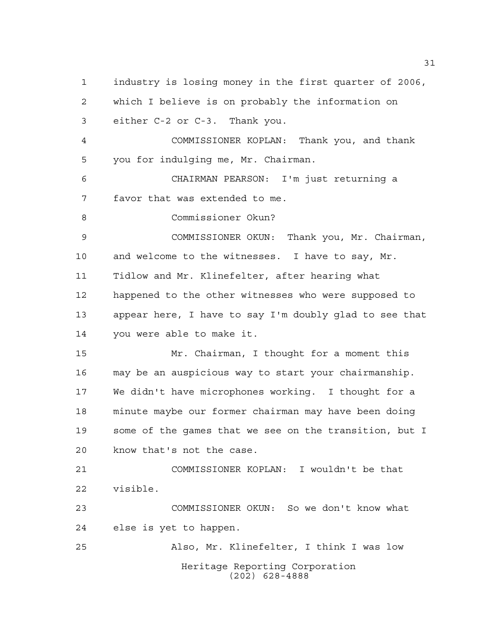Heritage Reporting Corporation (202) 628-4888 industry is losing money in the first quarter of 2006, which I believe is on probably the information on either C-2 or C-3. Thank you. COMMISSIONER KOPLAN: Thank you, and thank you for indulging me, Mr. Chairman. CHAIRMAN PEARSON: I'm just returning a favor that was extended to me. Commissioner Okun? COMMISSIONER OKUN: Thank you, Mr. Chairman, and welcome to the witnesses. I have to say, Mr. Tidlow and Mr. Klinefelter, after hearing what happened to the other witnesses who were supposed to appear here, I have to say I'm doubly glad to see that you were able to make it. Mr. Chairman, I thought for a moment this may be an auspicious way to start your chairmanship. We didn't have microphones working. I thought for a minute maybe our former chairman may have been doing some of the games that we see on the transition, but I know that's not the case. COMMISSIONER KOPLAN: I wouldn't be that visible. COMMISSIONER OKUN: So we don't know what else is yet to happen. Also, Mr. Klinefelter, I think I was low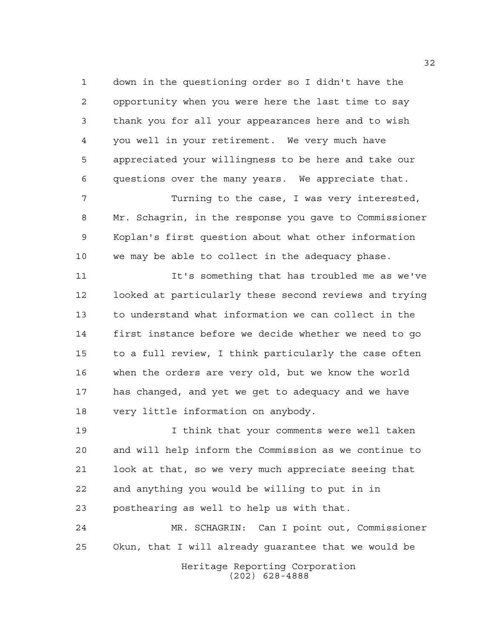down in the questioning order so I didn't have the opportunity when you were here the last time to say thank you for all your appearances here and to wish you well in your retirement. We very much have appreciated your willingness to be here and take our questions over the many years. We appreciate that.

 Turning to the case, I was very interested, Mr. Schagrin, in the response you gave to Commissioner Koplan's first question about what other information we may be able to collect in the adequacy phase.

 It's something that has troubled me as we've looked at particularly these second reviews and trying to understand what information we can collect in the first instance before we decide whether we need to go to a full review, I think particularly the case often when the orders are very old, but we know the world has changed, and yet we get to adequacy and we have very little information on anybody.

 I think that your comments were well taken and will help inform the Commission as we continue to look at that, so we very much appreciate seeing that and anything you would be willing to put in in posthearing as well to help us with that.

Heritage Reporting Corporation MR. SCHAGRIN: Can I point out, Commissioner Okun, that I will already guarantee that we would be

(202) 628-4888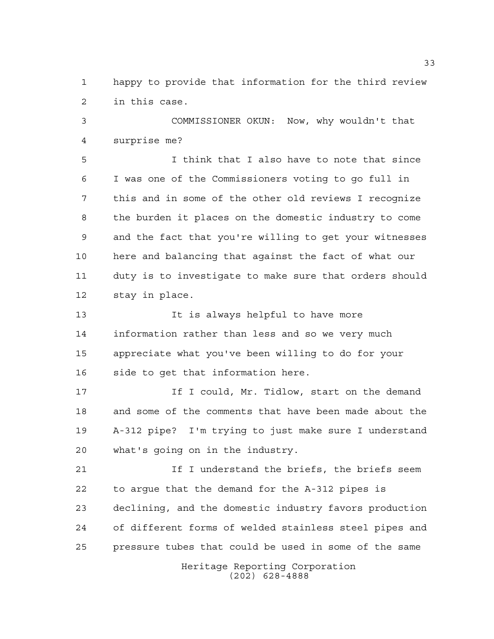happy to provide that information for the third review in this case.

 COMMISSIONER OKUN: Now, why wouldn't that surprise me?

 I think that I also have to note that since I was one of the Commissioners voting to go full in this and in some of the other old reviews I recognize the burden it places on the domestic industry to come and the fact that you're willing to get your witnesses here and balancing that against the fact of what our duty is to investigate to make sure that orders should stay in place.

 It is always helpful to have more information rather than less and so we very much appreciate what you've been willing to do for your side to get that information here.

17 17 If I could, Mr. Tidlow, start on the demand and some of the comments that have been made about the A-312 pipe? I'm trying to just make sure I understand what's going on in the industry.

21 1 If I understand the briefs, the briefs seem to argue that the demand for the A-312 pipes is declining, and the domestic industry favors production of different forms of welded stainless steel pipes and pressure tubes that could be used in some of the same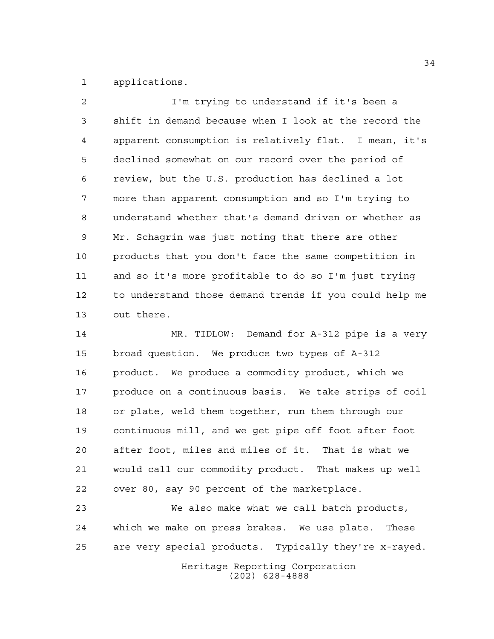applications.

 I'm trying to understand if it's been a shift in demand because when I look at the record the apparent consumption is relatively flat. I mean, it's declined somewhat on our record over the period of review, but the U.S. production has declined a lot more than apparent consumption and so I'm trying to understand whether that's demand driven or whether as Mr. Schagrin was just noting that there are other products that you don't face the same competition in and so it's more profitable to do so I'm just trying to understand those demand trends if you could help me out there.

 MR. TIDLOW: Demand for A-312 pipe is a very broad question. We produce two types of A-312 product. We produce a commodity product, which we produce on a continuous basis. We take strips of coil or plate, weld them together, run them through our continuous mill, and we get pipe off foot after foot after foot, miles and miles of it. That is what we would call our commodity product. That makes up well over 80, say 90 percent of the marketplace.

 We also make what we call batch products, which we make on press brakes. We use plate. These are very special products. Typically they're x-rayed.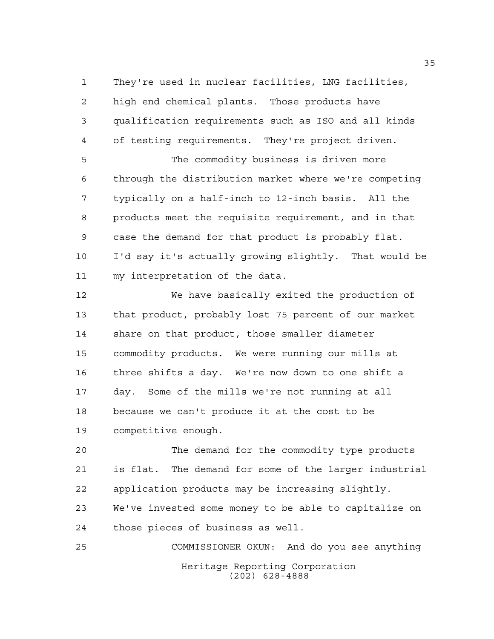They're used in nuclear facilities, LNG facilities, high end chemical plants. Those products have qualification requirements such as ISO and all kinds of testing requirements. They're project driven. The commodity business is driven more

 through the distribution market where we're competing typically on a half-inch to 12-inch basis. All the products meet the requisite requirement, and in that case the demand for that product is probably flat. I'd say it's actually growing slightly. That would be my interpretation of the data.

 We have basically exited the production of that product, probably lost 75 percent of our market share on that product, those smaller diameter commodity products. We were running our mills at three shifts a day. We're now down to one shift a day. Some of the mills we're not running at all because we can't produce it at the cost to be competitive enough.

 The demand for the commodity type products is flat. The demand for some of the larger industrial application products may be increasing slightly. We've invested some money to be able to capitalize on those pieces of business as well.

Heritage Reporting Corporation (202) 628-4888 COMMISSIONER OKUN: And do you see anything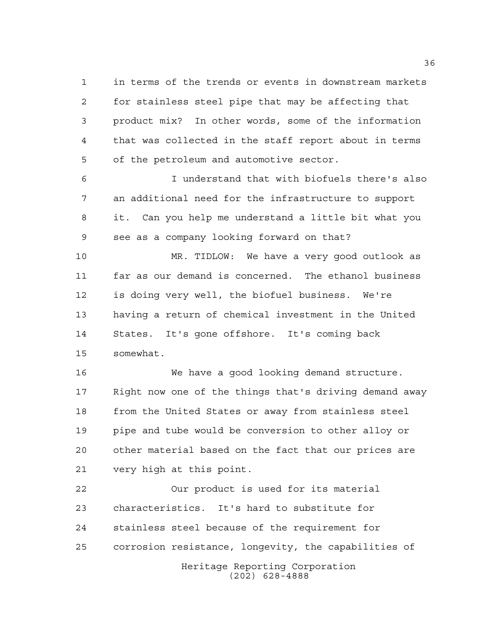in terms of the trends or events in downstream markets for stainless steel pipe that may be affecting that product mix? In other words, some of the information that was collected in the staff report about in terms of the petroleum and automotive sector.

 I understand that with biofuels there's also an additional need for the infrastructure to support it. Can you help me understand a little bit what you see as a company looking forward on that?

 MR. TIDLOW: We have a very good outlook as far as our demand is concerned. The ethanol business is doing very well, the biofuel business. We're having a return of chemical investment in the United States. It's gone offshore. It's coming back somewhat.

 We have a good looking demand structure. Right now one of the things that's driving demand away from the United States or away from stainless steel pipe and tube would be conversion to other alloy or other material based on the fact that our prices are very high at this point.

Heritage Reporting Corporation Our product is used for its material characteristics. It's hard to substitute for stainless steel because of the requirement for corrosion resistance, longevity, the capabilities of

(202) 628-4888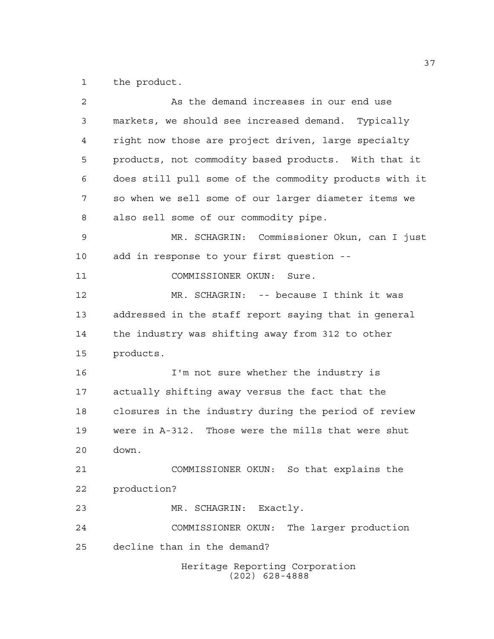the product.

| 2  | As the demand increases in our end use                 |
|----|--------------------------------------------------------|
| 3  | markets, we should see increased demand. Typically     |
| 4  | right now those are project driven, large specialty    |
| 5  | products, not commodity based products. With that it   |
| 6  | does still pull some of the commodity products with it |
| 7  | so when we sell some of our larger diameter items we   |
| 8  | also sell some of our commodity pipe.                  |
| 9  | MR. SCHAGRIN: Commissioner Okun, can I just            |
| 10 | add in response to your first question --              |
| 11 | COMMISSIONER OKUN:<br>Sure.                            |
| 12 | MR. SCHAGRIN: -- because I think it was                |
| 13 | addressed in the staff report saying that in general   |
| 14 | the industry was shifting away from 312 to other       |
| 15 | products.                                              |
| 16 | I'm not sure whether the industry is                   |
| 17 | actually shifting away versus the fact that the        |
| 18 | closures in the industry during the period of review   |
| 19 | were in A-312. Those were the mills that were shut     |
| 20 | down.                                                  |
| 21 | COMMISSIONER OKUN: So that explains the                |
| 22 | production?                                            |
| 23 | Exactly.<br>MR. SCHAGRIN:                              |
| 24 | The larger production<br>COMMISSIONER OKUN:            |
| 25 | decline than in the demand?                            |
|    | Heritage Reporting Corporation<br>$(202)$ 628-4888     |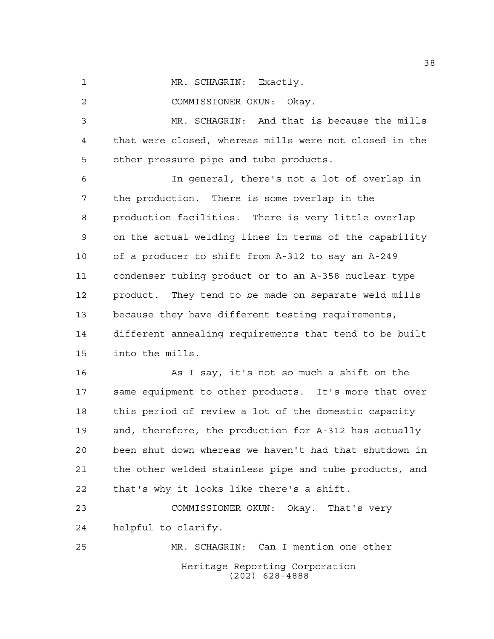1 MR. SCHAGRIN: Exactly.

COMMISSIONER OKUN: Okay.

 MR. SCHAGRIN: And that is because the mills that were closed, whereas mills were not closed in the other pressure pipe and tube products.

 In general, there's not a lot of overlap in the production. There is some overlap in the production facilities. There is very little overlap on the actual welding lines in terms of the capability of a producer to shift from A-312 to say an A-249 condenser tubing product or to an A-358 nuclear type product. They tend to be made on separate weld mills because they have different testing requirements, different annealing requirements that tend to be built into the mills.

 As I say, it's not so much a shift on the same equipment to other products. It's more that over this period of review a lot of the domestic capacity and, therefore, the production for A-312 has actually been shut down whereas we haven't had that shutdown in the other welded stainless pipe and tube products, and that's why it looks like there's a shift.

 COMMISSIONER OKUN: Okay. That's very helpful to clarify. MR. SCHAGRIN: Can I mention one other

Heritage Reporting Corporation (202) 628-4888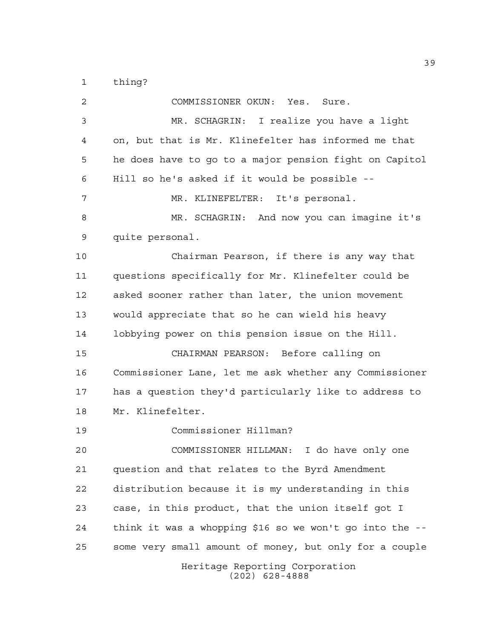thing?

Heritage Reporting Corporation (202) 628-4888 COMMISSIONER OKUN: Yes. Sure. MR. SCHAGRIN: I realize you have a light on, but that is Mr. Klinefelter has informed me that he does have to go to a major pension fight on Capitol Hill so he's asked if it would be possible -- MR. KLINEFELTER: It's personal. MR. SCHAGRIN: And now you can imagine it's quite personal. Chairman Pearson, if there is any way that questions specifically for Mr. Klinefelter could be asked sooner rather than later, the union movement would appreciate that so he can wield his heavy lobbying power on this pension issue on the Hill. CHAIRMAN PEARSON: Before calling on Commissioner Lane, let me ask whether any Commissioner has a question they'd particularly like to address to Mr. Klinefelter. Commissioner Hillman? COMMISSIONER HILLMAN: I do have only one question and that relates to the Byrd Amendment distribution because it is my understanding in this case, in this product, that the union itself got I think it was a whopping \$16 so we won't go into the -- some very small amount of money, but only for a couple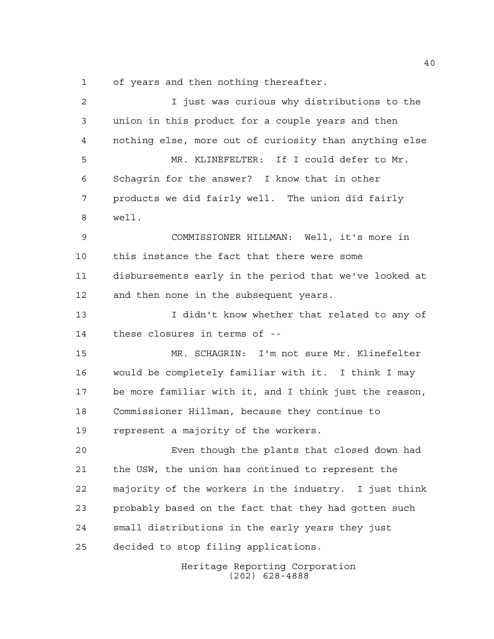of years and then nothing thereafter.

| $\overline{a}$ | I just was curious why distributions to the            |
|----------------|--------------------------------------------------------|
| 3              | union in this product for a couple years and then      |
| 4              | nothing else, more out of curiosity than anything else |
| 5              | MR. KLINEFELTER: If I could defer to Mr.               |
| 6              | Schagrin for the answer? I know that in other          |
| 7              | products we did fairly well. The union did fairly      |
| 8              | well.                                                  |
| 9              | COMMISSIONER HILLMAN: Well, it's more in               |
| 10             | this instance the fact that there were some            |
| 11             | disbursements early in the period that we've looked at |
| 12             | and then none in the subsequent years.                 |
| 13             | I didn't know whether that related to any of           |
| 14             | these closures in terms of --                          |
| 15             | MR. SCHAGRIN: I'm not sure Mr. Klinefelter             |
| 16             | would be completely familiar with it. I think I may    |
| 17             | be more familiar with it, and I think just the reason, |
| 18             | Commissioner Hillman, because they continue to         |
| 19             | represent a majority of the workers.                   |
| 20             | Even though the plants that closed down had            |
| 21             | the USW, the union has continued to represent the      |
| 22             | majority of the workers in the industry. I just think  |
| 23             | probably based on the fact that they had gotten such   |
| 24             | small distributions in the early years they just       |
| 25             | decided to stop filing applications.                   |
|                |                                                        |

Heritage Reporting Corporation (202) 628-4888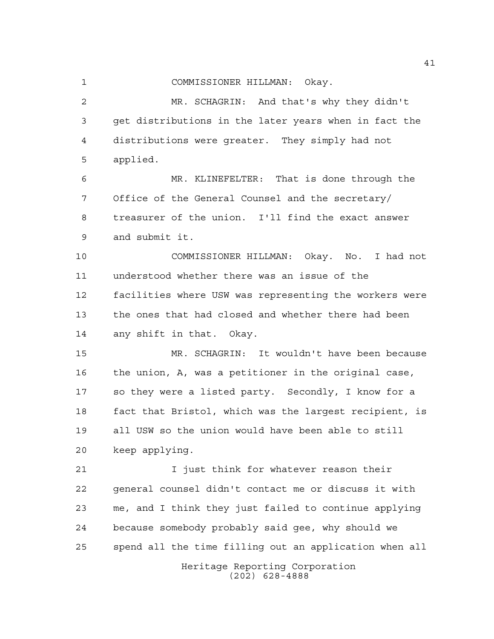COMMISSIONER HILLMAN: Okay.

 MR. SCHAGRIN: And that's why they didn't get distributions in the later years when in fact the distributions were greater. They simply had not applied.

 MR. KLINEFELTER: That is done through the Office of the General Counsel and the secretary/ treasurer of the union. I'll find the exact answer and submit it.

 COMMISSIONER HILLMAN: Okay. No. I had not understood whether there was an issue of the facilities where USW was representing the workers were the ones that had closed and whether there had been any shift in that. Okay.

 MR. SCHAGRIN: It wouldn't have been because the union, A, was a petitioner in the original case, so they were a listed party. Secondly, I know for a fact that Bristol, which was the largest recipient, is all USW so the union would have been able to still keep applying.

21 1 I just think for whatever reason their general counsel didn't contact me or discuss it with me, and I think they just failed to continue applying because somebody probably said gee, why should we spend all the time filling out an application when all

Heritage Reporting Corporation (202) 628-4888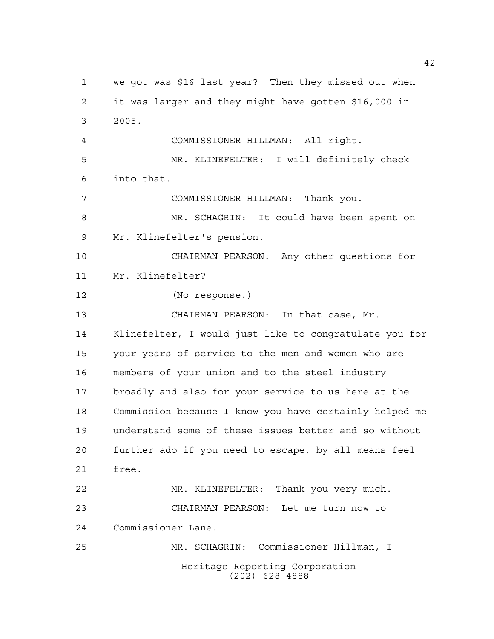Heritage Reporting Corporation (202) 628-4888 we got was \$16 last year? Then they missed out when it was larger and they might have gotten \$16,000 in 2005. COMMISSIONER HILLMAN: All right. MR. KLINEFELTER: I will definitely check into that. COMMISSIONER HILLMAN: Thank you. MR. SCHAGRIN: It could have been spent on Mr. Klinefelter's pension. CHAIRMAN PEARSON: Any other questions for Mr. Klinefelter? (No response.) CHAIRMAN PEARSON: In that case, Mr. Klinefelter, I would just like to congratulate you for your years of service to the men and women who are members of your union and to the steel industry broadly and also for your service to us here at the Commission because I know you have certainly helped me understand some of these issues better and so without further ado if you need to escape, by all means feel free. MR. KLINEFELTER: Thank you very much. CHAIRMAN PEARSON: Let me turn now to Commissioner Lane. MR. SCHAGRIN: Commissioner Hillman, I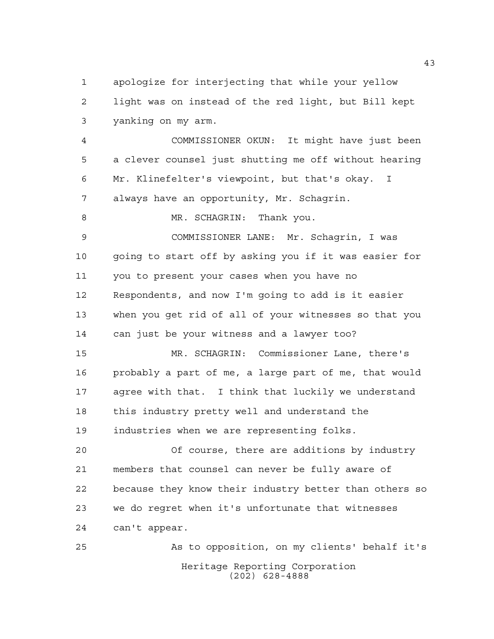apologize for interjecting that while your yellow light was on instead of the red light, but Bill kept yanking on my arm.

 COMMISSIONER OKUN: It might have just been a clever counsel just shutting me off without hearing Mr. Klinefelter's viewpoint, but that's okay. I always have an opportunity, Mr. Schagrin.

8 MR. SCHAGRIN: Thank you.

 COMMISSIONER LANE: Mr. Schagrin, I was going to start off by asking you if it was easier for you to present your cases when you have no Respondents, and now I'm going to add is it easier when you get rid of all of your witnesses so that you can just be your witness and a lawyer too?

 MR. SCHAGRIN: Commissioner Lane, there's probably a part of me, a large part of me, that would agree with that. I think that luckily we understand this industry pretty well and understand the industries when we are representing folks.

 Of course, there are additions by industry members that counsel can never be fully aware of because they know their industry better than others so we do regret when it's unfortunate that witnesses can't appear.

Heritage Reporting Corporation (202) 628-4888 As to opposition, on my clients' behalf it's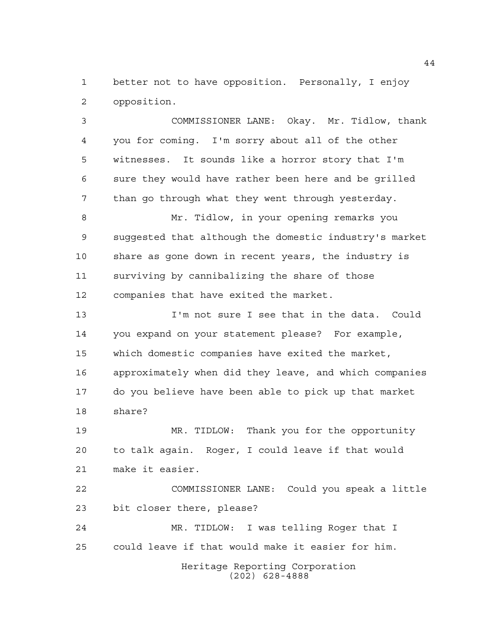better not to have opposition. Personally, I enjoy opposition.

 COMMISSIONER LANE: Okay. Mr. Tidlow, thank you for coming. I'm sorry about all of the other witnesses. It sounds like a horror story that I'm sure they would have rather been here and be grilled than go through what they went through yesterday. Mr. Tidlow, in your opening remarks you suggested that although the domestic industry's market share as gone down in recent years, the industry is surviving by cannibalizing the share of those companies that have exited the market. I'm not sure I see that in the data. Could you expand on your statement please? For example, which domestic companies have exited the market, approximately when did they leave, and which companies do you believe have been able to pick up that market share? MR. TIDLOW: Thank you for the opportunity

 to talk again. Roger, I could leave if that would make it easier.

 COMMISSIONER LANE: Could you speak a little bit closer there, please?

 MR. TIDLOW: I was telling Roger that I could leave if that would make it easier for him.

> Heritage Reporting Corporation (202) 628-4888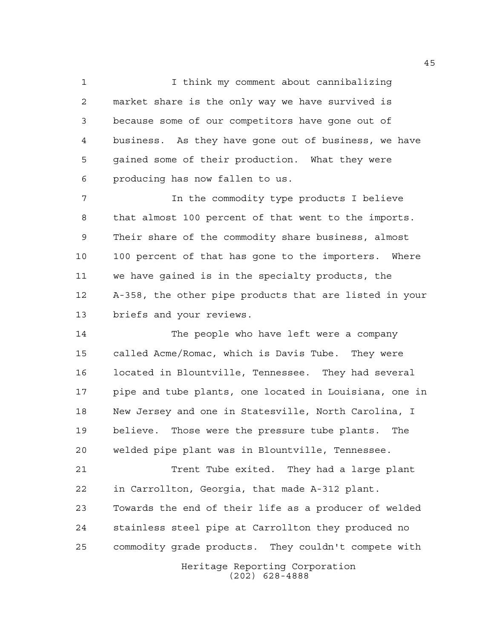I think my comment about cannibalizing market share is the only way we have survived is because some of our competitors have gone out of business. As they have gone out of business, we have gained some of their production. What they were producing has now fallen to us.

 In the commodity type products I believe that almost 100 percent of that went to the imports. Their share of the commodity share business, almost 100 percent of that has gone to the importers. Where we have gained is in the specialty products, the A-358, the other pipe products that are listed in your briefs and your reviews.

 The people who have left were a company called Acme/Romac, which is Davis Tube. They were located in Blountville, Tennessee. They had several pipe and tube plants, one located in Louisiana, one in New Jersey and one in Statesville, North Carolina, I believe. Those were the pressure tube plants. The welded pipe plant was in Blountville, Tennessee.

21 Trent Tube exited. They had a large plant in Carrollton, Georgia, that made A-312 plant. Towards the end of their life as a producer of welded stainless steel pipe at Carrollton they produced no commodity grade products. They couldn't compete with

Heritage Reporting Corporation (202) 628-4888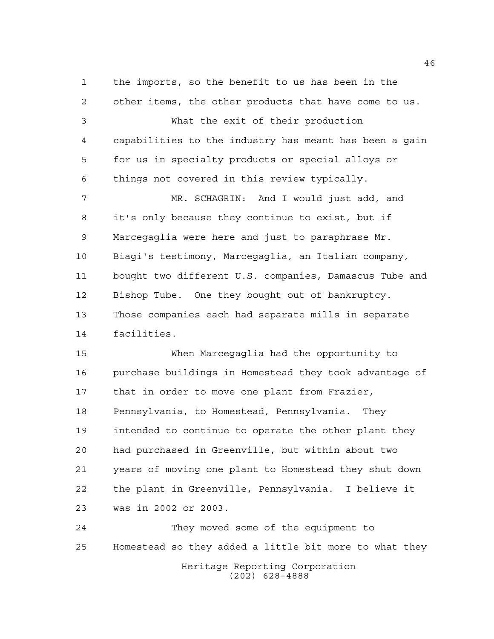the imports, so the benefit to us has been in the other items, the other products that have come to us. What the exit of their production capabilities to the industry has meant has been a gain for us in specialty products or special alloys or things not covered in this review typically. MR. SCHAGRIN: And I would just add, and it's only because they continue to exist, but if Marcegaglia were here and just to paraphrase Mr. Biagi's testimony, Marcegaglia, an Italian company, bought two different U.S. companies, Damascus Tube and Bishop Tube. One they bought out of bankruptcy. Those companies each had separate mills in separate facilities.

 When Marcegaglia had the opportunity to purchase buildings in Homestead they took advantage of 17 that in order to move one plant from Frazier, Pennsylvania, to Homestead, Pennsylvania. They intended to continue to operate the other plant they had purchased in Greenville, but within about two years of moving one plant to Homestead they shut down the plant in Greenville, Pennsylvania. I believe it was in 2002 or 2003.

Heritage Reporting Corporation (202) 628-4888 They moved some of the equipment to Homestead so they added a little bit more to what they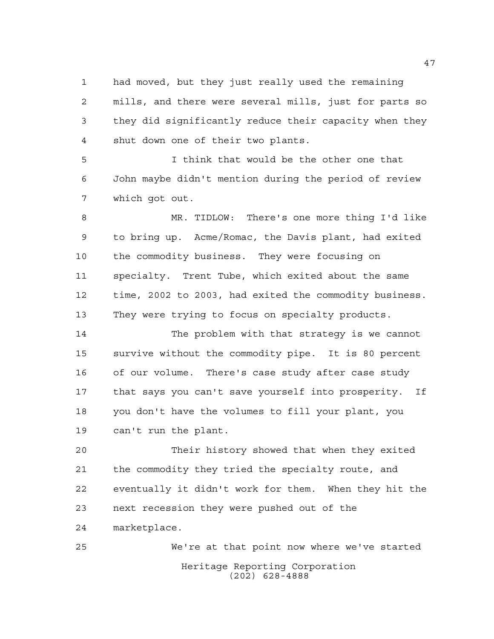had moved, but they just really used the remaining mills, and there were several mills, just for parts so they did significantly reduce their capacity when they shut down one of their two plants.

 I think that would be the other one that John maybe didn't mention during the period of review which got out.

 MR. TIDLOW: There's one more thing I'd like to bring up. Acme/Romac, the Davis plant, had exited the commodity business. They were focusing on specialty. Trent Tube, which exited about the same time, 2002 to 2003, had exited the commodity business. They were trying to focus on specialty products.

 The problem with that strategy is we cannot survive without the commodity pipe. It is 80 percent of our volume. There's case study after case study that says you can't save yourself into prosperity. If you don't have the volumes to fill your plant, you can't run the plant.

 Their history showed that when they exited the commodity they tried the specialty route, and eventually it didn't work for them. When they hit the next recession they were pushed out of the marketplace.

Heritage Reporting Corporation (202) 628-4888 We're at that point now where we've started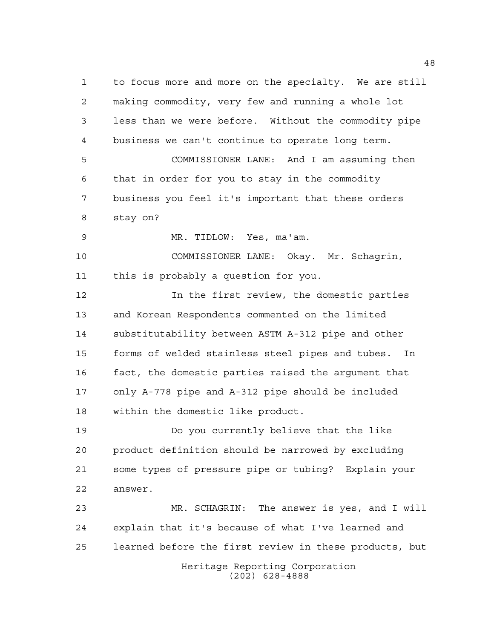to focus more and more on the specialty. We are still making commodity, very few and running a whole lot less than we were before. Without the commodity pipe business we can't continue to operate long term. COMMISSIONER LANE: And I am assuming then that in order for you to stay in the commodity business you feel it's important that these orders stay on?

MR. TIDLOW: Yes, ma'am.

 COMMISSIONER LANE: Okay. Mr. Schagrin, this is probably a question for you.

 In the first review, the domestic parties and Korean Respondents commented on the limited substitutability between ASTM A-312 pipe and other forms of welded stainless steel pipes and tubes. In fact, the domestic parties raised the argument that only A-778 pipe and A-312 pipe should be included within the domestic like product.

 Do you currently believe that the like product definition should be narrowed by excluding some types of pressure pipe or tubing? Explain your answer.

Heritage Reporting Corporation (202) 628-4888 MR. SCHAGRIN: The answer is yes, and I will explain that it's because of what I've learned and learned before the first review in these products, but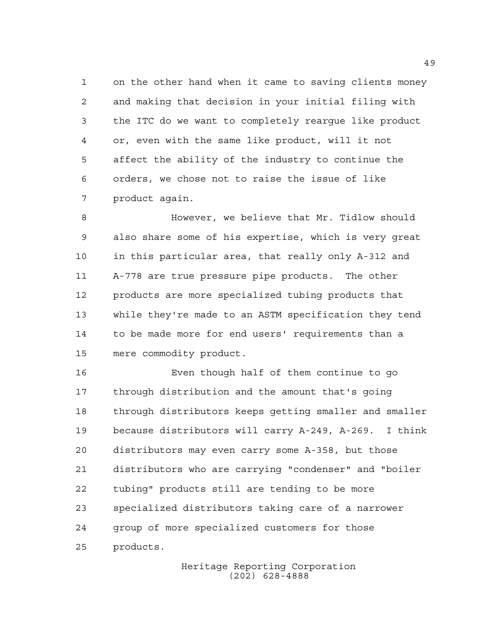on the other hand when it came to saving clients money and making that decision in your initial filing with the ITC do we want to completely reargue like product or, even with the same like product, will it not affect the ability of the industry to continue the orders, we chose not to raise the issue of like product again.

 However, we believe that Mr. Tidlow should also share some of his expertise, which is very great in this particular area, that really only A-312 and A-778 are true pressure pipe products. The other products are more specialized tubing products that while they're made to an ASTM specification they tend to be made more for end users' requirements than a mere commodity product.

 Even though half of them continue to go through distribution and the amount that's going through distributors keeps getting smaller and smaller because distributors will carry A-249, A-269. I think distributors may even carry some A-358, but those distributors who are carrying "condenser" and "boiler tubing" products still are tending to be more specialized distributors taking care of a narrower group of more specialized customers for those products.

> Heritage Reporting Corporation (202) 628-4888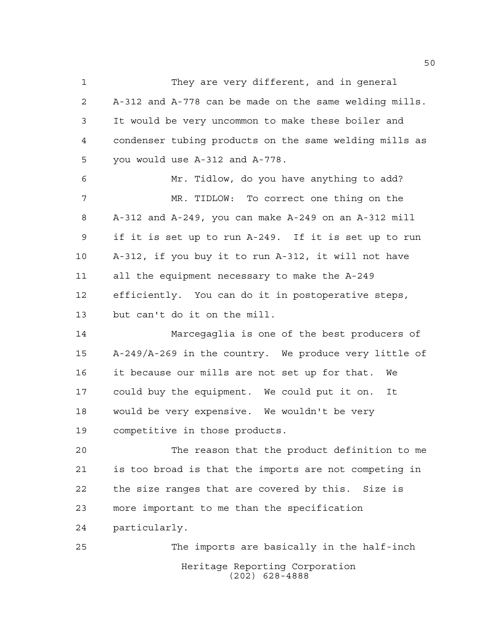They are very different, and in general A-312 and A-778 can be made on the same welding mills. It would be very uncommon to make these boiler and condenser tubing products on the same welding mills as you would use A-312 and A-778. Mr. Tidlow, do you have anything to add? MR. TIDLOW: To correct one thing on the A-312 and A-249, you can make A-249 on an A-312 mill if it is set up to run A-249. If it is set up to run A-312, if you buy it to run A-312, it will not have all the equipment necessary to make the A-249 efficiently. You can do it in postoperative steps, but can't do it on the mill.

 Marcegaglia is one of the best producers of A-249/A-269 in the country. We produce very little of it because our mills are not set up for that. We could buy the equipment. We could put it on. It would be very expensive. We wouldn't be very competitive in those products.

 The reason that the product definition to me is too broad is that the imports are not competing in the size ranges that are covered by this. Size is more important to me than the specification particularly.

Heritage Reporting Corporation (202) 628-4888 The imports are basically in the half-inch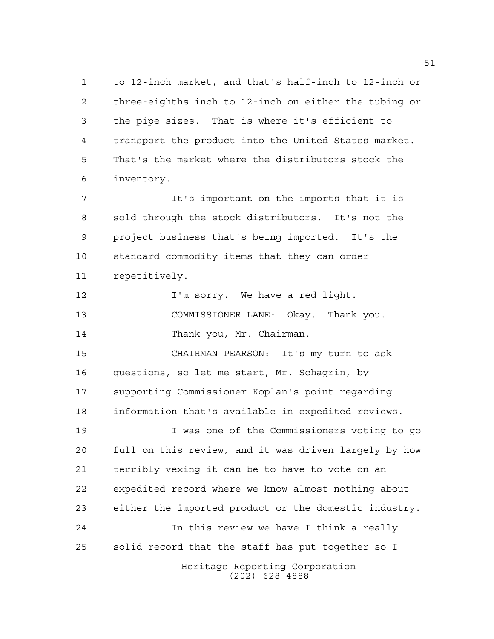to 12-inch market, and that's half-inch to 12-inch or three-eighths inch to 12-inch on either the tubing or the pipe sizes. That is where it's efficient to transport the product into the United States market. That's the market where the distributors stock the inventory.

 It's important on the imports that it is sold through the stock distributors. It's not the project business that's being imported. It's the standard commodity items that they can order repetitively.

**I'm sorry.** We have a red light. COMMISSIONER LANE: Okay. Thank you. 14 Thank you, Mr. Chairman.

 CHAIRMAN PEARSON: It's my turn to ask questions, so let me start, Mr. Schagrin, by supporting Commissioner Koplan's point regarding information that's available in expedited reviews.

Heritage Reporting Corporation I was one of the Commissioners voting to go full on this review, and it was driven largely by how terribly vexing it can be to have to vote on an expedited record where we know almost nothing about either the imported product or the domestic industry. In this review we have I think a really solid record that the staff has put together so I

(202) 628-4888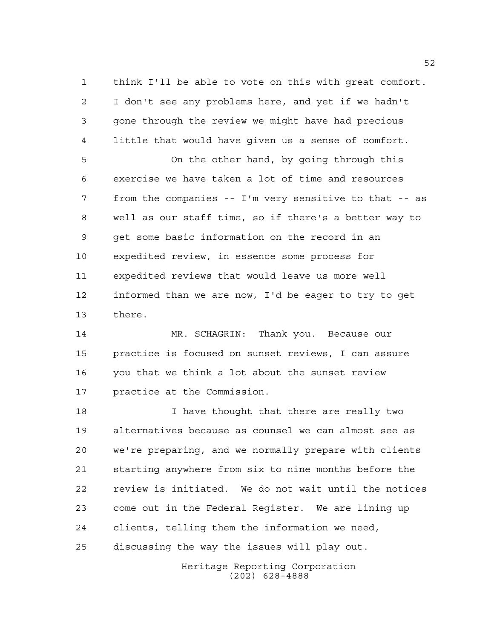think I'll be able to vote on this with great comfort. I don't see any problems here, and yet if we hadn't gone through the review we might have had precious little that would have given us a sense of comfort.

 On the other hand, by going through this exercise we have taken a lot of time and resources from the companies -- I'm very sensitive to that -- as well as our staff time, so if there's a better way to get some basic information on the record in an expedited review, in essence some process for expedited reviews that would leave us more well informed than we are now, I'd be eager to try to get there.

 MR. SCHAGRIN: Thank you. Because our practice is focused on sunset reviews, I can assure you that we think a lot about the sunset review practice at the Commission.

**I** have thought that there are really two alternatives because as counsel we can almost see as we're preparing, and we normally prepare with clients starting anywhere from six to nine months before the review is initiated. We do not wait until the notices come out in the Federal Register. We are lining up clients, telling them the information we need, discussing the way the issues will play out.

> Heritage Reporting Corporation (202) 628-4888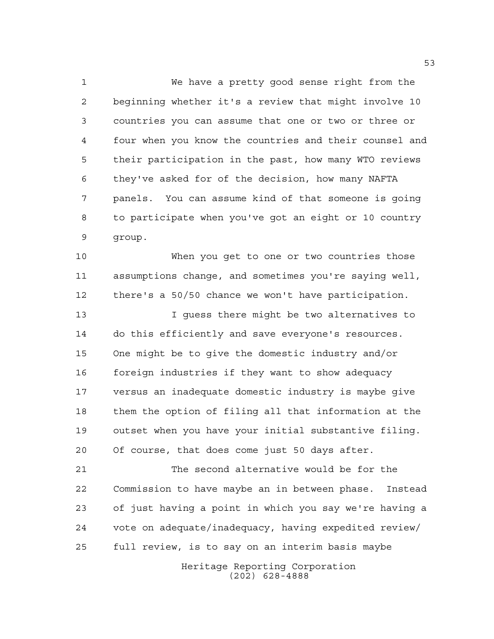We have a pretty good sense right from the beginning whether it's a review that might involve 10 countries you can assume that one or two or three or four when you know the countries and their counsel and their participation in the past, how many WTO reviews they've asked for of the decision, how many NAFTA panels. You can assume kind of that someone is going to participate when you've got an eight or 10 country group.

 When you get to one or two countries those assumptions change, and sometimes you're saying well, there's a 50/50 chance we won't have participation.

 I guess there might be two alternatives to do this efficiently and save everyone's resources. One might be to give the domestic industry and/or foreign industries if they want to show adequacy versus an inadequate domestic industry is maybe give them the option of filing all that information at the outset when you have your initial substantive filing. Of course, that does come just 50 days after.

 The second alternative would be for the Commission to have maybe an in between phase. Instead of just having a point in which you say we're having a vote on adequate/inadequacy, having expedited review/ full review, is to say on an interim basis maybe

> Heritage Reporting Corporation (202) 628-4888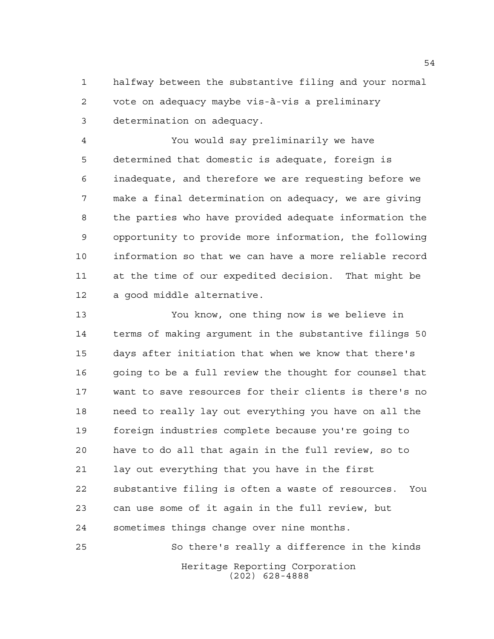halfway between the substantive filing and your normal vote on adequacy maybe vis-à-vis a preliminary determination on adequacy.

 You would say preliminarily we have determined that domestic is adequate, foreign is inadequate, and therefore we are requesting before we make a final determination on adequacy, we are giving the parties who have provided adequate information the opportunity to provide more information, the following information so that we can have a more reliable record at the time of our expedited decision. That might be a good middle alternative.

 You know, one thing now is we believe in terms of making argument in the substantive filings 50 days after initiation that when we know that there's going to be a full review the thought for counsel that want to save resources for their clients is there's no need to really lay out everything you have on all the foreign industries complete because you're going to have to do all that again in the full review, so to lay out everything that you have in the first substantive filing is often a waste of resources. You can use some of it again in the full review, but sometimes things change over nine months.

Heritage Reporting Corporation (202) 628-4888 So there's really a difference in the kinds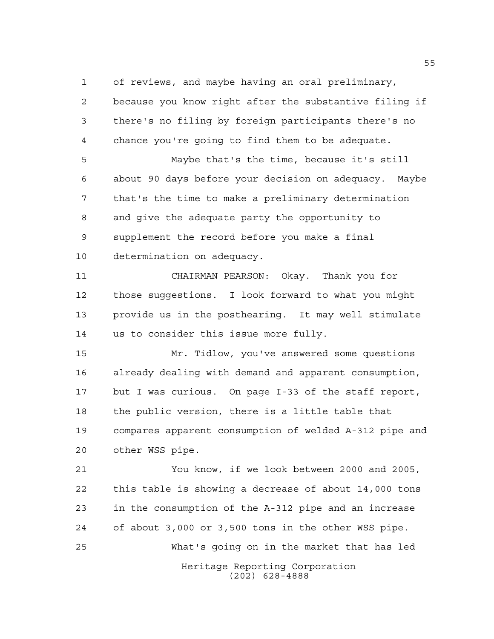of reviews, and maybe having an oral preliminary,

 because you know right after the substantive filing if there's no filing by foreign participants there's no chance you're going to find them to be adequate. Maybe that's the time, because it's still about 90 days before your decision on adequacy. Maybe that's the time to make a preliminary determination and give the adequate party the opportunity to supplement the record before you make a final determination on adequacy. CHAIRMAN PEARSON: Okay. Thank you for

 those suggestions. I look forward to what you might provide us in the posthearing. It may well stimulate us to consider this issue more fully.

 Mr. Tidlow, you've answered some questions already dealing with demand and apparent consumption, but I was curious. On page I-33 of the staff report, the public version, there is a little table that compares apparent consumption of welded A-312 pipe and other WSS pipe.

Heritage Reporting Corporation (202) 628-4888 You know, if we look between 2000 and 2005, this table is showing a decrease of about 14,000 tons in the consumption of the A-312 pipe and an increase of about 3,000 or 3,500 tons in the other WSS pipe. What's going on in the market that has led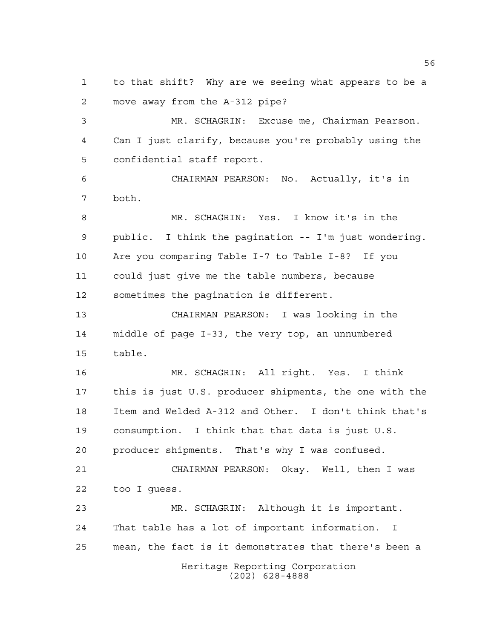to that shift? Why are we seeing what appears to be a move away from the A-312 pipe?

 MR. SCHAGRIN: Excuse me, Chairman Pearson. Can I just clarify, because you're probably using the confidential staff report.

 CHAIRMAN PEARSON: No. Actually, it's in both.

 MR. SCHAGRIN: Yes. I know it's in the public. I think the pagination -- I'm just wondering. Are you comparing Table I-7 to Table I-8? If you could just give me the table numbers, because sometimes the pagination is different.

 CHAIRMAN PEARSON: I was looking in the middle of page I-33, the very top, an unnumbered table.

 MR. SCHAGRIN: All right. Yes. I think this is just U.S. producer shipments, the one with the Item and Welded A-312 and Other. I don't think that's consumption. I think that that data is just U.S. producer shipments. That's why I was confused.

 CHAIRMAN PEARSON: Okay. Well, then I was too I guess.

Heritage Reporting Corporation (202) 628-4888 MR. SCHAGRIN: Although it is important. That table has a lot of important information. I mean, the fact is it demonstrates that there's been a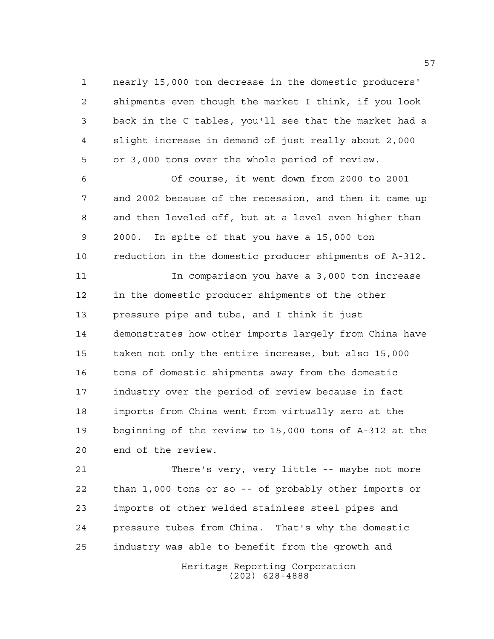nearly 15,000 ton decrease in the domestic producers' shipments even though the market I think, if you look back in the C tables, you'll see that the market had a slight increase in demand of just really about 2,000 or 3,000 tons over the whole period of review.

 Of course, it went down from 2000 to 2001 and 2002 because of the recession, and then it came up and then leveled off, but at a level even higher than 2000. In spite of that you have a 15,000 ton reduction in the domestic producer shipments of A-312.

 In comparison you have a 3,000 ton increase in the domestic producer shipments of the other pressure pipe and tube, and I think it just demonstrates how other imports largely from China have taken not only the entire increase, but also 15,000 tons of domestic shipments away from the domestic industry over the period of review because in fact imports from China went from virtually zero at the beginning of the review to 15,000 tons of A-312 at the end of the review.

 There's very, very little -- maybe not more than 1,000 tons or so -- of probably other imports or imports of other welded stainless steel pipes and pressure tubes from China. That's why the domestic industry was able to benefit from the growth and

> Heritage Reporting Corporation (202) 628-4888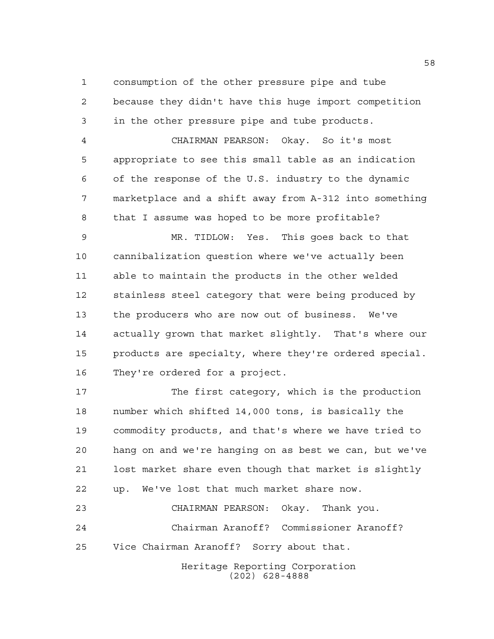consumption of the other pressure pipe and tube because they didn't have this huge import competition

in the other pressure pipe and tube products.

 CHAIRMAN PEARSON: Okay. So it's most appropriate to see this small table as an indication of the response of the U.S. industry to the dynamic marketplace and a shift away from A-312 into something that I assume was hoped to be more profitable?

 MR. TIDLOW: Yes. This goes back to that cannibalization question where we've actually been able to maintain the products in the other welded stainless steel category that were being produced by the producers who are now out of business. We've actually grown that market slightly. That's where our products are specialty, where they're ordered special. They're ordered for a project.

 The first category, which is the production number which shifted 14,000 tons, is basically the commodity products, and that's where we have tried to hang on and we're hanging on as best we can, but we've lost market share even though that market is slightly up. We've lost that much market share now. CHAIRMAN PEARSON: Okay. Thank you.

 Chairman Aranoff? Commissioner Aranoff? Vice Chairman Aranoff? Sorry about that.

> Heritage Reporting Corporation (202) 628-4888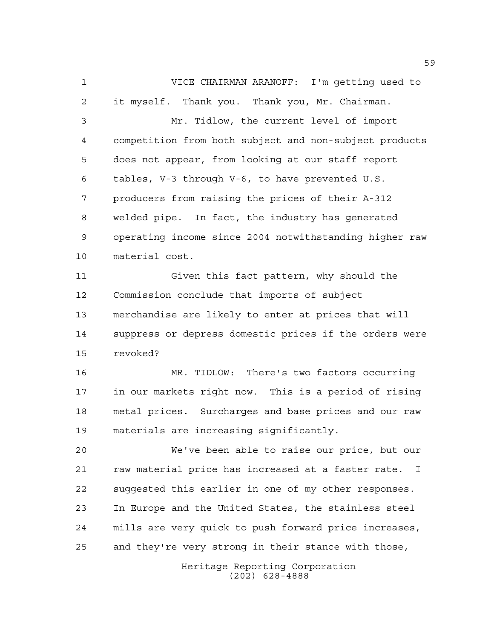VICE CHAIRMAN ARANOFF: I'm getting used to it myself. Thank you. Thank you, Mr. Chairman. Mr. Tidlow, the current level of import competition from both subject and non-subject products does not appear, from looking at our staff report tables, V-3 through V-6, to have prevented U.S. producers from raising the prices of their A-312 welded pipe. In fact, the industry has generated operating income since 2004 notwithstanding higher raw material cost. Given this fact pattern, why should the Commission conclude that imports of subject merchandise are likely to enter at prices that will suppress or depress domestic prices if the orders were revoked? MR. TIDLOW: There's two factors occurring in our markets right now. This is a period of rising metal prices. Surcharges and base prices and our raw

 We've been able to raise our price, but our raw material price has increased at a faster rate. I suggested this earlier in one of my other responses. In Europe and the United States, the stainless steel mills are very quick to push forward price increases, and they're very strong in their stance with those,

materials are increasing significantly.

Heritage Reporting Corporation (202) 628-4888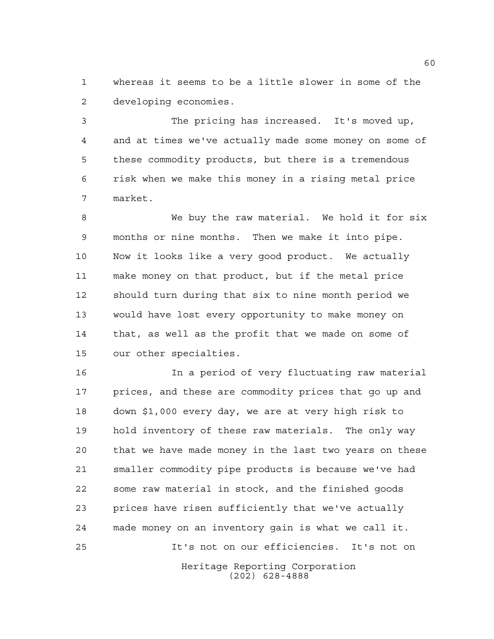whereas it seems to be a little slower in some of the developing economies.

 The pricing has increased. It's moved up, and at times we've actually made some money on some of these commodity products, but there is a tremendous risk when we make this money in a rising metal price market.

 We buy the raw material. We hold it for six months or nine months. Then we make it into pipe. Now it looks like a very good product. We actually make money on that product, but if the metal price should turn during that six to nine month period we would have lost every opportunity to make money on that, as well as the profit that we made on some of our other specialties.

Heritage Reporting Corporation (202) 628-4888 In a period of very fluctuating raw material prices, and these are commodity prices that go up and down \$1,000 every day, we are at very high risk to hold inventory of these raw materials. The only way that we have made money in the last two years on these smaller commodity pipe products is because we've had some raw material in stock, and the finished goods prices have risen sufficiently that we've actually made money on an inventory gain is what we call it. It's not on our efficiencies. It's not on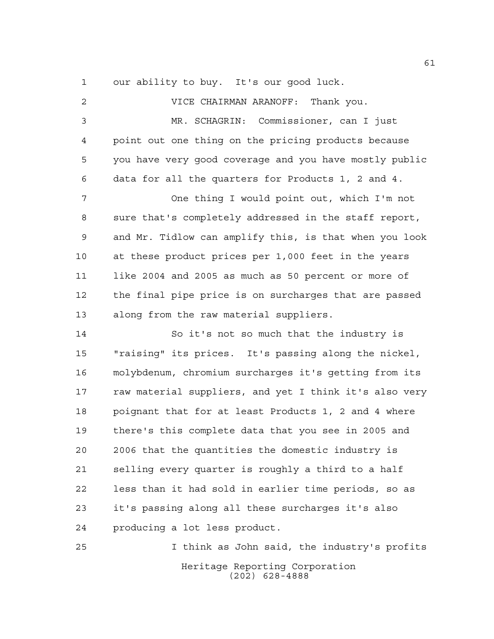our ability to buy. It's our good luck.

 VICE CHAIRMAN ARANOFF: Thank you. MR. SCHAGRIN: Commissioner, can I just point out one thing on the pricing products because you have very good coverage and you have mostly public data for all the quarters for Products 1, 2 and 4. One thing I would point out, which I'm not sure that's completely addressed in the staff report, and Mr. Tidlow can amplify this, is that when you look at these product prices per 1,000 feet in the years like 2004 and 2005 as much as 50 percent or more of the final pipe price is on surcharges that are passed along from the raw material suppliers. So it's not so much that the industry is "raising" its prices. It's passing along the nickel, molybdenum, chromium surcharges it's getting from its raw material suppliers, and yet I think it's also very poignant that for at least Products 1, 2 and 4 where there's this complete data that you see in 2005 and 2006 that the quantities the domestic industry is selling every quarter is roughly a third to a half

 it's passing along all these surcharges it's also producing a lot less product.

less than it had sold in earlier time periods, so as

Heritage Reporting Corporation (202) 628-4888 I think as John said, the industry's profits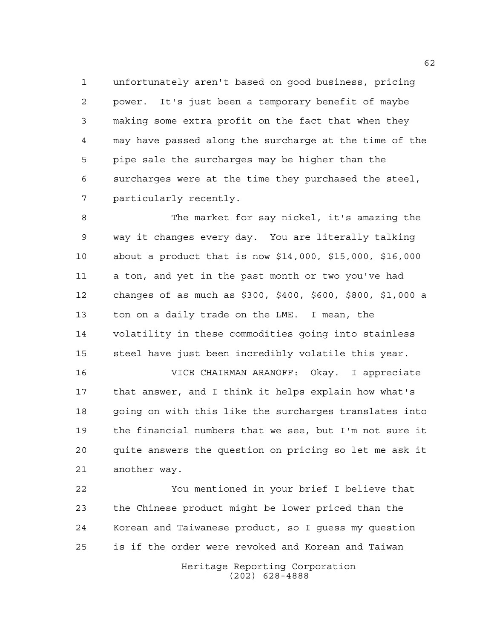unfortunately aren't based on good business, pricing power. It's just been a temporary benefit of maybe making some extra profit on the fact that when they may have passed along the surcharge at the time of the pipe sale the surcharges may be higher than the surcharges were at the time they purchased the steel, particularly recently.

 The market for say nickel, it's amazing the way it changes every day. You are literally talking about a product that is now \$14,000, \$15,000, \$16,000 a ton, and yet in the past month or two you've had changes of as much as \$300, \$400, \$600, \$800, \$1,000 a ton on a daily trade on the LME. I mean, the volatility in these commodities going into stainless steel have just been incredibly volatile this year.

 VICE CHAIRMAN ARANOFF: Okay. I appreciate that answer, and I think it helps explain how what's going on with this like the surcharges translates into the financial numbers that we see, but I'm not sure it quite answers the question on pricing so let me ask it another way.

 You mentioned in your brief I believe that the Chinese product might be lower priced than the Korean and Taiwanese product, so I guess my question is if the order were revoked and Korean and Taiwan

> Heritage Reporting Corporation (202) 628-4888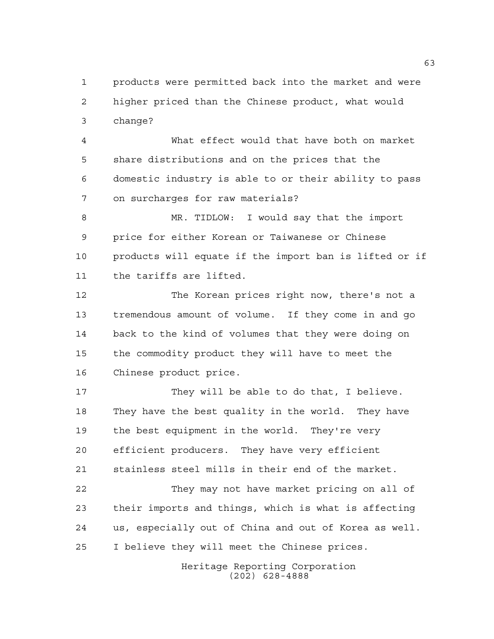products were permitted back into the market and were higher priced than the Chinese product, what would change?

 What effect would that have both on market share distributions and on the prices that the domestic industry is able to or their ability to pass on surcharges for raw materials?

 MR. TIDLOW: I would say that the import price for either Korean or Taiwanese or Chinese products will equate if the import ban is lifted or if the tariffs are lifted.

 The Korean prices right now, there's not a tremendous amount of volume. If they come in and go back to the kind of volumes that they were doing on the commodity product they will have to meet the Chinese product price.

17 They will be able to do that, I believe. They have the best quality in the world. They have the best equipment in the world. They're very efficient producers. They have very efficient stainless steel mills in their end of the market.

 They may not have market pricing on all of their imports and things, which is what is affecting us, especially out of China and out of Korea as well. I believe they will meet the Chinese prices.

> Heritage Reporting Corporation (202) 628-4888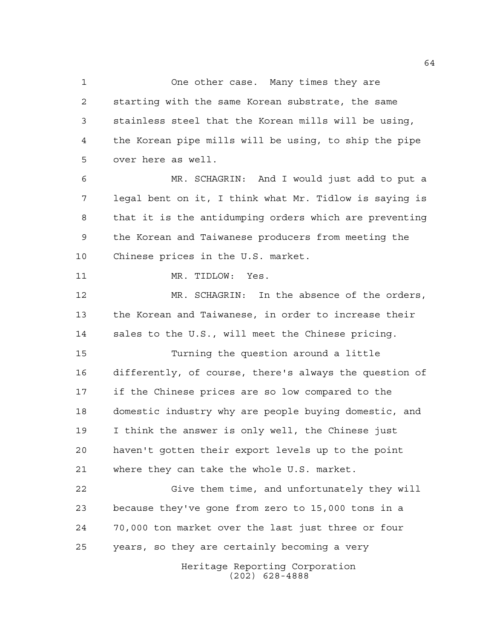1 One other case. Many times they are starting with the same Korean substrate, the same stainless steel that the Korean mills will be using, the Korean pipe mills will be using, to ship the pipe over here as well.

 MR. SCHAGRIN: And I would just add to put a legal bent on it, I think what Mr. Tidlow is saying is that it is the antidumping orders which are preventing the Korean and Taiwanese producers from meeting the Chinese prices in the U.S. market.

11 MR. TIDLOW: Yes.

 MR. SCHAGRIN: In the absence of the orders, the Korean and Taiwanese, in order to increase their sales to the U.S., will meet the Chinese pricing.

 Turning the question around a little differently, of course, there's always the question of if the Chinese prices are so low compared to the domestic industry why are people buying domestic, and I think the answer is only well, the Chinese just haven't gotten their export levels up to the point where they can take the whole U.S. market.

 Give them time, and unfortunately they will because they've gone from zero to 15,000 tons in a 70,000 ton market over the last just three or four years, so they are certainly becoming a very

> Heritage Reporting Corporation (202) 628-4888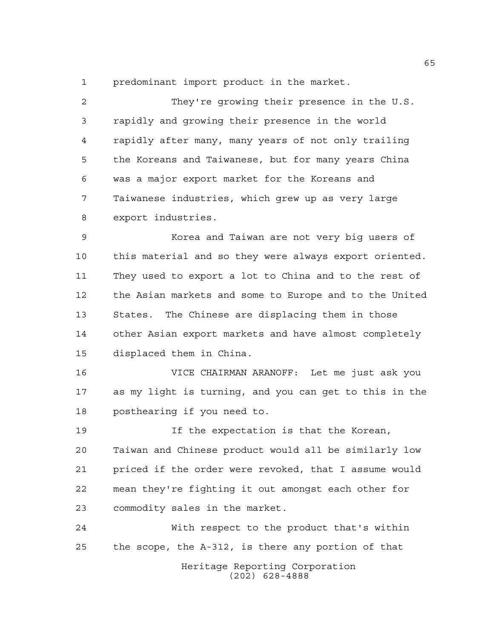predominant import product in the market.

 They're growing their presence in the U.S. rapidly and growing their presence in the world rapidly after many, many years of not only trailing the Koreans and Taiwanese, but for many years China was a major export market for the Koreans and Taiwanese industries, which grew up as very large export industries.

 Korea and Taiwan are not very big users of this material and so they were always export oriented. They used to export a lot to China and to the rest of the Asian markets and some to Europe and to the United States. The Chinese are displacing them in those other Asian export markets and have almost completely displaced them in China.

 VICE CHAIRMAN ARANOFF: Let me just ask you as my light is turning, and you can get to this in the posthearing if you need to.

 If the expectation is that the Korean, Taiwan and Chinese product would all be similarly low priced if the order were revoked, that I assume would mean they're fighting it out amongst each other for commodity sales in the market.

Heritage Reporting Corporation (202) 628-4888 With respect to the product that's within the scope, the A-312, is there any portion of that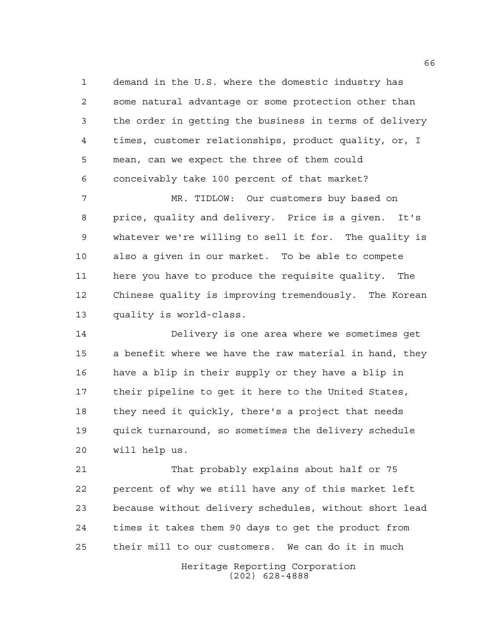demand in the U.S. where the domestic industry has some natural advantage or some protection other than the order in getting the business in terms of delivery times, customer relationships, product quality, or, I mean, can we expect the three of them could conceivably take 100 percent of that market?

 MR. TIDLOW: Our customers buy based on price, quality and delivery. Price is a given. It's whatever we're willing to sell it for. The quality is also a given in our market. To be able to compete here you have to produce the requisite quality. The Chinese quality is improving tremendously. The Korean quality is world-class.

 Delivery is one area where we sometimes get a benefit where we have the raw material in hand, they have a blip in their supply or they have a blip in their pipeline to get it here to the United States, they need it quickly, there's a project that needs quick turnaround, so sometimes the delivery schedule will help us.

 That probably explains about half or 75 percent of why we still have any of this market left because without delivery schedules, without short lead times it takes them 90 days to get the product from their mill to our customers. We can do it in much

Heritage Reporting Corporation (202) 628-4888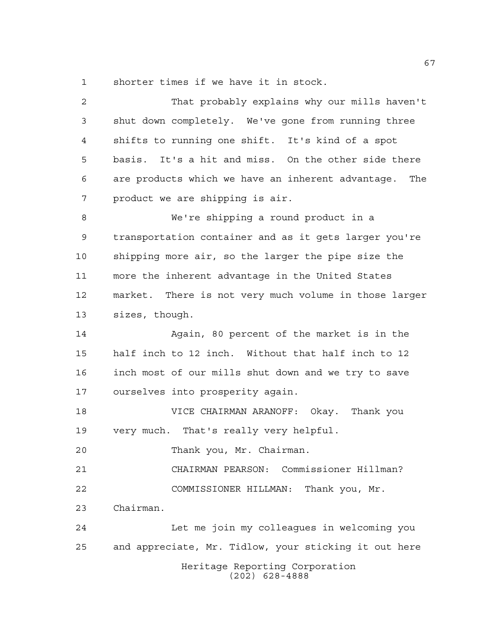shorter times if we have it in stock.

| $\overline{2}$ | That probably explains why our mills haven't          |
|----------------|-------------------------------------------------------|
| 3              | shut down completely. We've gone from running three   |
| $\overline{4}$ | shifts to running one shift. It's kind of a spot      |
| 5              | basis. It's a hit and miss. On the other side there   |
| 6              | are products which we have an inherent advantage. The |
| 7              | product we are shipping is air.                       |
| $\,8\,$        | We're shipping a round product in a                   |
| 9              | transportation container and as it gets larger you're |
| 10             | shipping more air, so the larger the pipe size the    |
| 11             | more the inherent advantage in the United States      |
| 12             | market. There is not very much volume in those larger |
| 13             | sizes, though.                                        |
| 14             | Again, 80 percent of the market is in the             |
| 15             | half inch to 12 inch. Without that half inch to 12    |
| 16             | inch most of our mills shut down and we try to save   |
| 17             | ourselves into prosperity again.                      |
| 18             | VICE CHAIRMAN ARANOFF: Okay. Thank you                |
| 19             | very much. That's really very helpful.                |
| 20             | Thank you, Mr. Chairman.                              |
| 21             | CHAIRMAN PEARSON: Commissioner Hillman?               |
| 22             | COMMISSIONER HILLMAN: Thank you, Mr.                  |
| 23             | Chairman.                                             |
| 24             | Let me join my colleagues in welcoming you            |
| 25             | and appreciate, Mr. Tidlow, your sticking it out here |
|                | Heritage Reporting Corporation<br>$(202)$ 628-4888    |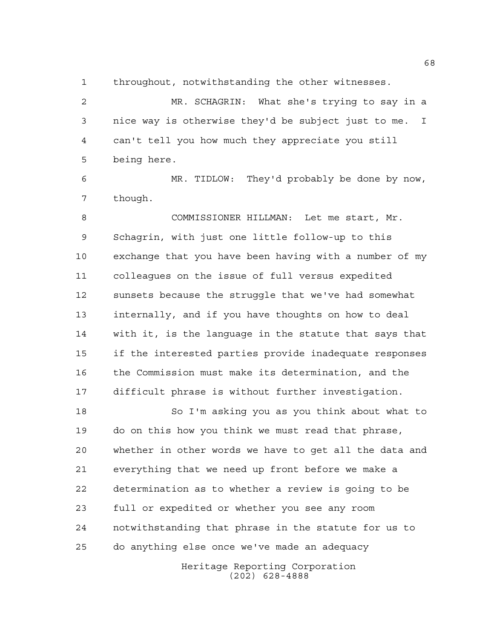throughout, notwithstanding the other witnesses.

 MR. SCHAGRIN: What she's trying to say in a nice way is otherwise they'd be subject just to me. I can't tell you how much they appreciate you still being here.

 MR. TIDLOW: They'd probably be done by now, though.

 COMMISSIONER HILLMAN: Let me start, Mr. Schagrin, with just one little follow-up to this exchange that you have been having with a number of my colleagues on the issue of full versus expedited sunsets because the struggle that we've had somewhat internally, and if you have thoughts on how to deal with it, is the language in the statute that says that if the interested parties provide inadequate responses the Commission must make its determination, and the difficult phrase is without further investigation.

 So I'm asking you as you think about what to do on this how you think we must read that phrase, whether in other words we have to get all the data and everything that we need up front before we make a determination as to whether a review is going to be full or expedited or whether you see any room notwithstanding that phrase in the statute for us to do anything else once we've made an adequacy

> Heritage Reporting Corporation (202) 628-4888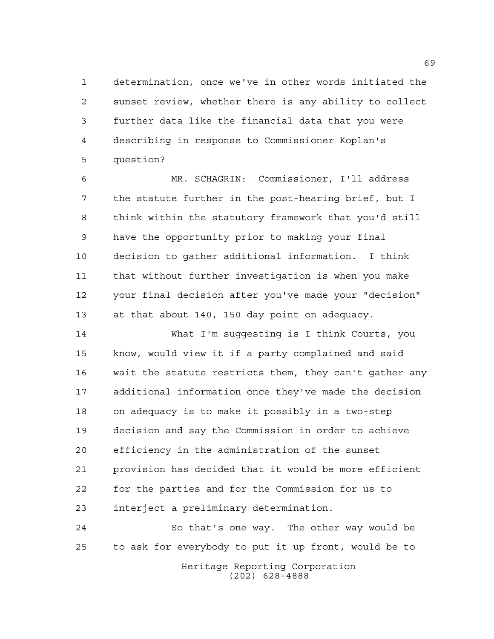determination, once we've in other words initiated the sunset review, whether there is any ability to collect further data like the financial data that you were describing in response to Commissioner Koplan's question?

 MR. SCHAGRIN: Commissioner, I'll address the statute further in the post-hearing brief, but I think within the statutory framework that you'd still have the opportunity prior to making your final decision to gather additional information. I think that without further investigation is when you make your final decision after you've made your "decision" at that about 140, 150 day point on adequacy.

 What I'm suggesting is I think Courts, you know, would view it if a party complained and said wait the statute restricts them, they can't gather any additional information once they've made the decision on adequacy is to make it possibly in a two-step decision and say the Commission in order to achieve efficiency in the administration of the sunset provision has decided that it would be more efficient for the parties and for the Commission for us to interject a preliminary determination.

 So that's one way. The other way would be to ask for everybody to put it up front, would be to

Heritage Reporting Corporation (202) 628-4888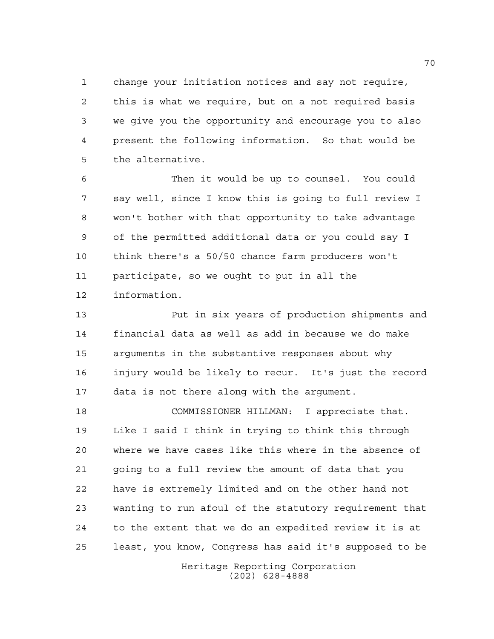change your initiation notices and say not require, this is what we require, but on a not required basis we give you the opportunity and encourage you to also present the following information. So that would be the alternative.

 Then it would be up to counsel. You could say well, since I know this is going to full review I won't bother with that opportunity to take advantage of the permitted additional data or you could say I think there's a 50/50 chance farm producers won't participate, so we ought to put in all the information.

 Put in six years of production shipments and financial data as well as add in because we do make arguments in the substantive responses about why injury would be likely to recur. It's just the record data is not there along with the argument.

 COMMISSIONER HILLMAN: I appreciate that. Like I said I think in trying to think this through where we have cases like this where in the absence of going to a full review the amount of data that you have is extremely limited and on the other hand not wanting to run afoul of the statutory requirement that to the extent that we do an expedited review it is at least, you know, Congress has said it's supposed to be

> Heritage Reporting Corporation (202) 628-4888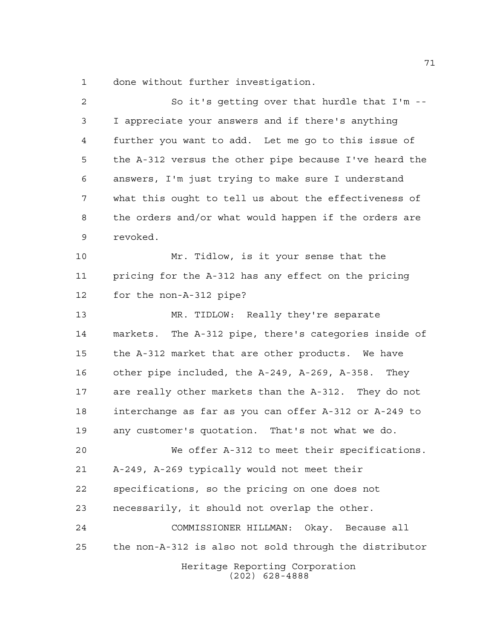done without further investigation.

| $\overline{a}$ | So it's getting over that hurdle that I'm --           |
|----------------|--------------------------------------------------------|
| 3              | I appreciate your answers and if there's anything      |
| 4              | further you want to add. Let me go to this issue of    |
| 5              | the A-312 versus the other pipe because I've heard the |
| 6              | answers, I'm just trying to make sure I understand     |
| 7              | what this ought to tell us about the effectiveness of  |
| 8              | the orders and/or what would happen if the orders are  |
| 9              | revoked.                                               |
| 10             | Mr. Tidlow, is it your sense that the                  |
| 11             | pricing for the A-312 has any effect on the pricing    |
| 12             | for the non-A-312 pipe?                                |
| 13             | MR. TIDLOW: Really they're separate                    |
| 14             | markets. The A-312 pipe, there's categories inside of  |
| 15             | the A-312 market that are other products. We have      |
| 16             | other pipe included, the A-249, A-269, A-358. They     |
| 17             | are really other markets than the A-312. They do not   |
| 18             | interchange as far as you can offer A-312 or A-249 to  |
| 19             | any customer's quotation. That's not what we do.       |
| 20             | We offer A-312 to meet their specifications.           |
| 21             | A-249, A-269 typically would not meet their            |
| 22             | specifications, so the pricing on one does not         |
| 23             | necessarily, it should not overlap the other.          |
| 24             | Okay. Because all<br>COMMISSIONER HILLMAN:             |
| 25             | the non-A-312 is also not sold through the distributor |
|                | Heritage Reporting Corporation<br>$(202)$ 628-4888     |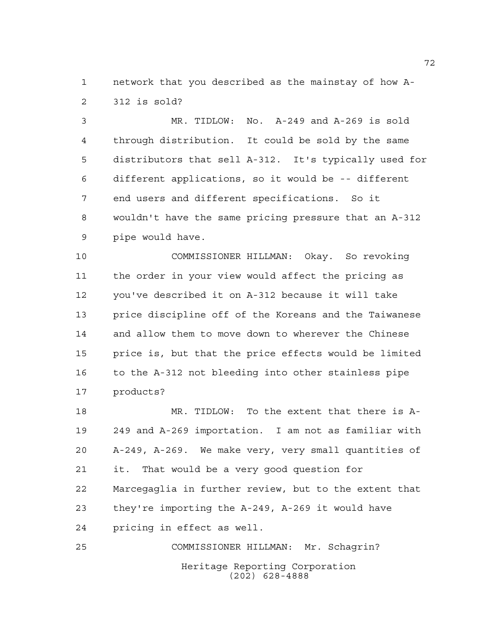network that you described as the mainstay of how A-312 is sold?

 MR. TIDLOW: No. A-249 and A-269 is sold through distribution. It could be sold by the same distributors that sell A-312. It's typically used for different applications, so it would be -- different end users and different specifications. So it wouldn't have the same pricing pressure that an A-312 pipe would have.

 COMMISSIONER HILLMAN: Okay. So revoking the order in your view would affect the pricing as you've described it on A-312 because it will take price discipline off of the Koreans and the Taiwanese and allow them to move down to wherever the Chinese price is, but that the price effects would be limited to the A-312 not bleeding into other stainless pipe products?

 MR. TIDLOW: To the extent that there is A- 249 and A-269 importation. I am not as familiar with A-249, A-269. We make very, very small quantities of it. That would be a very good question for Marcegaglia in further review, but to the extent that they're importing the A-249, A-269 it would have pricing in effect as well.

Heritage Reporting Corporation (202) 628-4888 COMMISSIONER HILLMAN: Mr. Schagrin?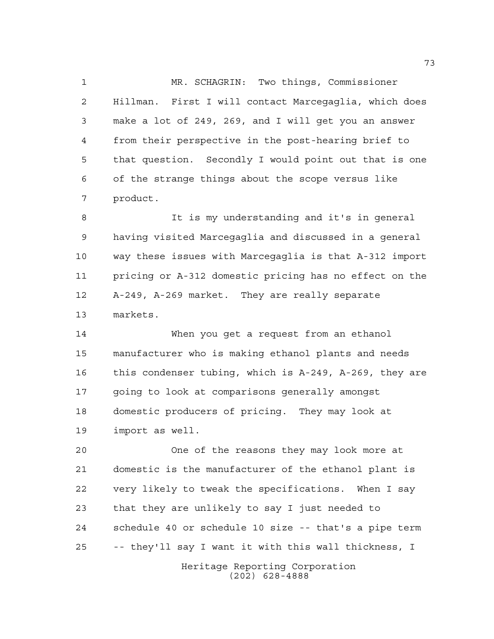MR. SCHAGRIN: Two things, Commissioner Hillman. First I will contact Marcegaglia, which does make a lot of 249, 269, and I will get you an answer from their perspective in the post-hearing brief to that question. Secondly I would point out that is one of the strange things about the scope versus like product.

 It is my understanding and it's in general having visited Marcegaglia and discussed in a general way these issues with Marcegaglia is that A-312 import pricing or A-312 domestic pricing has no effect on the A-249, A-269 market. They are really separate markets.

 When you get a request from an ethanol manufacturer who is making ethanol plants and needs this condenser tubing, which is A-249, A-269, they are going to look at comparisons generally amongst domestic producers of pricing. They may look at import as well.

 One of the reasons they may look more at domestic is the manufacturer of the ethanol plant is very likely to tweak the specifications. When I say that they are unlikely to say I just needed to schedule 40 or schedule 10 size -- that's a pipe term -- they'll say I want it with this wall thickness, I

> Heritage Reporting Corporation (202) 628-4888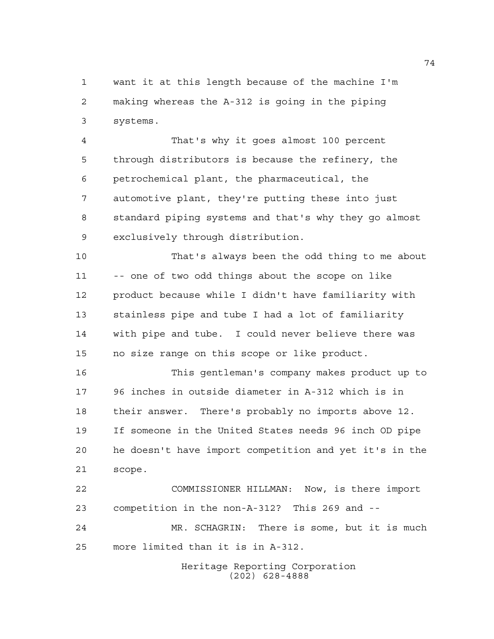want it at this length because of the machine I'm making whereas the A-312 is going in the piping systems.

 That's why it goes almost 100 percent through distributors is because the refinery, the petrochemical plant, the pharmaceutical, the automotive plant, they're putting these into just standard piping systems and that's why they go almost exclusively through distribution.

 That's always been the odd thing to me about -- one of two odd things about the scope on like product because while I didn't have familiarity with stainless pipe and tube I had a lot of familiarity with pipe and tube. I could never believe there was no size range on this scope or like product.

 This gentleman's company makes product up to 96 inches in outside diameter in A-312 which is in their answer. There's probably no imports above 12. If someone in the United States needs 96 inch OD pipe he doesn't have import competition and yet it's in the scope.

 COMMISSIONER HILLMAN: Now, is there import competition in the non-A-312? This 269 and -- MR. SCHAGRIN: There is some, but it is much more limited than it is in A-312.

> Heritage Reporting Corporation (202) 628-4888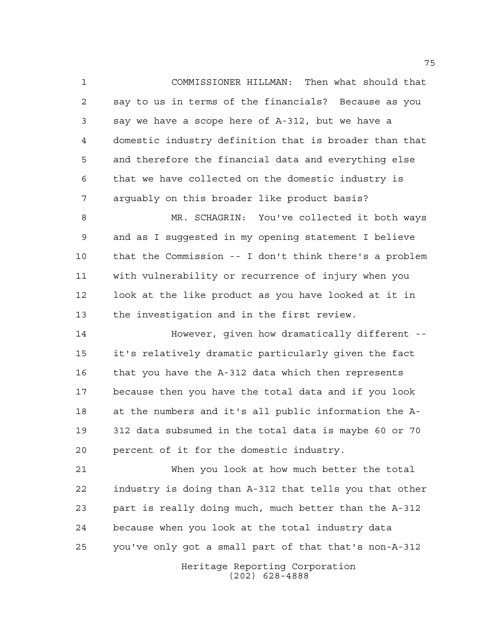COMMISSIONER HILLMAN: Then what should that say to us in terms of the financials? Because as you say we have a scope here of A-312, but we have a domestic industry definition that is broader than that and therefore the financial data and everything else that we have collected on the domestic industry is arguably on this broader like product basis?

 MR. SCHAGRIN: You've collected it both ways and as I suggested in my opening statement I believe that the Commission -- I don't think there's a problem with vulnerability or recurrence of injury when you look at the like product as you have looked at it in the investigation and in the first review.

**However, given how dramatically different** -- it's relatively dramatic particularly given the fact that you have the A-312 data which then represents because then you have the total data and if you look at the numbers and it's all public information the A- 312 data subsumed in the total data is maybe 60 or 70 percent of it for the domestic industry.

 When you look at how much better the total industry is doing than A-312 that tells you that other part is really doing much, much better than the A-312 because when you look at the total industry data you've only got a small part of that that's non-A-312

> Heritage Reporting Corporation (202) 628-4888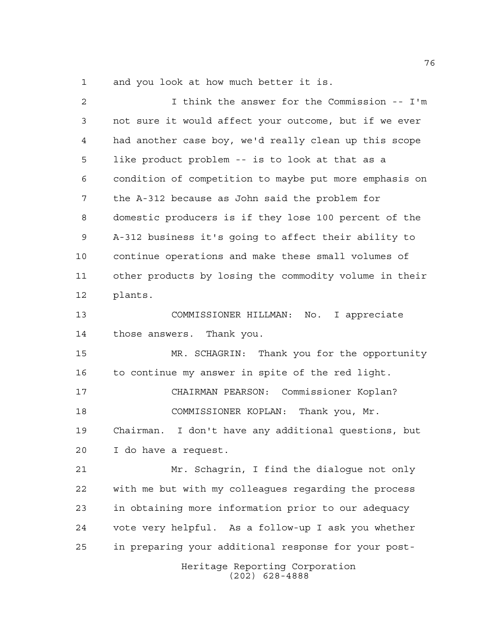and you look at how much better it is.

| 2  | I think the answer for the Commission -- I'm           |
|----|--------------------------------------------------------|
| 3  | not sure it would affect your outcome, but if we ever  |
| 4  | had another case boy, we'd really clean up this scope  |
| 5  | like product problem -- is to look at that as a        |
| 6  | condition of competition to maybe put more emphasis on |
| 7  | the A-312 because as John said the problem for         |
| 8  | domestic producers is if they lose 100 percent of the  |
| 9  | A-312 business it's going to affect their ability to   |
| 10 | continue operations and make these small volumes of    |
| 11 | other products by losing the commodity volume in their |
| 12 | plants.                                                |
| 13 | COMMISSIONER HILLMAN: No. I appreciate                 |
| 14 | those answers. Thank you.                              |
| 15 | MR. SCHAGRIN: Thank you for the opportunity            |
| 16 | to continue my answer in spite of the red light.       |
| 17 | CHAIRMAN PEARSON: Commissioner Koplan?                 |
| 18 | COMMISSIONER KOPLAN: Thank you, Mr.                    |
| 19 | Chairman. I don't have any additional questions, but   |
| 20 | I do have a request.                                   |
| 21 | Mr. Schaqrin, I find the dialoque not only             |
| 22 | with me but with my colleagues regarding the process   |
| 23 | in obtaining more information prior to our adequacy    |
| 24 | vote very helpful. As a follow-up I ask you whether    |
| 25 | in preparing your additional response for your post-   |
|    | Heritage Reporting Corporation<br>$(202)$ 628-4888     |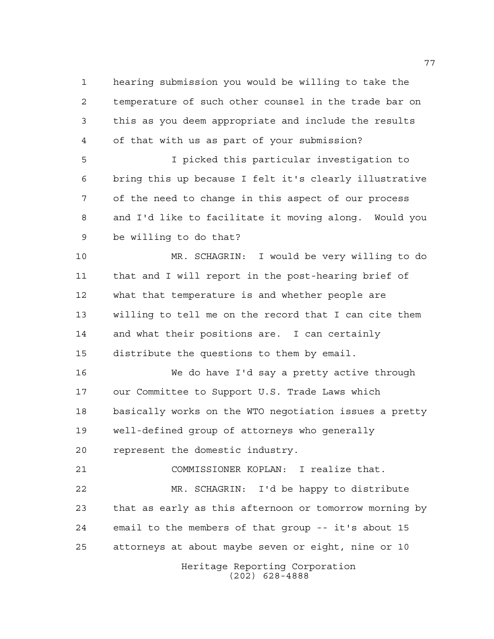hearing submission you would be willing to take the temperature of such other counsel in the trade bar on this as you deem appropriate and include the results of that with us as part of your submission?

 I picked this particular investigation to bring this up because I felt it's clearly illustrative of the need to change in this aspect of our process and I'd like to facilitate it moving along. Would you be willing to do that?

 MR. SCHAGRIN: I would be very willing to do that and I will report in the post-hearing brief of what that temperature is and whether people are willing to tell me on the record that I can cite them and what their positions are. I can certainly distribute the questions to them by email.

 We do have I'd say a pretty active through our Committee to Support U.S. Trade Laws which basically works on the WTO negotiation issues a pretty well-defined group of attorneys who generally represent the domestic industry.

COMMISSIONER KOPLAN: I realize that.

 MR. SCHAGRIN: I'd be happy to distribute that as early as this afternoon or tomorrow morning by email to the members of that group -- it's about 15 attorneys at about maybe seven or eight, nine or 10

Heritage Reporting Corporation (202) 628-4888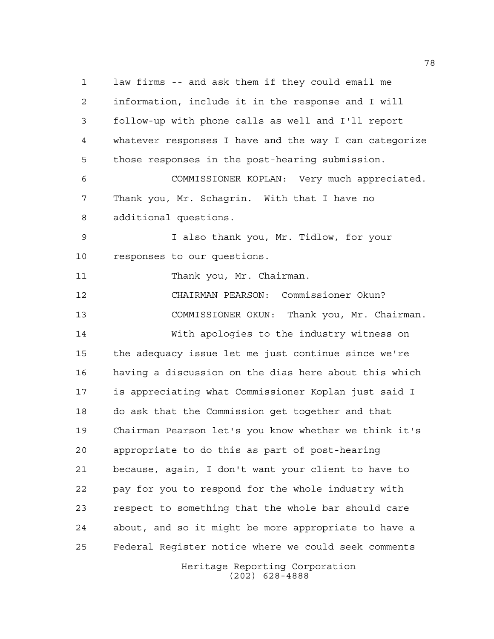Heritage Reporting Corporation law firms -- and ask them if they could email me information, include it in the response and I will follow-up with phone calls as well and I'll report whatever responses I have and the way I can categorize those responses in the post-hearing submission. COMMISSIONER KOPLAN: Very much appreciated. Thank you, Mr. Schagrin. With that I have no additional questions. I also thank you, Mr. Tidlow, for your responses to our questions. 11 Thank you, Mr. Chairman. CHAIRMAN PEARSON: Commissioner Okun? COMMISSIONER OKUN: Thank you, Mr. Chairman. With apologies to the industry witness on the adequacy issue let me just continue since we're having a discussion on the dias here about this which is appreciating what Commissioner Koplan just said I do ask that the Commission get together and that Chairman Pearson let's you know whether we think it's appropriate to do this as part of post-hearing because, again, I don't want your client to have to pay for you to respond for the whole industry with respect to something that the whole bar should care about, and so it might be more appropriate to have a Federal Register notice where we could seek comments

(202) 628-4888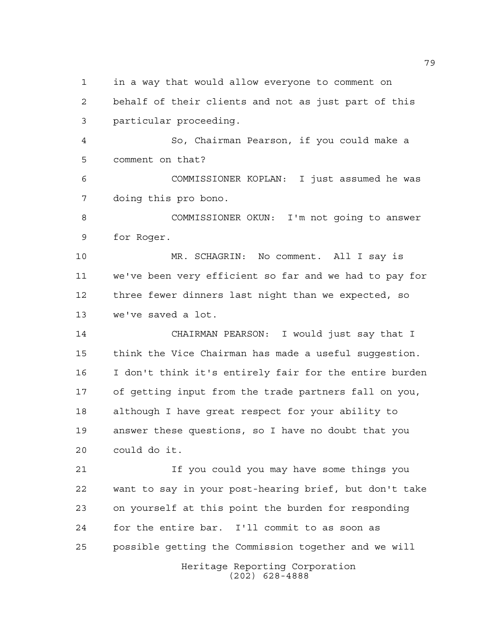in a way that would allow everyone to comment on

 behalf of their clients and not as just part of this particular proceeding.

 So, Chairman Pearson, if you could make a comment on that?

 COMMISSIONER KOPLAN: I just assumed he was doing this pro bono.

 COMMISSIONER OKUN: I'm not going to answer for Roger.

 MR. SCHAGRIN: No comment. All I say is we've been very efficient so far and we had to pay for three fewer dinners last night than we expected, so we've saved a lot.

 CHAIRMAN PEARSON: I would just say that I think the Vice Chairman has made a useful suggestion. I don't think it's entirely fair for the entire burden of getting input from the trade partners fall on you, although I have great respect for your ability to answer these questions, so I have no doubt that you could do it.

Heritage Reporting Corporation If you could you may have some things you want to say in your post-hearing brief, but don't take on yourself at this point the burden for responding for the entire bar. I'll commit to as soon as possible getting the Commission together and we will

(202) 628-4888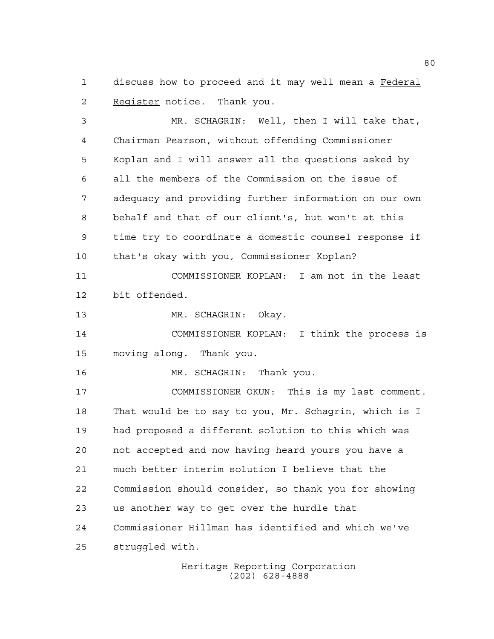discuss how to proceed and it may well mean a Federal Register notice. Thank you.

 MR. SCHAGRIN: Well, then I will take that, Chairman Pearson, without offending Commissioner Koplan and I will answer all the questions asked by all the members of the Commission on the issue of adequacy and providing further information on our own behalf and that of our client's, but won't at this time try to coordinate a domestic counsel response if that's okay with you, Commissioner Koplan?

 COMMISSIONER KOPLAN: I am not in the least bit offended.

MR. SCHAGRIN: Okay.

 COMMISSIONER KOPLAN: I think the process is moving along. Thank you.

MR. SCHAGRIN: Thank you.

 COMMISSIONER OKUN: This is my last comment. That would be to say to you, Mr. Schagrin, which is I had proposed a different solution to this which was not accepted and now having heard yours you have a much better interim solution I believe that the Commission should consider, so thank you for showing us another way to get over the hurdle that Commissioner Hillman has identified and which we've struggled with.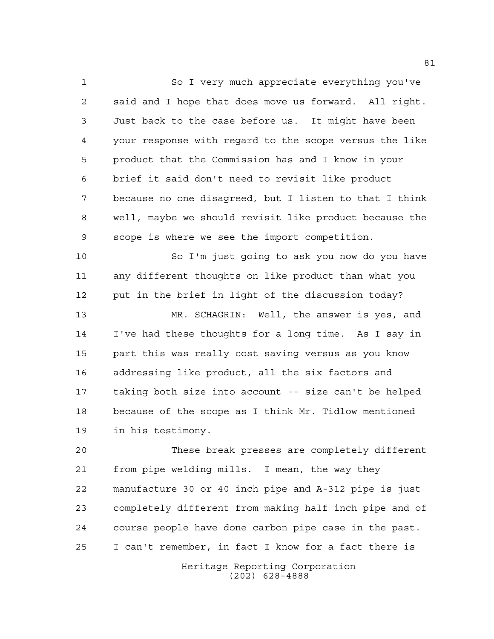So I very much appreciate everything you've said and I hope that does move us forward. All right. Just back to the case before us. It might have been your response with regard to the scope versus the like product that the Commission has and I know in your brief it said don't need to revisit like product because no one disagreed, but I listen to that I think well, maybe we should revisit like product because the scope is where we see the import competition.

 So I'm just going to ask you now do you have any different thoughts on like product than what you put in the brief in light of the discussion today?

 MR. SCHAGRIN: Well, the answer is yes, and I've had these thoughts for a long time. As I say in part this was really cost saving versus as you know addressing like product, all the six factors and taking both size into account -- size can't be helped because of the scope as I think Mr. Tidlow mentioned in his testimony.

 These break presses are completely different from pipe welding mills. I mean, the way they manufacture 30 or 40 inch pipe and A-312 pipe is just completely different from making half inch pipe and of course people have done carbon pipe case in the past. I can't remember, in fact I know for a fact there is

> Heritage Reporting Corporation (202) 628-4888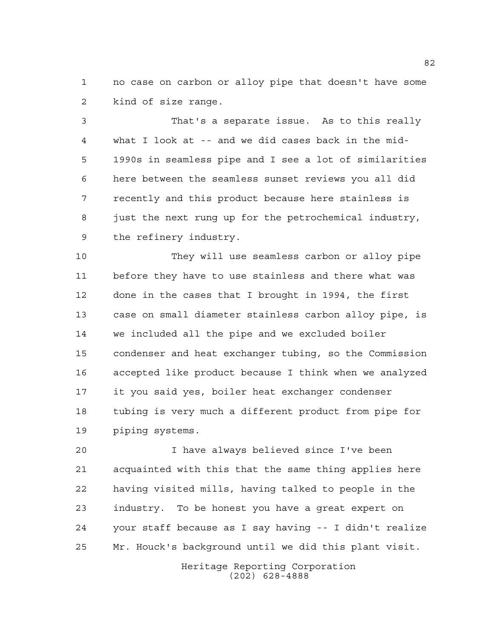no case on carbon or alloy pipe that doesn't have some kind of size range.

 That's a separate issue. As to this really what I look at -- and we did cases back in the mid- 1990s in seamless pipe and I see a lot of similarities here between the seamless sunset reviews you all did recently and this product because here stainless is just the next rung up for the petrochemical industry, the refinery industry.

 They will use seamless carbon or alloy pipe before they have to use stainless and there what was done in the cases that I brought in 1994, the first case on small diameter stainless carbon alloy pipe, is we included all the pipe and we excluded boiler condenser and heat exchanger tubing, so the Commission accepted like product because I think when we analyzed it you said yes, boiler heat exchanger condenser tubing is very much a different product from pipe for piping systems.

 I have always believed since I've been acquainted with this that the same thing applies here having visited mills, having talked to people in the industry. To be honest you have a great expert on your staff because as I say having -- I didn't realize Mr. Houck's background until we did this plant visit.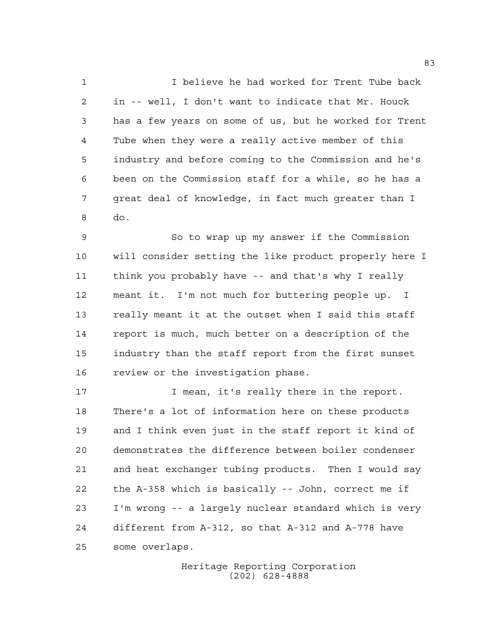I believe he had worked for Trent Tube back in -- well, I don't want to indicate that Mr. Houck has a few years on some of us, but he worked for Trent Tube when they were a really active member of this industry and before coming to the Commission and he's been on the Commission staff for a while, so he has a great deal of knowledge, in fact much greater than I do.

 So to wrap up my answer if the Commission will consider setting the like product properly here I think you probably have -- and that's why I really meant it. I'm not much for buttering people up. I really meant it at the outset when I said this staff report is much, much better on a description of the industry than the staff report from the first sunset review or the investigation phase.

**I** mean, it's really there in the report. There's a lot of information here on these products and I think even just in the staff report it kind of demonstrates the difference between boiler condenser and heat exchanger tubing products. Then I would say the A-358 which is basically -- John, correct me if I'm wrong -- a largely nuclear standard which is very different from A-312, so that A-312 and A-778 have some overlaps.

> Heritage Reporting Corporation (202) 628-4888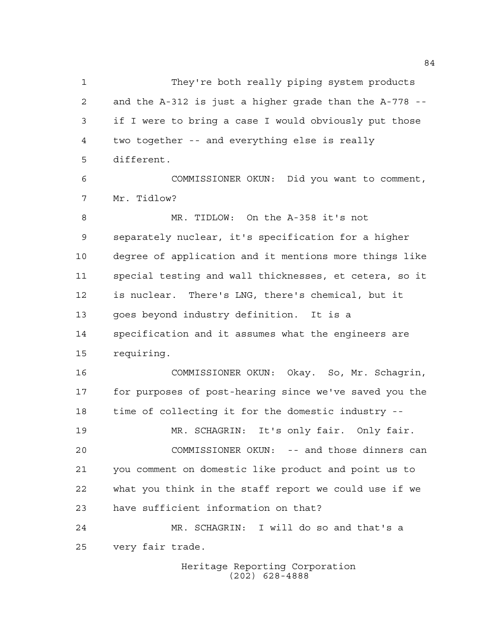They're both really piping system products and the A-312 is just a higher grade than the A-778 -- if I were to bring a case I would obviously put those two together -- and everything else is really different. COMMISSIONER OKUN: Did you want to comment, Mr. Tidlow? MR. TIDLOW: On the A-358 it's not separately nuclear, it's specification for a higher degree of application and it mentions more things like special testing and wall thicknesses, et cetera, so it is nuclear. There's LNG, there's chemical, but it goes beyond industry definition. It is a specification and it assumes what the engineers are requiring. COMMISSIONER OKUN: Okay. So, Mr. Schagrin, for purposes of post-hearing since we've saved you the time of collecting it for the domestic industry -- MR. SCHAGRIN: It's only fair. Only fair. COMMISSIONER OKUN: -- and those dinners can you comment on domestic like product and point us to what you think in the staff report we could use if we have sufficient information on that? MR. SCHAGRIN: I will do so and that's a very fair trade.

Heritage Reporting Corporation (202) 628-4888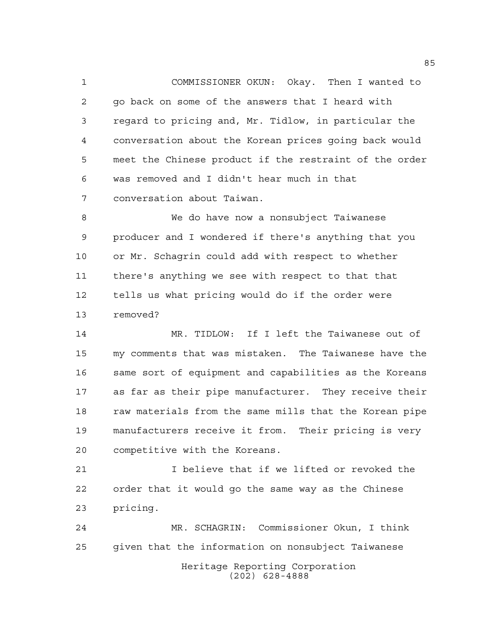COMMISSIONER OKUN: Okay. Then I wanted to go back on some of the answers that I heard with regard to pricing and, Mr. Tidlow, in particular the conversation about the Korean prices going back would meet the Chinese product if the restraint of the order was removed and I didn't hear much in that conversation about Taiwan.

 We do have now a nonsubject Taiwanese producer and I wondered if there's anything that you or Mr. Schagrin could add with respect to whether there's anything we see with respect to that that tells us what pricing would do if the order were removed?

 MR. TIDLOW: If I left the Taiwanese out of my comments that was mistaken. The Taiwanese have the same sort of equipment and capabilities as the Koreans as far as their pipe manufacturer. They receive their raw materials from the same mills that the Korean pipe manufacturers receive it from. Their pricing is very competitive with the Koreans.

 I believe that if we lifted or revoked the order that it would go the same way as the Chinese pricing.

Heritage Reporting Corporation (202) 628-4888 MR. SCHAGRIN: Commissioner Okun, I think given that the information on nonsubject Taiwanese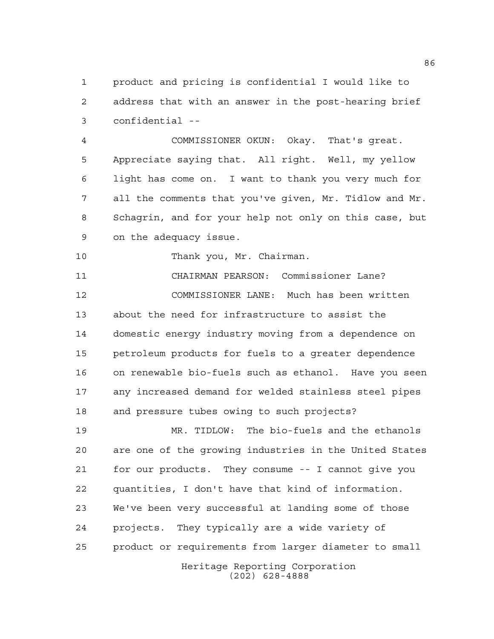product and pricing is confidential I would like to address that with an answer in the post-hearing brief confidential --

 COMMISSIONER OKUN: Okay. That's great. Appreciate saying that. All right. Well, my yellow light has come on. I want to thank you very much for all the comments that you've given, Mr. Tidlow and Mr. Schagrin, and for your help not only on this case, but on the adequacy issue.

Thank you, Mr. Chairman.

 CHAIRMAN PEARSON: Commissioner Lane? COMMISSIONER LANE: Much has been written about the need for infrastructure to assist the domestic energy industry moving from a dependence on petroleum products for fuels to a greater dependence on renewable bio-fuels such as ethanol. Have you seen any increased demand for welded stainless steel pipes and pressure tubes owing to such projects?

 MR. TIDLOW: The bio-fuels and the ethanols are one of the growing industries in the United States for our products. They consume -- I cannot give you quantities, I don't have that kind of information. We've been very successful at landing some of those projects. They typically are a wide variety of product or requirements from larger diameter to small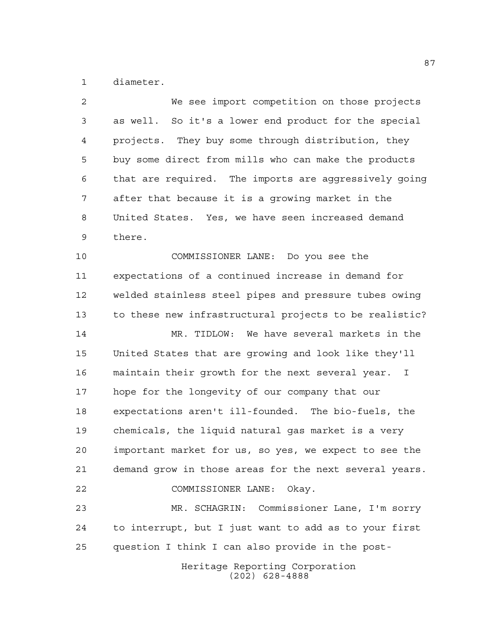diameter.

| $\overline{a}$ | We see import competition on those projects                      |
|----------------|------------------------------------------------------------------|
| 3              | as well. So it's a lower end product for the special             |
| 4              | projects. They buy some through distribution, they               |
| 5              | buy some direct from mills who can make the products             |
| 6              | that are required. The imports are aggressively going            |
| 7              | after that because it is a growing market in the                 |
| 8              | United States. Yes, we have seen increased demand                |
| 9              | there.                                                           |
| 10             | COMMISSIONER LANE: Do you see the                                |
| 11             | expectations of a continued increase in demand for               |
| 12             | welded stainless steel pipes and pressure tubes owing            |
| 13             | to these new infrastructural projects to be realistic?           |
| 14             | MR. TIDLOW: We have several markets in the                       |
| 15             | United States that are growing and look like they'll             |
| 16             | maintain their growth for the next several year.<br>$\mathbf{I}$ |
| 17             | hope for the longevity of our company that our                   |
| 18             | expectations aren't ill-founded. The bio-fuels, the              |
| 19             | chemicals, the liquid natural gas market is a very               |
| 20             | important market for us, so yes, we expect to see the            |
| 21             | demand grow in those areas for the next several years.           |
| 22             | COMMISSIONER LANE: Okay.                                         |
| 23             | MR. SCHAGRIN: Commissioner Lane, I'm sorry                       |
| 24             | to interrupt, but I just want to add as to your first            |
| 25             | question I think I can also provide in the post-                 |
|                |                                                                  |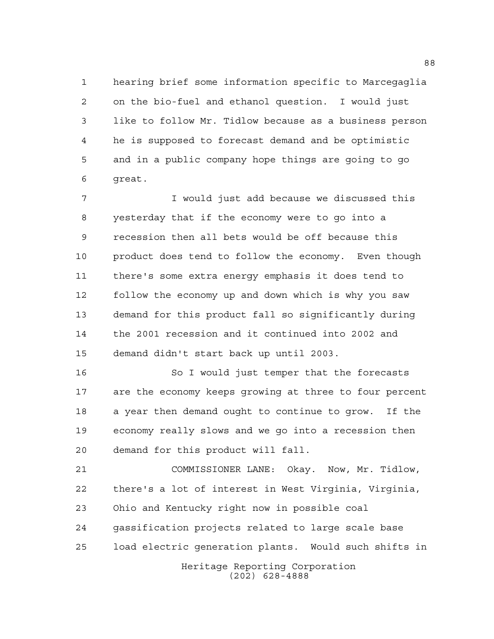hearing brief some information specific to Marcegaglia on the bio-fuel and ethanol question. I would just like to follow Mr. Tidlow because as a business person he is supposed to forecast demand and be optimistic and in a public company hope things are going to go great.

 I would just add because we discussed this yesterday that if the economy were to go into a recession then all bets would be off because this product does tend to follow the economy. Even though there's some extra energy emphasis it does tend to follow the economy up and down which is why you saw demand for this product fall so significantly during the 2001 recession and it continued into 2002 and demand didn't start back up until 2003.

 So I would just temper that the forecasts are the economy keeps growing at three to four percent a year then demand ought to continue to grow. If the economy really slows and we go into a recession then demand for this product will fall.

Heritage Reporting Corporation COMMISSIONER LANE: Okay. Now, Mr. Tidlow, there's a lot of interest in West Virginia, Virginia, Ohio and Kentucky right now in possible coal gassification projects related to large scale base load electric generation plants. Would such shifts in

(202) 628-4888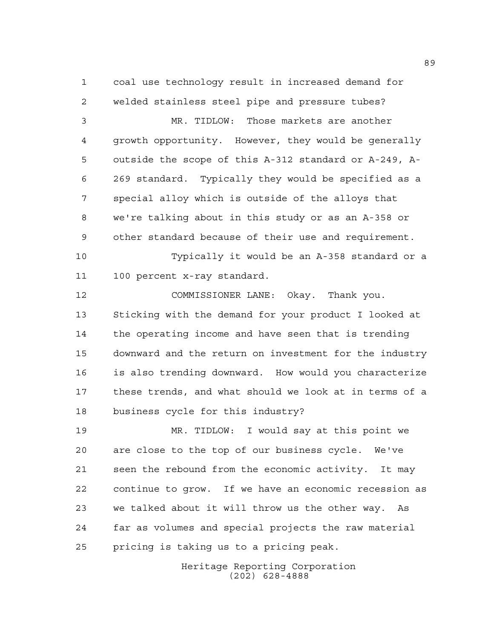coal use technology result in increased demand for welded stainless steel pipe and pressure tubes?

 MR. TIDLOW: Those markets are another growth opportunity. However, they would be generally outside the scope of this A-312 standard or A-249, A- 269 standard. Typically they would be specified as a special alloy which is outside of the alloys that we're talking about in this study or as an A-358 or other standard because of their use and requirement.

 Typically it would be an A-358 standard or a 100 percent x-ray standard.

 COMMISSIONER LANE: Okay. Thank you. Sticking with the demand for your product I looked at the operating income and have seen that is trending downward and the return on investment for the industry is also trending downward. How would you characterize these trends, and what should we look at in terms of a business cycle for this industry?

 MR. TIDLOW: I would say at this point we are close to the top of our business cycle. We've seen the rebound from the economic activity. It may continue to grow. If we have an economic recession as we talked about it will throw us the other way. As far as volumes and special projects the raw material pricing is taking us to a pricing peak.

> Heritage Reporting Corporation (202) 628-4888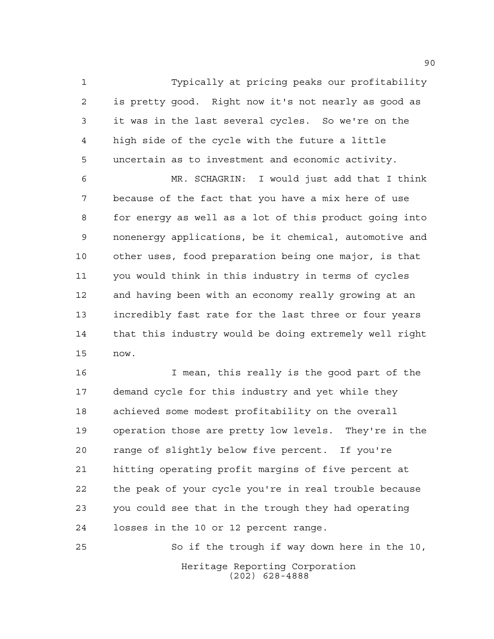Typically at pricing peaks our profitability is pretty good. Right now it's not nearly as good as it was in the last several cycles. So we're on the high side of the cycle with the future a little uncertain as to investment and economic activity.

 MR. SCHAGRIN: I would just add that I think because of the fact that you have a mix here of use for energy as well as a lot of this product going into nonenergy applications, be it chemical, automotive and other uses, food preparation being one major, is that you would think in this industry in terms of cycles and having been with an economy really growing at an incredibly fast rate for the last three or four years that this industry would be doing extremely well right now.

 I mean, this really is the good part of the demand cycle for this industry and yet while they achieved some modest profitability on the overall operation those are pretty low levels. They're in the range of slightly below five percent. If you're hitting operating profit margins of five percent at the peak of your cycle you're in real trouble because you could see that in the trough they had operating losses in the 10 or 12 percent range.

Heritage Reporting Corporation (202) 628-4888 So if the trough if way down here in the 10,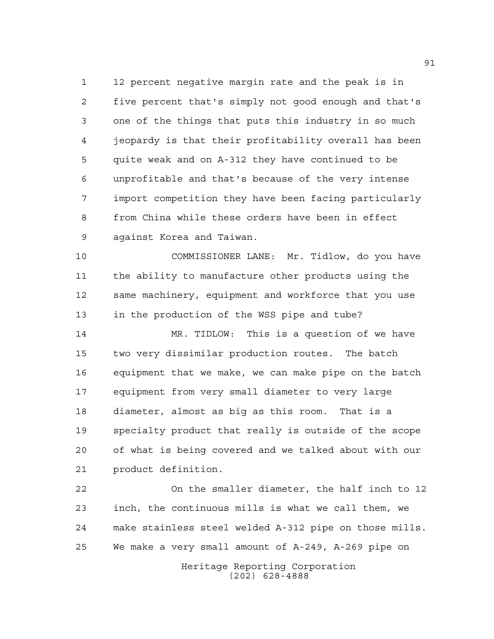12 percent negative margin rate and the peak is in five percent that's simply not good enough and that's one of the things that puts this industry in so much jeopardy is that their profitability overall has been quite weak and on A-312 they have continued to be unprofitable and that's because of the very intense import competition they have been facing particularly from China while these orders have been in effect against Korea and Taiwan.

 COMMISSIONER LANE: Mr. Tidlow, do you have the ability to manufacture other products using the same machinery, equipment and workforce that you use in the production of the WSS pipe and tube?

 MR. TIDLOW: This is a question of we have two very dissimilar production routes. The batch equipment that we make, we can make pipe on the batch equipment from very small diameter to very large diameter, almost as big as this room. That is a specialty product that really is outside of the scope of what is being covered and we talked about with our product definition.

 On the smaller diameter, the half inch to 12 inch, the continuous mills is what we call them, we make stainless steel welded A-312 pipe on those mills. We make a very small amount of A-249, A-269 pipe on

> Heritage Reporting Corporation (202) 628-4888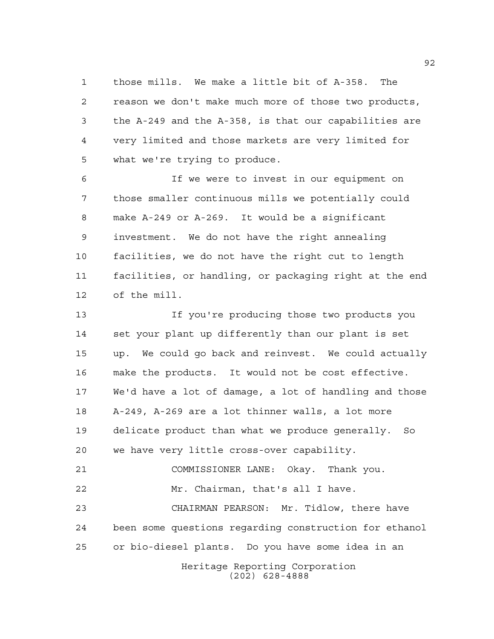those mills. We make a little bit of A-358. The reason we don't make much more of those two products, the A-249 and the A-358, is that our capabilities are very limited and those markets are very limited for what we're trying to produce.

 If we were to invest in our equipment on those smaller continuous mills we potentially could make A-249 or A-269. It would be a significant investment. We do not have the right annealing facilities, we do not have the right cut to length facilities, or handling, or packaging right at the end of the mill.

Heritage Reporting Corporation If you're producing those two products you set your plant up differently than our plant is set up. We could go back and reinvest. We could actually make the products. It would not be cost effective. We'd have a lot of damage, a lot of handling and those A-249, A-269 are a lot thinner walls, a lot more delicate product than what we produce generally. So we have very little cross-over capability. COMMISSIONER LANE: Okay. Thank you. Mr. Chairman, that's all I have. CHAIRMAN PEARSON: Mr. Tidlow, there have been some questions regarding construction for ethanol or bio-diesel plants. Do you have some idea in an

(202) 628-4888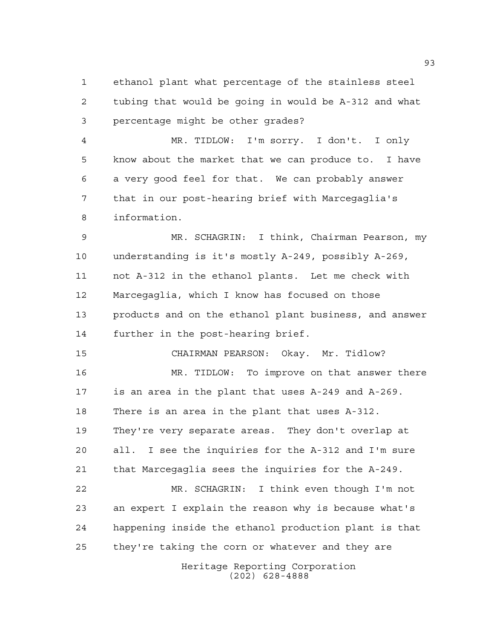ethanol plant what percentage of the stainless steel tubing that would be going in would be A-312 and what percentage might be other grades?

 MR. TIDLOW: I'm sorry. I don't. I only know about the market that we can produce to. I have a very good feel for that. We can probably answer that in our post-hearing brief with Marcegaglia's information.

 MR. SCHAGRIN: I think, Chairman Pearson, my understanding is it's mostly A-249, possibly A-269, not A-312 in the ethanol plants. Let me check with Marcegaglia, which I know has focused on those products and on the ethanol plant business, and answer further in the post-hearing brief.

CHAIRMAN PEARSON: Okay. Mr. Tidlow?

 MR. TIDLOW: To improve on that answer there is an area in the plant that uses A-249 and A-269. There is an area in the plant that uses A-312. They're very separate areas. They don't overlap at all. I see the inquiries for the A-312 and I'm sure that Marcegaglia sees the inquiries for the A-249. MR. SCHAGRIN: I think even though I'm not an expert I explain the reason why is because what's happening inside the ethanol production plant is that

they're taking the corn or whatever and they are

Heritage Reporting Corporation (202) 628-4888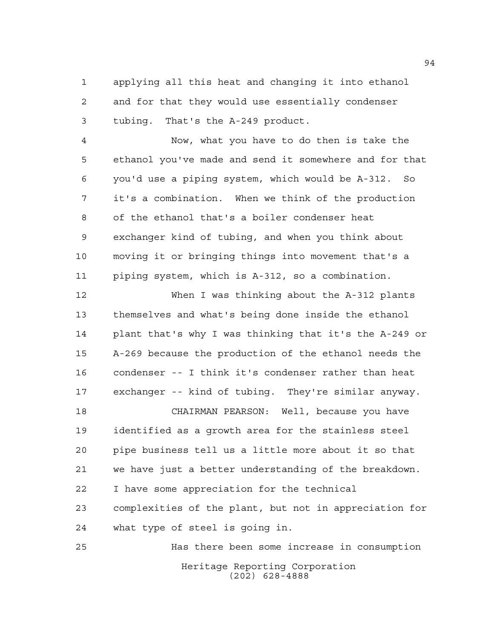applying all this heat and changing it into ethanol and for that they would use essentially condenser tubing. That's the A-249 product.

 Now, what you have to do then is take the ethanol you've made and send it somewhere and for that you'd use a piping system, which would be A-312. So it's a combination. When we think of the production of the ethanol that's a boiler condenser heat exchanger kind of tubing, and when you think about moving it or bringing things into movement that's a piping system, which is A-312, so a combination.

 When I was thinking about the A-312 plants themselves and what's being done inside the ethanol plant that's why I was thinking that it's the A-249 or A-269 because the production of the ethanol needs the condenser -- I think it's condenser rather than heat exchanger -- kind of tubing. They're similar anyway.

 CHAIRMAN PEARSON: Well, because you have identified as a growth area for the stainless steel pipe business tell us a little more about it so that we have just a better understanding of the breakdown. I have some appreciation for the technical complexities of the plant, but not in appreciation for

 what type of steel is going in. Has there been some increase in consumption

Heritage Reporting Corporation (202) 628-4888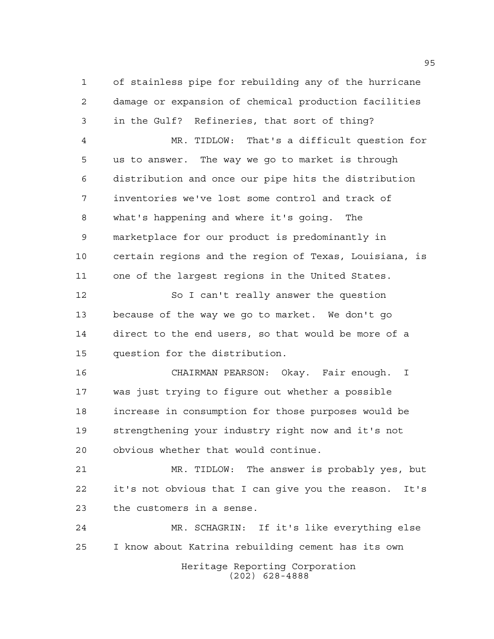of stainless pipe for rebuilding any of the hurricane damage or expansion of chemical production facilities in the Gulf? Refineries, that sort of thing? MR. TIDLOW: That's a difficult question for us to answer. The way we go to market is through distribution and once our pipe hits the distribution inventories we've lost some control and track of what's happening and where it's going. The marketplace for our product is predominantly in certain regions and the region of Texas, Louisiana, is one of the largest regions in the United States. So I can't really answer the question because of the way we go to market. We don't go direct to the end users, so that would be more of a question for the distribution. CHAIRMAN PEARSON: Okay. Fair enough. I was just trying to figure out whether a possible increase in consumption for those purposes would be strengthening your industry right now and it's not obvious whether that would continue. MR. TIDLOW: The answer is probably yes, but it's not obvious that I can give you the reason. It's the customers in a sense. MR. SCHAGRIN: If it's like everything else I know about Katrina rebuilding cement has its own

Heritage Reporting Corporation (202) 628-4888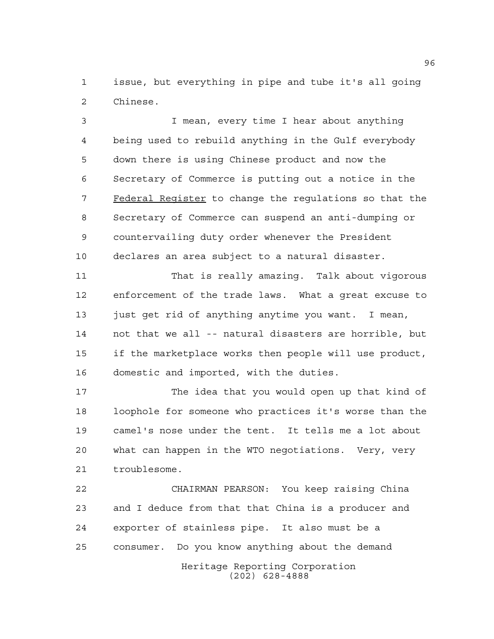issue, but everything in pipe and tube it's all going Chinese.

 I mean, every time I hear about anything being used to rebuild anything in the Gulf everybody down there is using Chinese product and now the Secretary of Commerce is putting out a notice in the 7 Federal Register to change the regulations so that the Secretary of Commerce can suspend an anti-dumping or countervailing duty order whenever the President declares an area subject to a natural disaster.

 That is really amazing. Talk about vigorous enforcement of the trade laws. What a great excuse to just get rid of anything anytime you want. I mean, not that we all -- natural disasters are horrible, but if the marketplace works then people will use product, domestic and imported, with the duties.

 The idea that you would open up that kind of loophole for someone who practices it's worse than the camel's nose under the tent. It tells me a lot about what can happen in the WTO negotiations. Very, very troublesome.

Heritage Reporting Corporation (202) 628-4888 CHAIRMAN PEARSON: You keep raising China and I deduce from that that China is a producer and exporter of stainless pipe. It also must be a consumer. Do you know anything about the demand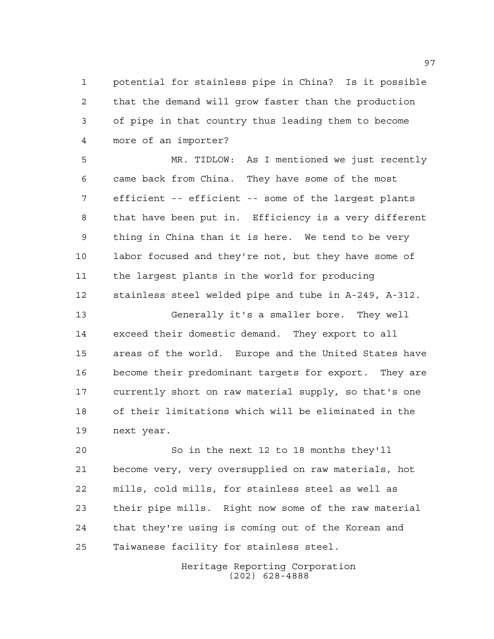potential for stainless pipe in China? Is it possible that the demand will grow faster than the production of pipe in that country thus leading them to become more of an importer?

 MR. TIDLOW: As I mentioned we just recently came back from China. They have some of the most efficient -- efficient -- some of the largest plants that have been put in. Efficiency is a very different thing in China than it is here. We tend to be very labor focused and they're not, but they have some of the largest plants in the world for producing stainless steel welded pipe and tube in A-249, A-312.

 Generally it's a smaller bore. They well exceed their domestic demand. They export to all areas of the world. Europe and the United States have become their predominant targets for export. They are currently short on raw material supply, so that's one of their limitations which will be eliminated in the next year.

 So in the next 12 to 18 months they'll become very, very oversupplied on raw materials, hot mills, cold mills, for stainless steel as well as their pipe mills. Right now some of the raw material that they're using is coming out of the Korean and Taiwanese facility for stainless steel.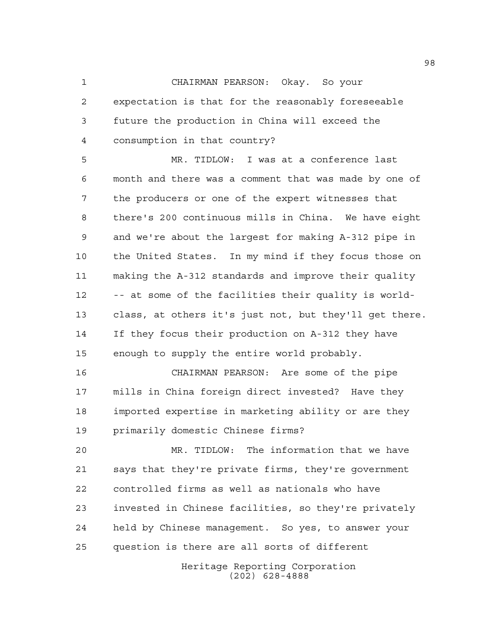CHAIRMAN PEARSON: Okay. So your expectation is that for the reasonably foreseeable future the production in China will exceed the consumption in that country?

 MR. TIDLOW: I was at a conference last month and there was a comment that was made by one of the producers or one of the expert witnesses that there's 200 continuous mills in China. We have eight and we're about the largest for making A-312 pipe in the United States. In my mind if they focus those on making the A-312 standards and improve their quality -- at some of the facilities their quality is world- class, at others it's just not, but they'll get there. If they focus their production on A-312 they have enough to supply the entire world probably.

 CHAIRMAN PEARSON: Are some of the pipe mills in China foreign direct invested? Have they imported expertise in marketing ability or are they primarily domestic Chinese firms?

 MR. TIDLOW: The information that we have says that they're private firms, they're government controlled firms as well as nationals who have invested in Chinese facilities, so they're privately held by Chinese management. So yes, to answer your question is there are all sorts of different

> Heritage Reporting Corporation (202) 628-4888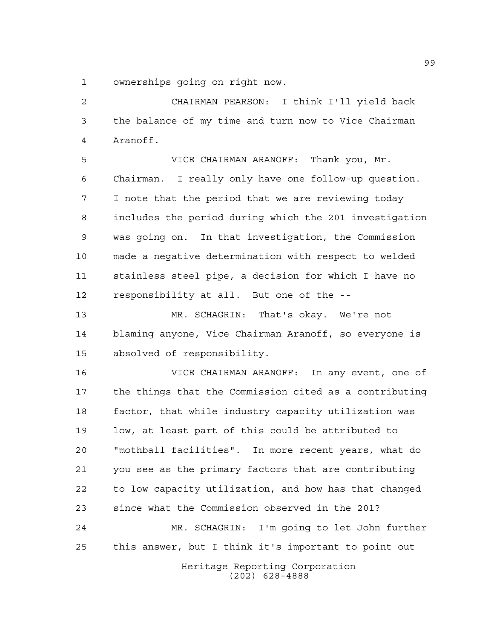ownerships going on right now.

 CHAIRMAN PEARSON: I think I'll yield back the balance of my time and turn now to Vice Chairman Aranoff.

 VICE CHAIRMAN ARANOFF: Thank you, Mr. Chairman. I really only have one follow-up question. I note that the period that we are reviewing today includes the period during which the 201 investigation was going on. In that investigation, the Commission made a negative determination with respect to welded stainless steel pipe, a decision for which I have no responsibility at all. But one of the --

 MR. SCHAGRIN: That's okay. We're not blaming anyone, Vice Chairman Aranoff, so everyone is absolved of responsibility.

 VICE CHAIRMAN ARANOFF: In any event, one of the things that the Commission cited as a contributing factor, that while industry capacity utilization was low, at least part of this could be attributed to "mothball facilities". In more recent years, what do you see as the primary factors that are contributing to low capacity utilization, and how has that changed since what the Commission observed in the 201? MR. SCHAGRIN: I'm going to let John further this answer, but I think it's important to point out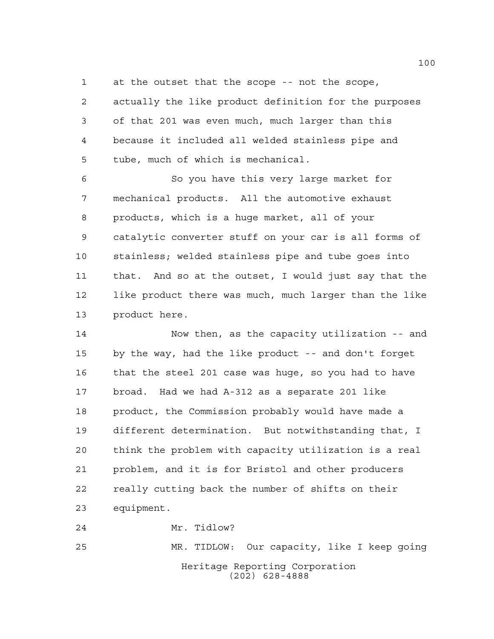at the outset that the scope -- not the scope, actually the like product definition for the purposes of that 201 was even much, much larger than this because it included all welded stainless pipe and tube, much of which is mechanical.

 So you have this very large market for mechanical products. All the automotive exhaust products, which is a huge market, all of your catalytic converter stuff on your car is all forms of stainless; welded stainless pipe and tube goes into that. And so at the outset, I would just say that the like product there was much, much larger than the like product here.

 Now then, as the capacity utilization -- and by the way, had the like product -- and don't forget that the steel 201 case was huge, so you had to have broad. Had we had A-312 as a separate 201 like product, the Commission probably would have made a different determination. But notwithstanding that, I think the problem with capacity utilization is a real problem, and it is for Bristol and other producers really cutting back the number of shifts on their equipment.

Heritage Reporting Corporation (202) 628-4888 MR. TIDLOW: Our capacity, like I keep going

Mr. Tidlow?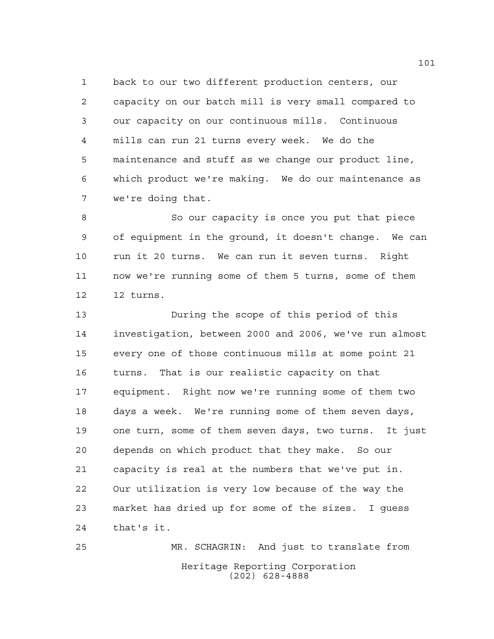back to our two different production centers, our capacity on our batch mill is very small compared to our capacity on our continuous mills. Continuous mills can run 21 turns every week. We do the maintenance and stuff as we change our product line, which product we're making. We do our maintenance as we're doing that.

 So our capacity is once you put that piece of equipment in the ground, it doesn't change. We can run it 20 turns. We can run it seven turns. Right now we're running some of them 5 turns, some of them 12 turns.

 During the scope of this period of this investigation, between 2000 and 2006, we've run almost every one of those continuous mills at some point 21 turns. That is our realistic capacity on that equipment. Right now we're running some of them two days a week. We're running some of them seven days, one turn, some of them seven days, two turns. It just depends on which product that they make. So our capacity is real at the numbers that we've put in. Our utilization is very low because of the way the market has dried up for some of the sizes. I guess that's it.

Heritage Reporting Corporation (202) 628-4888 MR. SCHAGRIN: And just to translate from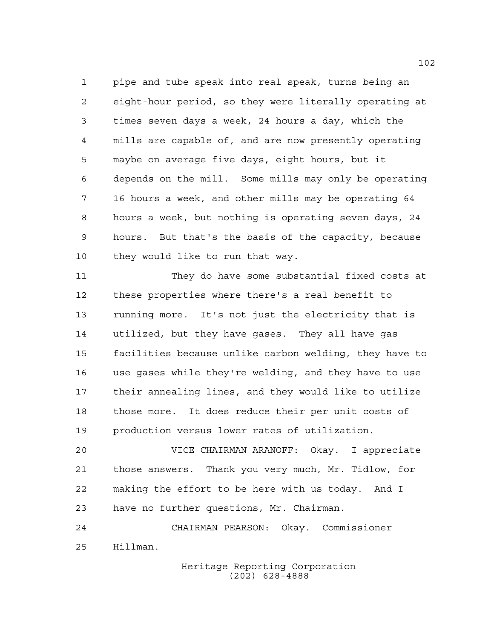pipe and tube speak into real speak, turns being an eight-hour period, so they were literally operating at times seven days a week, 24 hours a day, which the mills are capable of, and are now presently operating maybe on average five days, eight hours, but it depends on the mill. Some mills may only be operating 16 hours a week, and other mills may be operating 64 hours a week, but nothing is operating seven days, 24 hours. But that's the basis of the capacity, because they would like to run that way.

 They do have some substantial fixed costs at these properties where there's a real benefit to running more. It's not just the electricity that is utilized, but they have gases. They all have gas facilities because unlike carbon welding, they have to use gases while they're welding, and they have to use their annealing lines, and they would like to utilize those more. It does reduce their per unit costs of production versus lower rates of utilization.

 VICE CHAIRMAN ARANOFF: Okay. I appreciate those answers. Thank you very much, Mr. Tidlow, for making the effort to be here with us today. And I have no further questions, Mr. Chairman.

 CHAIRMAN PEARSON: Okay. Commissioner Hillman.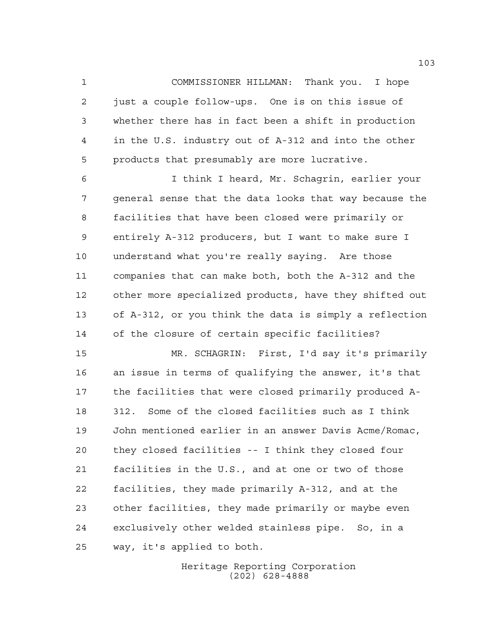COMMISSIONER HILLMAN: Thank you. I hope just a couple follow-ups. One is on this issue of whether there has in fact been a shift in production in the U.S. industry out of A-312 and into the other products that presumably are more lucrative.

 I think I heard, Mr. Schagrin, earlier your general sense that the data looks that way because the facilities that have been closed were primarily or entirely A-312 producers, but I want to make sure I understand what you're really saying. Are those companies that can make both, both the A-312 and the other more specialized products, have they shifted out of A-312, or you think the data is simply a reflection of the closure of certain specific facilities?

 MR. SCHAGRIN: First, I'd say it's primarily an issue in terms of qualifying the answer, it's that the facilities that were closed primarily produced A- 312. Some of the closed facilities such as I think John mentioned earlier in an answer Davis Acme/Romac, they closed facilities -- I think they closed four facilities in the U.S., and at one or two of those facilities, they made primarily A-312, and at the other facilities, they made primarily or maybe even exclusively other welded stainless pipe. So, in a way, it's applied to both.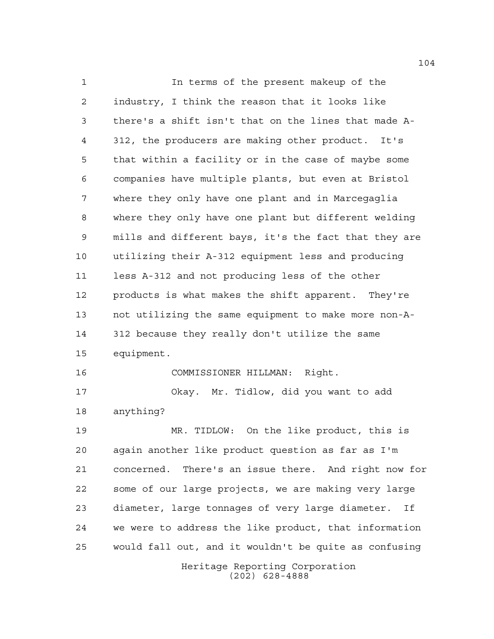Heritage Reporting Corporation (202) 628-4888 In terms of the present makeup of the industry, I think the reason that it looks like there's a shift isn't that on the lines that made A- 312, the producers are making other product. It's that within a facility or in the case of maybe some companies have multiple plants, but even at Bristol where they only have one plant and in Marcegaglia where they only have one plant but different welding mills and different bays, it's the fact that they are utilizing their A-312 equipment less and producing less A-312 and not producing less of the other products is what makes the shift apparent. They're not utilizing the same equipment to make more non-A- 312 because they really don't utilize the same equipment. COMMISSIONER HILLMAN: Right. Okay. Mr. Tidlow, did you want to add anything? MR. TIDLOW: On the like product, this is again another like product question as far as I'm concerned. There's an issue there. And right now for some of our large projects, we are making very large diameter, large tonnages of very large diameter. If we were to address the like product, that information would fall out, and it wouldn't be quite as confusing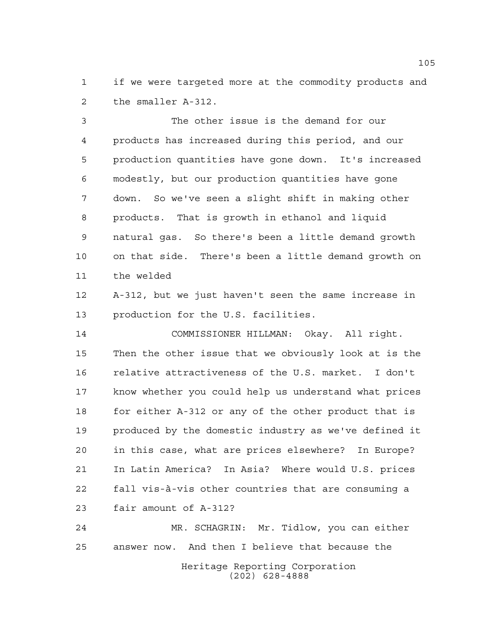if we were targeted more at the commodity products and the smaller A-312.

 The other issue is the demand for our products has increased during this period, and our production quantities have gone down. It's increased modestly, but our production quantities have gone down. So we've seen a slight shift in making other products. That is growth in ethanol and liquid natural gas. So there's been a little demand growth on that side. There's been a little demand growth on the welded

 A-312, but we just haven't seen the same increase in production for the U.S. facilities.

 COMMISSIONER HILLMAN: Okay. All right. Then the other issue that we obviously look at is the relative attractiveness of the U.S. market. I don't know whether you could help us understand what prices 18 for either A-312 or any of the other product that is produced by the domestic industry as we've defined it in this case, what are prices elsewhere? In Europe? In Latin America? In Asia? Where would U.S. prices fall vis-à-vis other countries that are consuming a fair amount of A-312?

Heritage Reporting Corporation (202) 628-4888 MR. SCHAGRIN: Mr. Tidlow, you can either answer now. And then I believe that because the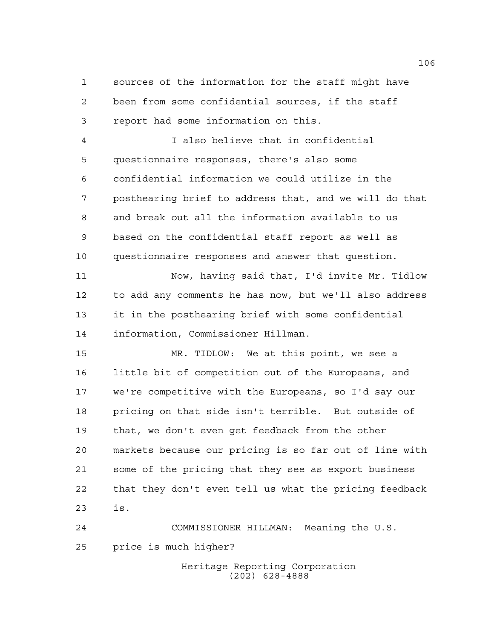sources of the information for the staff might have been from some confidential sources, if the staff report had some information on this.

 I also believe that in confidential questionnaire responses, there's also some confidential information we could utilize in the posthearing brief to address that, and we will do that and break out all the information available to us based on the confidential staff report as well as questionnaire responses and answer that question.

 Now, having said that, I'd invite Mr. Tidlow to add any comments he has now, but we'll also address it in the posthearing brief with some confidential information, Commissioner Hillman.

 MR. TIDLOW: We at this point, we see a little bit of competition out of the Europeans, and we're competitive with the Europeans, so I'd say our pricing on that side isn't terrible. But outside of that, we don't even get feedback from the other markets because our pricing is so far out of line with some of the pricing that they see as export business that they don't even tell us what the pricing feedback is.

 COMMISSIONER HILLMAN: Meaning the U.S. price is much higher?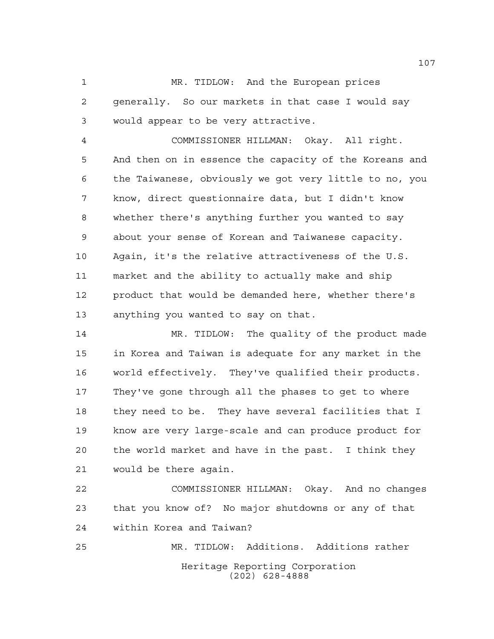MR. TIDLOW: And the European prices generally. So our markets in that case I would say would appear to be very attractive.

 COMMISSIONER HILLMAN: Okay. All right. And then on in essence the capacity of the Koreans and the Taiwanese, obviously we got very little to no, you know, direct questionnaire data, but I didn't know whether there's anything further you wanted to say about your sense of Korean and Taiwanese capacity. Again, it's the relative attractiveness of the U.S. market and the ability to actually make and ship product that would be demanded here, whether there's anything you wanted to say on that.

 MR. TIDLOW: The quality of the product made in Korea and Taiwan is adequate for any market in the world effectively. They've qualified their products. They've gone through all the phases to get to where they need to be. They have several facilities that I know are very large-scale and can produce product for the world market and have in the past. I think they would be there again.

 COMMISSIONER HILLMAN: Okay. And no changes that you know of? No major shutdowns or any of that within Korea and Taiwan?

Heritage Reporting Corporation (202) 628-4888 MR. TIDLOW: Additions. Additions rather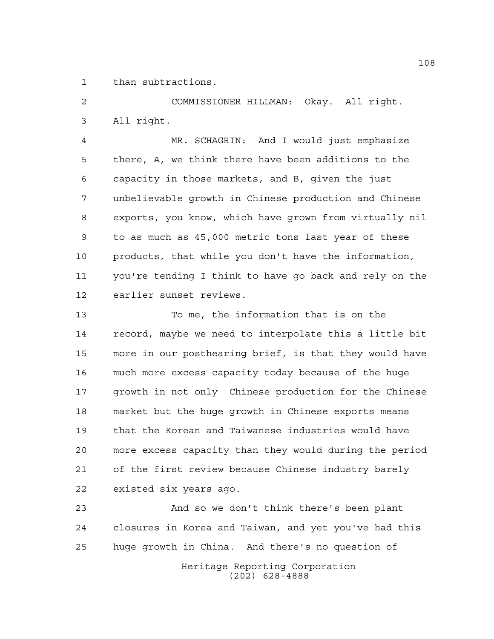than subtractions.

 COMMISSIONER HILLMAN: Okay. All right. All right.

 MR. SCHAGRIN: And I would just emphasize there, A, we think there have been additions to the capacity in those markets, and B, given the just unbelievable growth in Chinese production and Chinese exports, you know, which have grown from virtually nil to as much as 45,000 metric tons last year of these products, that while you don't have the information, you're tending I think to have go back and rely on the earlier sunset reviews.

 To me, the information that is on the record, maybe we need to interpolate this a little bit more in our posthearing brief, is that they would have much more excess capacity today because of the huge growth in not only Chinese production for the Chinese market but the huge growth in Chinese exports means that the Korean and Taiwanese industries would have more excess capacity than they would during the period of the first review because Chinese industry barely existed six years ago.

Heritage Reporting Corporation And so we don't think there's been plant closures in Korea and Taiwan, and yet you've had this huge growth in China. And there's no question of

(202) 628-4888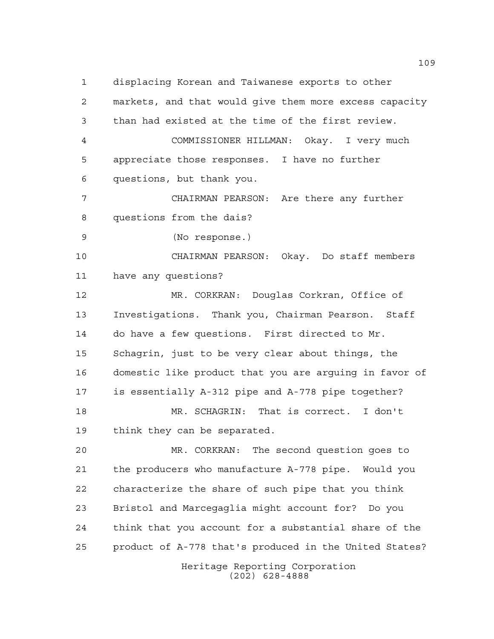displacing Korean and Taiwanese exports to other markets, and that would give them more excess capacity than had existed at the time of the first review. COMMISSIONER HILLMAN: Okay. I very much appreciate those responses. I have no further questions, but thank you. CHAIRMAN PEARSON: Are there any further questions from the dais? (No response.) CHAIRMAN PEARSON: Okay. Do staff members have any questions? MR. CORKRAN: Douglas Corkran, Office of Investigations. Thank you, Chairman Pearson. Staff do have a few questions. First directed to Mr. Schagrin, just to be very clear about things, the domestic like product that you are arguing in favor of is essentially A-312 pipe and A-778 pipe together? MR. SCHAGRIN: That is correct. I don't think they can be separated. MR. CORKRAN: The second question goes to

 the producers who manufacture A-778 pipe. Would you characterize the share of such pipe that you think Bristol and Marcegaglia might account for? Do you think that you account for a substantial share of the product of A-778 that's produced in the United States?

> Heritage Reporting Corporation (202) 628-4888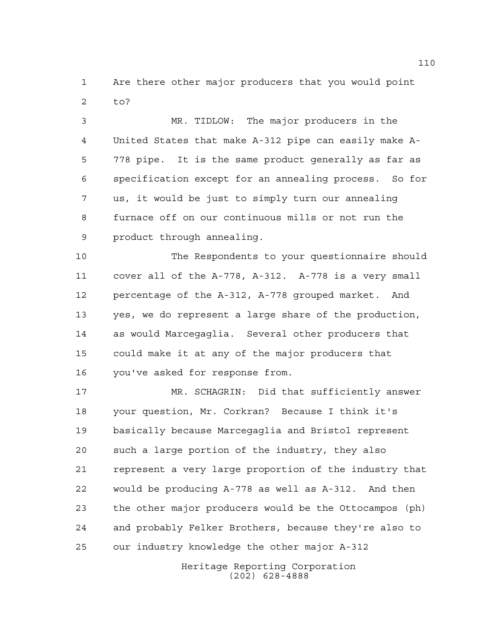Are there other major producers that you would point to?

 MR. TIDLOW: The major producers in the United States that make A-312 pipe can easily make A- 778 pipe. It is the same product generally as far as specification except for an annealing process. So for us, it would be just to simply turn our annealing furnace off on our continuous mills or not run the product through annealing.

 The Respondents to your questionnaire should cover all of the A-778, A-312. A-778 is a very small percentage of the A-312, A-778 grouped market. And yes, we do represent a large share of the production, as would Marcegaglia. Several other producers that could make it at any of the major producers that you've asked for response from.

 MR. SCHAGRIN: Did that sufficiently answer your question, Mr. Corkran? Because I think it's basically because Marcegaglia and Bristol represent such a large portion of the industry, they also represent a very large proportion of the industry that would be producing A-778 as well as A-312. And then the other major producers would be the Ottocampos (ph) and probably Felker Brothers, because they're also to our industry knowledge the other major A-312

> Heritage Reporting Corporation (202) 628-4888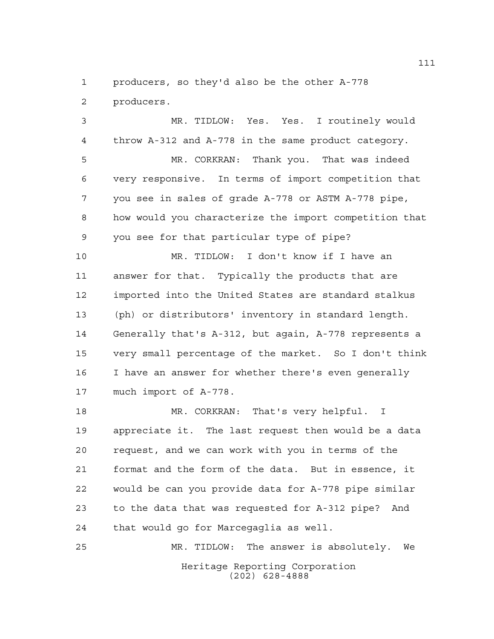producers, so they'd also be the other A-778

producers.

 MR. TIDLOW: Yes. Yes. I routinely would throw A-312 and A-778 in the same product category.

 MR. CORKRAN: Thank you. That was indeed very responsive. In terms of import competition that you see in sales of grade A-778 or ASTM A-778 pipe, how would you characterize the import competition that you see for that particular type of pipe?

 MR. TIDLOW: I don't know if I have an answer for that. Typically the products that are imported into the United States are standard stalkus (ph) or distributors' inventory in standard length. Generally that's A-312, but again, A-778 represents a very small percentage of the market. So I don't think I have an answer for whether there's even generally much import of A-778.

 MR. CORKRAN: That's very helpful. I appreciate it. The last request then would be a data request, and we can work with you in terms of the format and the form of the data. But in essence, it would be can you provide data for A-778 pipe similar to the data that was requested for A-312 pipe? And that would go for Marcegaglia as well.

Heritage Reporting Corporation (202) 628-4888 MR. TIDLOW: The answer is absolutely. We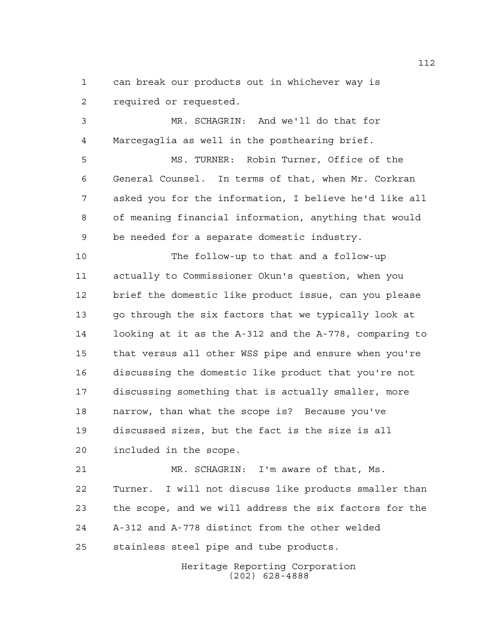can break our products out in whichever way is required or requested.

 MR. SCHAGRIN: And we'll do that for Marcegaglia as well in the posthearing brief.

 MS. TURNER: Robin Turner, Office of the General Counsel. In terms of that, when Mr. Corkran asked you for the information, I believe he'd like all of meaning financial information, anything that would be needed for a separate domestic industry.

 The follow-up to that and a follow-up actually to Commissioner Okun's question, when you brief the domestic like product issue, can you please go through the six factors that we typically look at looking at it as the A-312 and the A-778, comparing to that versus all other WSS pipe and ensure when you're discussing the domestic like product that you're not discussing something that is actually smaller, more narrow, than what the scope is? Because you've discussed sizes, but the fact is the size is all included in the scope.

 MR. SCHAGRIN: I'm aware of that, Ms. Turner. I will not discuss like products smaller than the scope, and we will address the six factors for the A-312 and A-778 distinct from the other welded stainless steel pipe and tube products.

> Heritage Reporting Corporation (202) 628-4888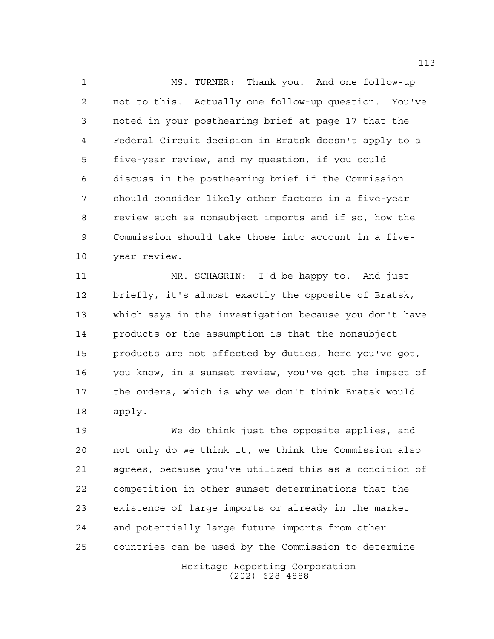MS. TURNER: Thank you. And one follow-up not to this. Actually one follow-up question. You've noted in your posthearing brief at page 17 that the Federal Circuit decision in Bratsk doesn't apply to a five-year review, and my question, if you could discuss in the posthearing brief if the Commission should consider likely other factors in a five-year review such as nonsubject imports and if so, how the Commission should take those into account in a five-year review.

 MR. SCHAGRIN: I'd be happy to. And just briefly, it's almost exactly the opposite of Bratsk, which says in the investigation because you don't have products or the assumption is that the nonsubject products are not affected by duties, here you've got, you know, in a sunset review, you've got the impact of the orders, which is why we don't think Bratsk would apply.

 We do think just the opposite applies, and not only do we think it, we think the Commission also agrees, because you've utilized this as a condition of competition in other sunset determinations that the existence of large imports or already in the market and potentially large future imports from other countries can be used by the Commission to determine

> Heritage Reporting Corporation (202) 628-4888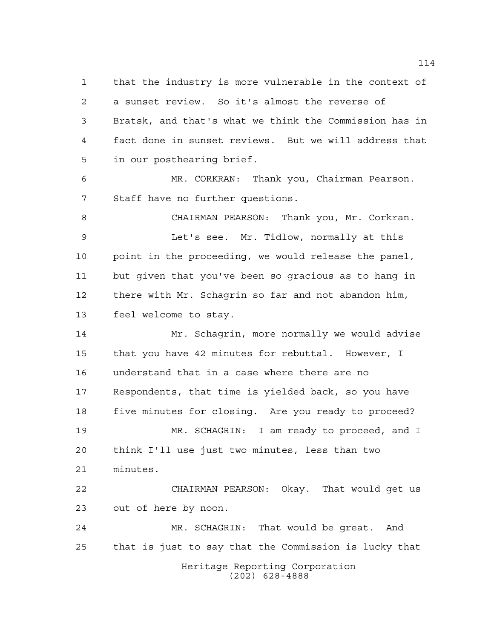that the industry is more vulnerable in the context of a sunset review. So it's almost the reverse of 3 Bratsk, and that's what we think the Commission has in fact done in sunset reviews. But we will address that in our posthearing brief.

 MR. CORKRAN: Thank you, Chairman Pearson. Staff have no further questions.

 CHAIRMAN PEARSON: Thank you, Mr. Corkran. Let's see. Mr. Tidlow, normally at this point in the proceeding, we would release the panel, but given that you've been so gracious as to hang in there with Mr. Schagrin so far and not abandon him, feel welcome to stay.

 Mr. Schagrin, more normally we would advise that you have 42 minutes for rebuttal. However, I understand that in a case where there are no Respondents, that time is yielded back, so you have five minutes for closing. Are you ready to proceed? MR. SCHAGRIN: I am ready to proceed, and I think I'll use just two minutes, less than two minutes. CHAIRMAN PEARSON: Okay. That would get us

out of here by noon.

Heritage Reporting Corporation (202) 628-4888 MR. SCHAGRIN: That would be great. And that is just to say that the Commission is lucky that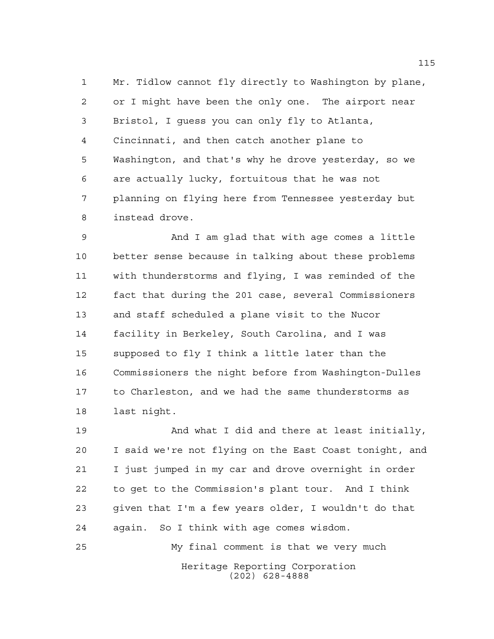Mr. Tidlow cannot fly directly to Washington by plane, or I might have been the only one. The airport near Bristol, I guess you can only fly to Atlanta, Cincinnati, and then catch another plane to Washington, and that's why he drove yesterday, so we are actually lucky, fortuitous that he was not planning on flying here from Tennessee yesterday but instead drove.

 And I am glad that with age comes a little better sense because in talking about these problems with thunderstorms and flying, I was reminded of the fact that during the 201 case, several Commissioners and staff scheduled a plane visit to the Nucor facility in Berkeley, South Carolina, and I was supposed to fly I think a little later than the Commissioners the night before from Washington-Dulles to Charleston, and we had the same thunderstorms as last night.

 And what I did and there at least initially, I said we're not flying on the East Coast tonight, and I just jumped in my car and drove overnight in order to get to the Commission's plant tour. And I think given that I'm a few years older, I wouldn't do that again. So I think with age comes wisdom.

Heritage Reporting Corporation (202) 628-4888 My final comment is that we very much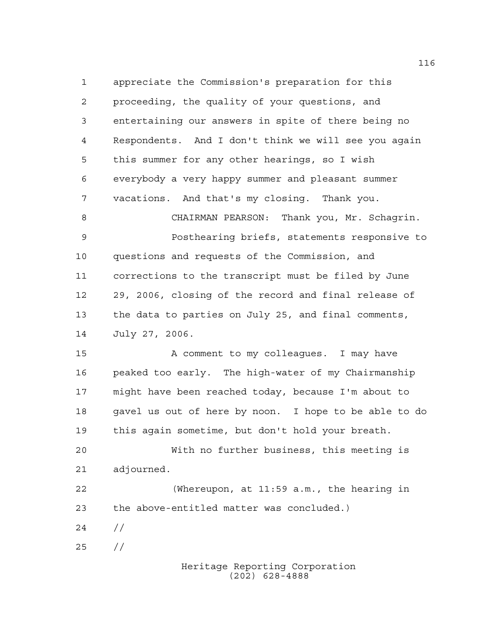appreciate the Commission's preparation for this proceeding, the quality of your questions, and entertaining our answers in spite of there being no Respondents. And I don't think we will see you again this summer for any other hearings, so I wish everybody a very happy summer and pleasant summer vacations. And that's my closing. Thank you. CHAIRMAN PEARSON: Thank you, Mr. Schagrin. Posthearing briefs, statements responsive to questions and requests of the Commission, and corrections to the transcript must be filed by June 29, 2006, closing of the record and final release of the data to parties on July 25, and final comments, July 27, 2006. 15 A comment to my colleagues. I may have peaked too early. The high-water of my Chairmanship might have been reached today, because I'm about to gavel us out of here by noon. I hope to be able to do this again sometime, but don't hold your breath. With no further business, this meeting is adjourned. (Whereupon, at 11:59 a.m., the hearing in the above-entitled matter was concluded.)

- $24 /$
- //

Heritage Reporting Corporation (202) 628-4888